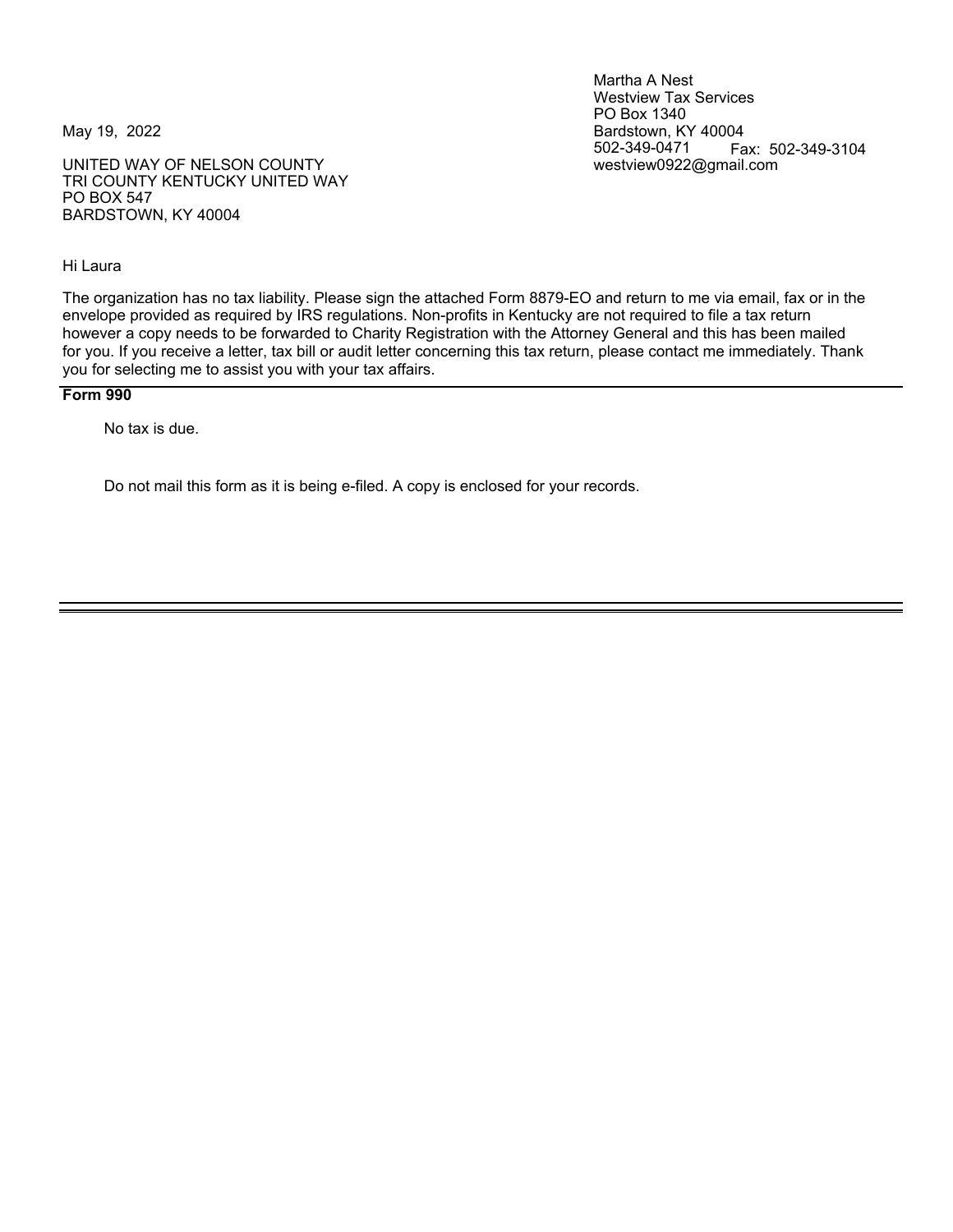UNITED WAY OF NELSON COUNTY TRI COUNTY KENTUCKY UNITED WAY PO BOX 547 BARDSTOWN, KY 40004

Hi Laura

Martha A Nest Westview Tax Services PO Box 1340 May 19, 2022 **Bardstown, KY 40004** 502-349-0471 Fax: 502-349-3104<br>westview0922@gmail.com

The organization has no tax liability. Please sign the attached Form 8879-EO and return to me via email, fax or in the envelope provided as required by IRS regulations. Non-profits in Kentucky are not required to file a tax return however a copy needs to be forwarded to Charity Registration with the Attorney General and this has been mailed for you. If you receive a letter, tax bill or audit letter concerning this tax return, please contact me immediately. Thank you for selecting me to assist you with your tax affairs.

#### **Form 990**

No tax is due.

Do not mail this form as it is being e-filed. A copy is enclosed for your records.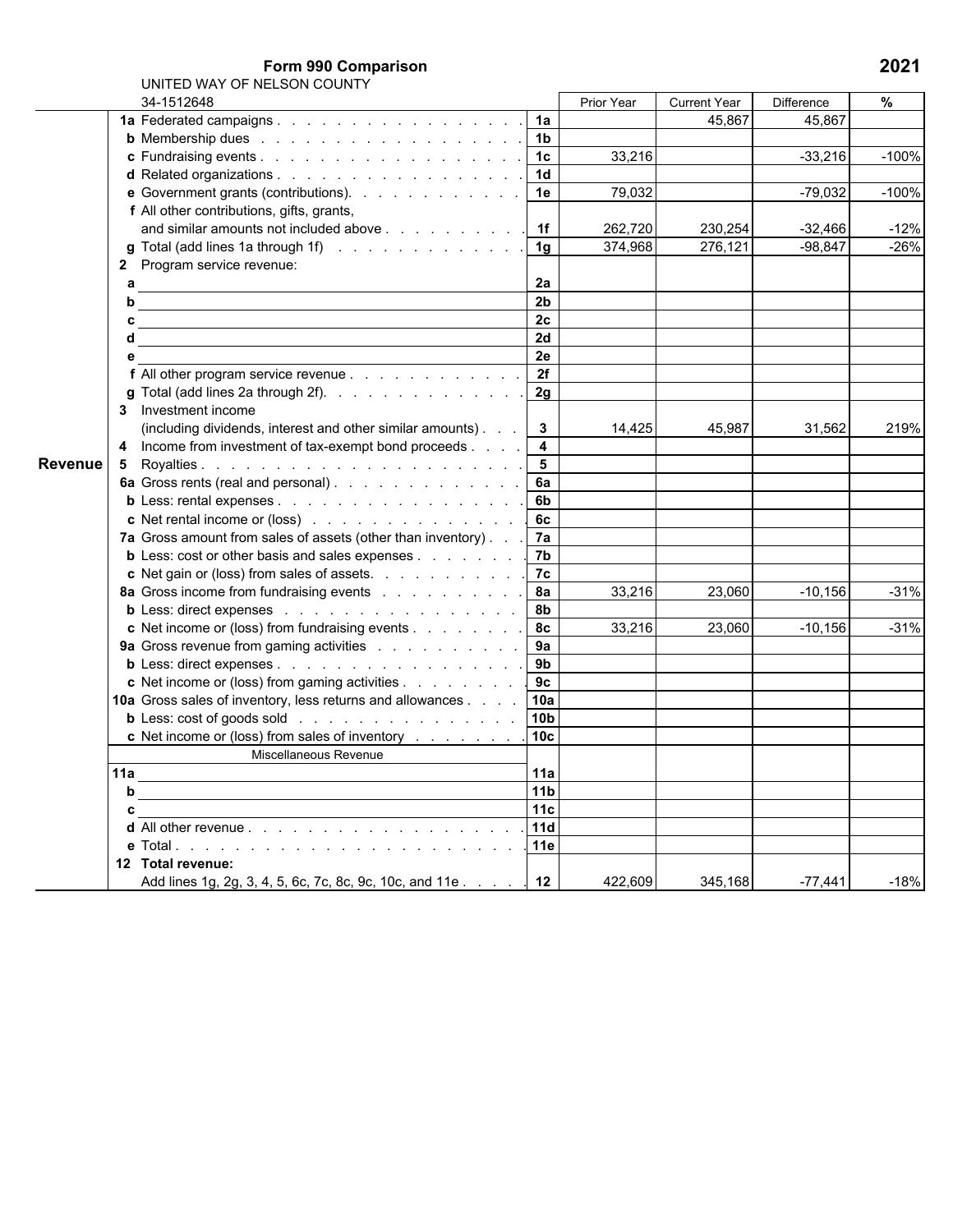**Form 990 Comparison 2021**

|         | 34-1512648                                                                                        |                         | <b>Prior Year</b> | <b>Current Year</b> | <b>Difference</b> | %       |
|---------|---------------------------------------------------------------------------------------------------|-------------------------|-------------------|---------------------|-------------------|---------|
|         | 1a Federated campaigns.                                                                           | 1a                      |                   | 45,867              | 45,867            |         |
|         |                                                                                                   | 1 <sub>b</sub>          |                   |                     |                   |         |
|         |                                                                                                   | 1 <sub>c</sub>          | 33,216            |                     | $-33,216$         | $-100%$ |
|         | d Related organizations 1d                                                                        |                         |                   |                     |                   |         |
|         | e Government grants (contributions).                                                              | 1e                      | 79,032            |                     | $-79,032$         | $-100%$ |
|         | f All other contributions, gifts, grants,                                                         |                         |                   |                     |                   |         |
|         | and similar amounts not included above 1f                                                         |                         | 262,720           | 230,254             | $-32,466$         | $-12%$  |
|         | <b>g</b> Total (add lines 1a through 1f) $\ldots$ $\ldots$ $\ldots$ $\ldots$ $\ldots$ $\ldots$ 1g |                         | 374,968           | 276,121             | $-98,847$         | $-26%$  |
|         | 2 Program service revenue:                                                                        |                         |                   |                     |                   |         |
|         | а                                                                                                 | 2a                      |                   |                     |                   |         |
|         | b                                                                                                 | 2 <sub>b</sub>          |                   |                     |                   |         |
|         | c                                                                                                 | 2 <sub>c</sub>          |                   |                     |                   |         |
|         | d                                                                                                 | 2d                      |                   |                     |                   |         |
|         | е                                                                                                 | 2e                      |                   |                     |                   |         |
|         | f All other program service revenue                                                               | 2f                      |                   |                     |                   |         |
|         | g Total (add lines 2a through 2f).                                                                | 2g                      |                   |                     |                   |         |
|         | 3 Investment income                                                                               |                         |                   |                     |                   |         |
|         | (including dividends, interest and other similar amounts).                                        | $\mathbf{3}$            | 14,425            | 45,987              | 31,562            | 219%    |
|         | 4 Income from investment of tax-exempt bond proceeds                                              | $\overline{\mathbf{4}}$ |                   |                     |                   |         |
| Revenue | 5.                                                                                                | $5\phantom{.0}$         |                   |                     |                   |         |
|         | 6a Gross rents (real and personal).                                                               | 6a                      |                   |                     |                   |         |
|         | b Less: rental expenses                                                                           | 6 <sub>b</sub>          |                   |                     |                   |         |
|         | c Net rental income or (loss)                                                                     | 6c                      |                   |                     |                   |         |
|         | 7a Gross amount from sales of assets (other than inventory). .                                    | 7a                      |                   |                     |                   |         |
|         | <b>b</b> Less: cost or other basis and sales expenses                                             | 7b                      |                   |                     |                   |         |
|         | c Net gain or (loss) from sales of assets.                                                        | 7c                      |                   |                     |                   |         |
|         | 8a Gross income from fundraising events                                                           | <b>8a</b>               | 33,216            | 23,060              | $-10,156$         | $-31%$  |
|         | b Less: direct expenses                                                                           | 8b                      |                   |                     |                   |         |
|         | c Net income or (loss) from fundraising events                                                    | 8c                      | 33,216            | 23,060              | $-10,156$         | $-31%$  |
|         | 9a Gross revenue from gaming activities                                                           | 9a                      |                   |                     |                   |         |
|         | b Less: direct expenses                                                                           | 9b                      |                   |                     |                   |         |
|         | c Net income or (loss) from gaming activities                                                     | 9c                      |                   |                     |                   |         |
|         | 10a Gross sales of inventory, less returns and allowances                                         | 10a                     |                   |                     |                   |         |
|         | <b>b</b> Less: cost of goods sold                                                                 | 10 <sub>b</sub>         |                   |                     |                   |         |
|         | c Net income or (loss) from sales of inventory                                                    | 10 <sub>c</sub>         |                   |                     |                   |         |
|         | Miscellaneous Revenue                                                                             |                         |                   |                     |                   |         |
|         | 11a                                                                                               | 11a                     |                   |                     |                   |         |
|         | b                                                                                                 | 11 <sub>b</sub>         |                   |                     |                   |         |
|         | c                                                                                                 | 11c                     |                   |                     |                   |         |
|         | <b>d</b> All other revenue $\ldots$ $\ldots$ $\ldots$ $\ldots$ $\ldots$ $\ldots$ $\ldots$         | 11d                     |                   |                     |                   |         |
|         | <b>e</b> Total                                                                                    | 11e                     |                   |                     |                   |         |
|         | 12 Total revenue:                                                                                 |                         |                   |                     |                   |         |
|         | Add lines 1g, 2g, 3, 4, 5, 6c, 7c, 8c, 9c, 10c, and 11e                                           | 12                      | 422,609           | 345,168             | $-77,441$         | $-18%$  |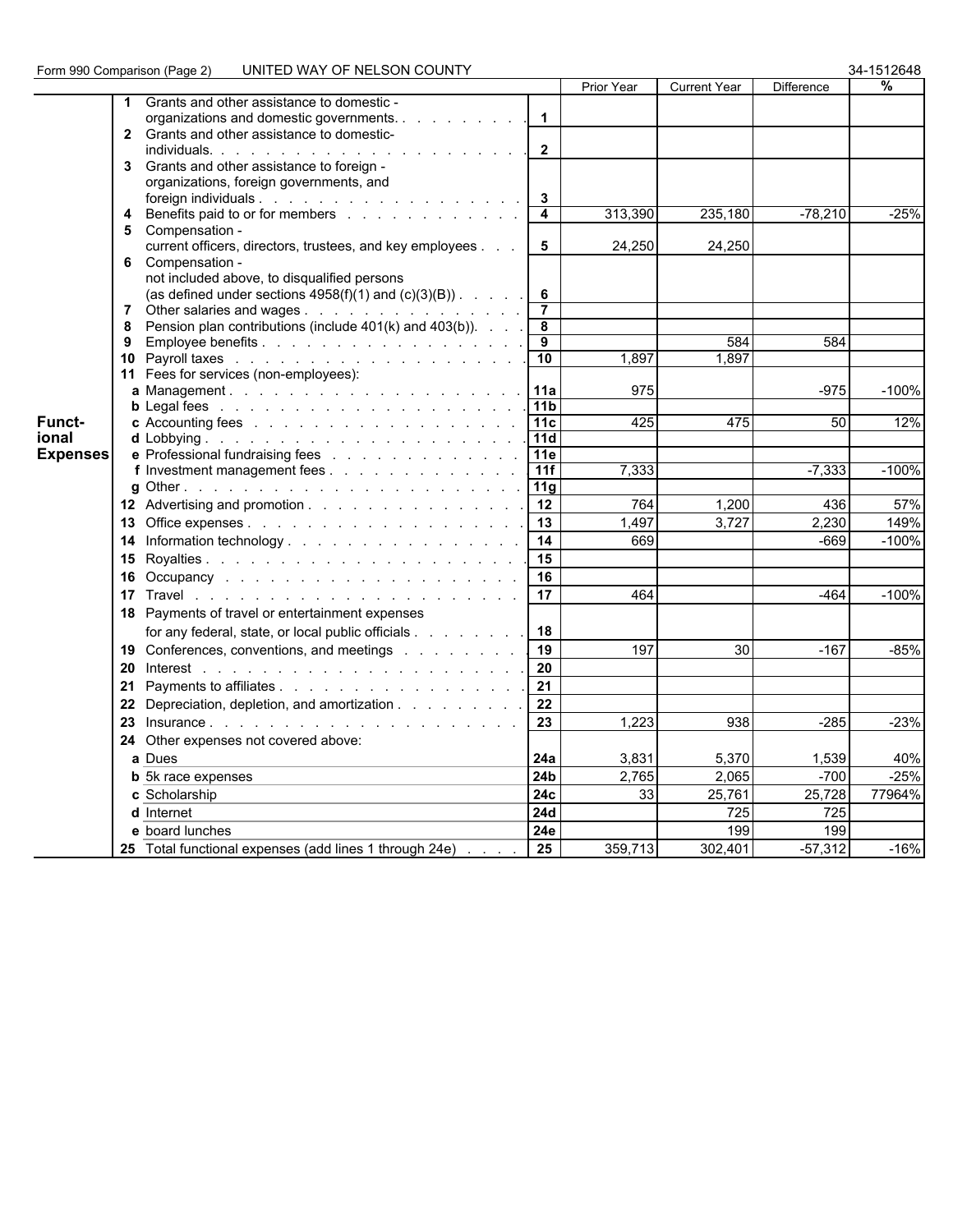| 34-1512648 |  |
|------------|--|
|------------|--|

|                 |                                                 |                                                            |                              | Prior Year | <b>Current Year</b> | <b>Difference</b> | %       |  |
|-----------------|-------------------------------------------------|------------------------------------------------------------|------------------------------|------------|---------------------|-------------------|---------|--|
|                 | Grants and other assistance to domestic -       |                                                            |                              |            |                     |                   |         |  |
|                 |                                                 | organizations and domestic governments.                    | $\mathbf{1}$                 |            |                     |                   |         |  |
|                 | 2 Grants and other assistance to domestic-      |                                                            |                              |            |                     |                   |         |  |
|                 |                                                 |                                                            | $\overline{2}$               |            |                     |                   |         |  |
|                 | 3 Grants and other assistance to foreign -      |                                                            |                              |            |                     |                   |         |  |
|                 | organizations, foreign governments, and         |                                                            |                              |            |                     |                   |         |  |
|                 | 4                                               | Benefits paid to or for members                            | 3<br>$\overline{\mathbf{4}}$ | 313,390    | 235,180             | $-78,210$         | $-25%$  |  |
|                 | 5 Compensation -                                |                                                            |                              |            |                     |                   |         |  |
|                 |                                                 | current officers, directors, trustees, and key employees   | 5                            | 24,250     | 24,250              |                   |         |  |
|                 | 6 Compensation -                                |                                                            |                              |            |                     |                   |         |  |
|                 | not included above, to disqualified persons     |                                                            |                              |            |                     |                   |         |  |
|                 |                                                 | (as defined under sections $4958(f)(1)$ and $(c)(3)(B))$ . | 6                            |            |                     |                   |         |  |
|                 |                                                 | 7 Other salaries and wages                                 | $\overline{7}$               |            |                     |                   |         |  |
|                 |                                                 | 8 Pension plan contributions (include 401(k) and 403(b)).  | 8                            |            |                     |                   |         |  |
|                 |                                                 |                                                            | 9                            |            | 584                 | 584               |         |  |
|                 |                                                 |                                                            | 10                           | 1,897      | 1.897               |                   |         |  |
|                 | 11 Fees for services (non-employees):           |                                                            |                              |            |                     |                   |         |  |
|                 |                                                 |                                                            | <b>11a</b>                   | 975        |                     | $-975$            | $-100%$ |  |
| Funct-          |                                                 |                                                            | 11b                          | 425        | 475                 | 50                | 12%     |  |
| ional           |                                                 |                                                            | 11c<br>11d                   |            |                     |                   |         |  |
| <b>Expenses</b> |                                                 | e Professional fundraising fees                            | <b>11e</b>                   |            |                     |                   |         |  |
|                 |                                                 | f Investment management fees                               | 11f                          | 7,333      |                     | $-7,333$          | $-100%$ |  |
|                 |                                                 |                                                            | 11g                          |            |                     |                   |         |  |
|                 |                                                 | 12 Advertising and promotion                               | 12                           | 764        | 1,200               | 436               | 57%     |  |
|                 |                                                 |                                                            | 13                           | 1,497      | 3,727               | 2,230             | 149%    |  |
|                 |                                                 | 14 Information technology.                                 | 14                           | 669        |                     | $-669$            | $-100%$ |  |
|                 |                                                 |                                                            | 15                           |            |                     |                   |         |  |
|                 |                                                 |                                                            | 16                           |            |                     |                   |         |  |
|                 |                                                 |                                                            | 17                           | 464        |                     | $-464$            | $-100%$ |  |
|                 | 18 Payments of travel or entertainment expenses |                                                            |                              |            |                     |                   |         |  |
|                 |                                                 | for any federal, state, or local public officials          | 18                           |            |                     |                   |         |  |
|                 |                                                 | 19 Conferences, conventions, and meetings                  | 19                           | 197        | 30                  | $-167$            | $-85%$  |  |
|                 |                                                 |                                                            | 20                           |            |                     |                   |         |  |
|                 |                                                 |                                                            |                              |            |                     |                   |         |  |
|                 |                                                 |                                                            | 21                           |            |                     |                   |         |  |
|                 |                                                 | 22 Depreciation, depletion, and amortization               | 22                           |            |                     |                   |         |  |
|                 |                                                 |                                                            | 23                           | 1.223      | 938                 | $-285$            | $-23%$  |  |
|                 | 24 Other expenses not covered above:            |                                                            |                              |            |                     |                   |         |  |
|                 | a Dues                                          |                                                            | 24a                          | 3,831      | 5,370               | 1,539             | 40%     |  |
|                 | <b>b</b> 5k race expenses                       |                                                            | 24 <sub>b</sub>              | 2,765      | 2,065               | $-700$            | $-25%$  |  |
|                 | c Scholarship                                   |                                                            | 24c                          | 33         | 25,761              | 25,728            | 77964%  |  |
|                 | d Internet                                      |                                                            | <b>24d</b>                   |            | 725                 | 725               |         |  |
|                 | e board lunches                                 |                                                            | 24e                          |            | 199                 | 199               |         |  |
|                 |                                                 | 25 Total functional expenses (add lines 1 through 24e)     | 25                           | 359,713    | 302,401             | $-57,312$         | $-16%$  |  |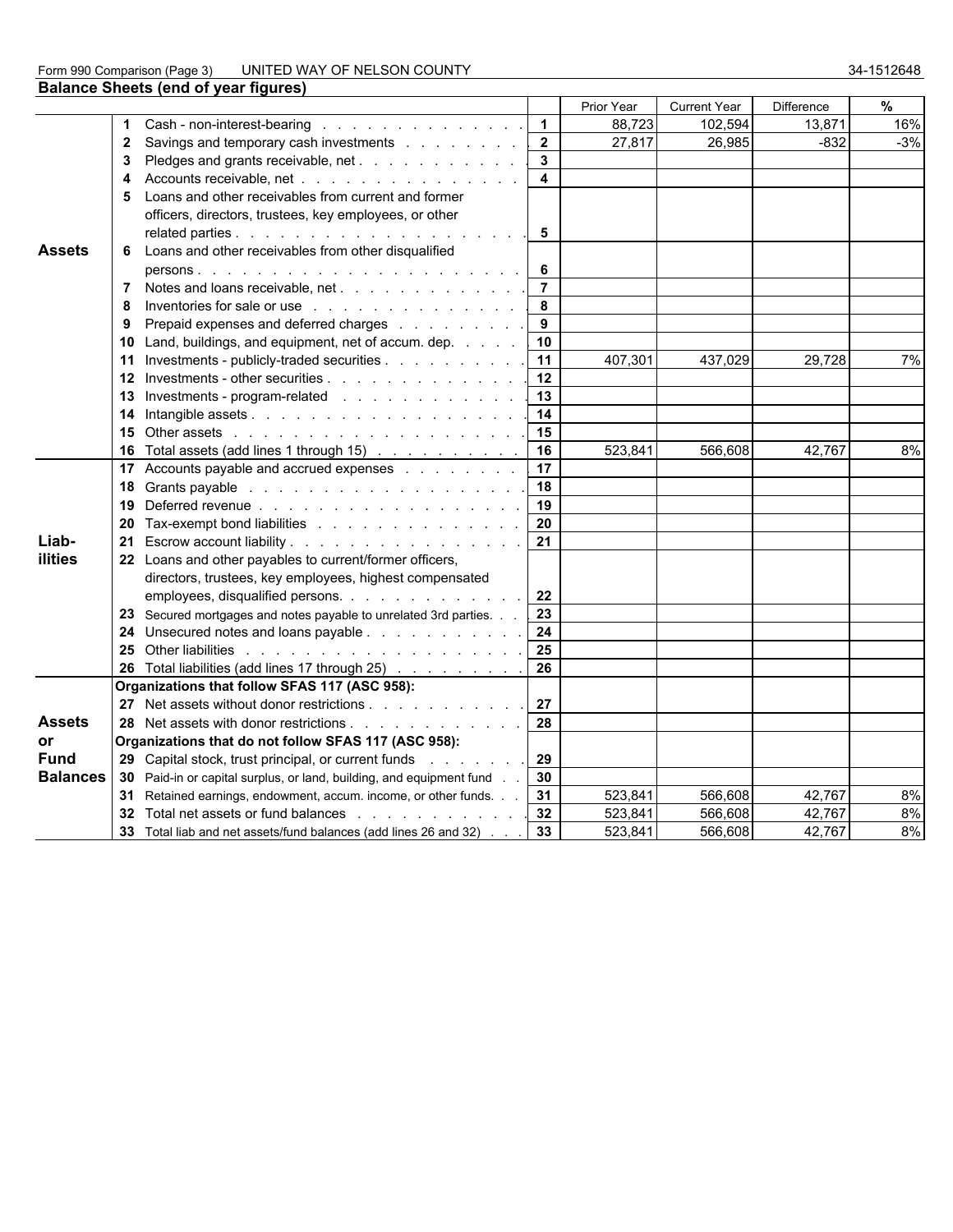#### Form 990 Comparison (Page 3) UNITED WAY OF NELSON COUNTY 34-1512648

|                 |              | <b>Balance Sheets (end of year figures)</b>                                                                     |                         |            |                     |                   |       |
|-----------------|--------------|-----------------------------------------------------------------------------------------------------------------|-------------------------|------------|---------------------|-------------------|-------|
|                 |              |                                                                                                                 |                         | Prior Year | <b>Current Year</b> | <b>Difference</b> | %     |
|                 | 1            | Cash - non-interest-bearing                                                                                     | $\mathbf{1}$            | 88,723     | 102,594             | 13,871            | 16%   |
|                 | $\mathbf{2}$ | Savings and temporary cash investments                                                                          | $\mathbf{2}$            | 27,817     | 26,985              | -832              | $-3%$ |
|                 | 3            | Pledges and grants receivable, net                                                                              | $\mathbf{3}$            |            |                     |                   |       |
|                 | 4            | Accounts receivable, net                                                                                        | $\overline{\mathbf{4}}$ |            |                     |                   |       |
|                 |              | 5 Loans and other receivables from current and former                                                           |                         |            |                     |                   |       |
|                 |              | officers, directors, trustees, key employees, or other                                                          |                         |            |                     |                   |       |
|                 |              |                                                                                                                 | 5                       |            |                     |                   |       |
| <b>Assets</b>   |              | 6 Loans and other receivables from other disqualified                                                           |                         |            |                     |                   |       |
|                 |              |                                                                                                                 | 6                       |            |                     |                   |       |
|                 | 7            | Notes and loans receivable, net                                                                                 | $\overline{7}$          |            |                     |                   |       |
|                 | 8            | Inventories for sale or use                                                                                     | 8                       |            |                     |                   |       |
|                 | 9            | Prepaid expenses and deferred charges                                                                           | 9                       |            |                     |                   |       |
|                 | 10           | Land, buildings, and equipment, net of accum. dep.                                                              | 10                      |            |                     |                   |       |
|                 | 11           | Investments - publicly-traded securities                                                                        | 11                      | 407.301    | 437.029             | 29.728            | 7%    |
|                 |              | Investments - other securities                                                                                  | 12                      |            |                     |                   |       |
|                 |              | Investments - program-related                                                                                   | 13                      |            |                     |                   |       |
|                 | 14           |                                                                                                                 | 14                      |            |                     |                   |       |
|                 | 15           | Other assets in the contract of the contract of the contract of the contract of the contract of the contract of | 15                      |            |                     |                   |       |
|                 | 16.          | Total assets (add lines 1 through 15)                                                                           | 16                      | 523,841    | 566,608             | 42,767            | 8%    |
|                 |              | 17 Accounts payable and accrued expenses                                                                        | 17                      |            |                     |                   |       |
|                 |              |                                                                                                                 | 18                      |            |                     |                   |       |
|                 | 19           |                                                                                                                 | 19                      |            |                     |                   |       |
|                 | 20           | Tax-exempt bond liabilities                                                                                     | 20                      |            |                     |                   |       |
| Liab-           |              | 21 Escrow account liability                                                                                     | 21                      |            |                     |                   |       |
| ilities         |              | 22 Loans and other payables to current/former officers,                                                         |                         |            |                     |                   |       |
|                 |              | directors, trustees, key employees, highest compensated                                                         |                         |            |                     |                   |       |
|                 |              | employees, disqualified persons.                                                                                | 22                      |            |                     |                   |       |
|                 |              | 23 Secured mortgages and notes payable to unrelated 3rd parties.                                                | 23                      |            |                     |                   |       |
|                 |              | 24 Unsecured notes and loans payable                                                                            | 24                      |            |                     |                   |       |
|                 | 25           |                                                                                                                 | 25                      |            |                     |                   |       |
|                 |              | 26 Total liabilities (add lines 17 through 25)                                                                  | 26                      |            |                     |                   |       |
|                 |              | Organizations that follow SFAS 117 (ASC 958):                                                                   |                         |            |                     |                   |       |
|                 |              | 27 Net assets without donor restrictions                                                                        | 27                      |            |                     |                   |       |
| <b>Assets</b>   |              | 28 Net assets with donor restrictions                                                                           | 28                      |            |                     |                   |       |
| or              |              | Organizations that do not follow SFAS 117 (ASC 958):                                                            |                         |            |                     |                   |       |
| <b>Fund</b>     |              | 29 Capital stock, trust principal, or current funds                                                             | 29                      |            |                     |                   |       |
| <b>Balances</b> |              | 30 Paid-in or capital surplus, or land, building, and equipment fund.                                           | 30                      |            |                     |                   |       |
|                 |              | 31 Retained earnings, endowment, accum. income, or other funds.                                                 | 31                      | 523,841    | 566,608             | 42,767            | 8%    |
|                 |              | 32 Total net assets or fund balances                                                                            | 32                      | 523,841    | 566,608             | 42,767            | 8%    |
|                 |              | 33 Total liab and net assets/fund balances (add lines 26 and 32)                                                | 33                      | 523,841    | 566,608             | 42,767            | 8%    |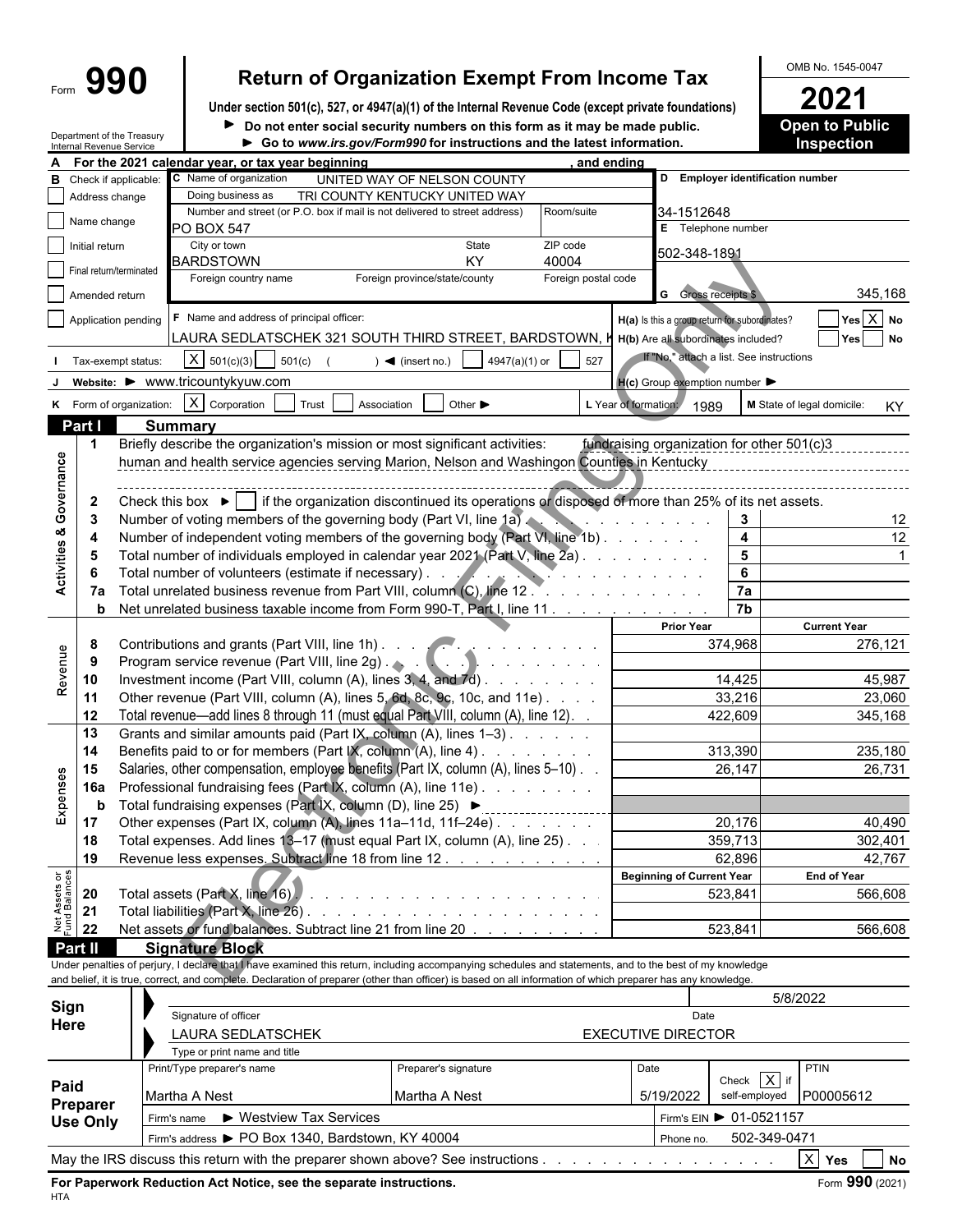## Form  $\left\{\frac{\text{990}}{\text{Number section 501(c)}\ 527\ \text{or 4947(a)(1) of the internal Revenue Code (except private foundations)}\right\}$

**Under section 501(c), 527, or 4947(a)(1) of the Internal Revenue Code (except private foundations) 2021**  $\blacktriangleright$ 

Department of the Treasury

| Do not enter social security numbers on this form as it may be made public.            | <b>Open to Public</b> |
|----------------------------------------------------------------------------------------|-----------------------|
| $\triangleright$ Co to www.irs gov/Form000 for instructions and the latest information | Inenoction            |

|                                | Internal Revenue Service | Department of the Treasury |                                                                                                                                                              | Go to www.irs.gov/Form990 for instructions and the latest information.                                          |                                                      |                                                     |                         | <b>Inspection</b>          |
|--------------------------------|--------------------------|----------------------------|--------------------------------------------------------------------------------------------------------------------------------------------------------------|-----------------------------------------------------------------------------------------------------------------|------------------------------------------------------|-----------------------------------------------------|-------------------------|----------------------------|
|                                |                          |                            | For the 2021 calendar year, or tax year beginning                                                                                                            |                                                                                                                 | and ending                                           |                                                     |                         |                            |
| в                              |                          | Check if applicable:       | C Name of organization                                                                                                                                       | UNITED WAY OF NELSON COUNTY                                                                                     |                                                      | D Employer identification number                    |                         |                            |
|                                | Address change           |                            | Doing business as                                                                                                                                            | TRI COUNTY KENTUCKY UNITED WAY                                                                                  |                                                      |                                                     |                         |                            |
|                                | Name change              |                            | Number and street (or P.O. box if mail is not delivered to street address)                                                                                   |                                                                                                                 | Room/suite                                           | 34-1512648                                          |                         |                            |
|                                |                          |                            | <b>PO BOX 547</b>                                                                                                                                            |                                                                                                                 |                                                      | E Telephone number                                  |                         |                            |
|                                | Initial return           |                            | City or town<br><b>BARDSTOWN</b>                                                                                                                             | State<br>ZIP code<br><b>KY</b><br>40004                                                                         |                                                      | 502-348-1891                                        |                         |                            |
|                                |                          | Final return/terminated    | Foreign country name                                                                                                                                         | Foreign province/state/county                                                                                   | Foreign postal code                                  |                                                     |                         |                            |
|                                | Amended return           |                            |                                                                                                                                                              |                                                                                                                 |                                                      | <b>G</b> Gross receipts \$                          |                         | 345,168                    |
|                                |                          |                            |                                                                                                                                                              |                                                                                                                 |                                                      |                                                     |                         |                            |
|                                |                          | Application pending        | F Name and address of principal officer:                                                                                                                     |                                                                                                                 |                                                      | H(a) Is this a group return for subordinates?       |                         | $Yes$ $X$ No               |
|                                |                          |                            | LAURA SEDLATSCHEK 321 SOUTH THIRD STREET, BARDSTOWN, M H(b) Are all subordinates included?                                                                   |                                                                                                                 |                                                      |                                                     |                         | Yes<br><b>No</b>           |
|                                |                          | Tax-exempt status:         | $X \mid 501(c)(3)$<br>501(c)                                                                                                                                 | 4947(a)(1) or<br>$\blacktriangleleft$ (insert no.)                                                              | 527                                                  | If "No," attach a list. See instructions            |                         |                            |
|                                |                          |                            | website: ▶ www.tricountykyuw.com                                                                                                                             |                                                                                                                 |                                                      | $H(c)$ Group exemption number $\blacktriangleright$ |                         |                            |
|                                |                          | K Form of organization:    | $X$ Corporation<br>Trust                                                                                                                                     | Other $\blacktriangleright$<br>Association                                                                      | L Year of formation:                                 |                                                     |                         | M State of legal domicile: |
|                                |                          |                            |                                                                                                                                                              |                                                                                                                 |                                                      | 1989                                                |                         | KY                         |
|                                | Part I                   |                            | <b>Summary</b>                                                                                                                                               |                                                                                                                 |                                                      |                                                     |                         |                            |
|                                | $\mathbf 1$              |                            | Briefly describe the organization's mission or most significant activities:                                                                                  |                                                                                                                 |                                                      | fundraising organization for other 501(c)3          |                         |                            |
|                                |                          |                            | human and health service agencies serving Marion, Nelson and Washingon Counties in Kentucky                                                                  |                                                                                                                 |                                                      |                                                     |                         |                            |
| Governance                     |                          |                            |                                                                                                                                                              |                                                                                                                 |                                                      |                                                     |                         |                            |
|                                | $\mathbf{2}$             |                            | Check this box $\blacktriangleright$ if the organization discontinued its operations or disposed of more than 25% of its net assets.                         |                                                                                                                 |                                                      |                                                     |                         |                            |
|                                | -3                       |                            | Number of voting members of the governing body (Part VI, line 1a)                                                                                            |                                                                                                                 |                                                      |                                                     | 3                       | 12                         |
| Activities &                   | 4                        |                            | Number of independent voting members of the governing body (Part VI, line 1b)                                                                                |                                                                                                                 |                                                      |                                                     | $\overline{\mathbf{4}}$ | 12                         |
|                                | 5                        |                            | Total number of individuals employed in calendar year 2021 (Part V, line 2a).                                                                                |                                                                                                                 |                                                      |                                                     | $5\phantom{a}$          |                            |
|                                |                          |                            | Total number of volunteers (estimate if necessary). .                                                                                                        |                                                                                                                 | and the company of the company                       |                                                     | 6                       |                            |
|                                | 7a                       |                            | Total unrelated business revenue from Part VIII, column (C), line 12.                                                                                        |                                                                                                                 | <sup>3</sup> a di dina masa da masa kalendar da kasa |                                                     | 7a                      |                            |
|                                | b                        |                            | Net unrelated business taxable income from Form 990-T, Part I, line 11.                                                                                      |                                                                                                                 |                                                      |                                                     | $\overline{7b}$         |                            |
|                                |                          |                            |                                                                                                                                                              |                                                                                                                 |                                                      | <b>Prior Year</b>                                   |                         | <b>Current Year</b>        |
|                                | 8                        |                            |                                                                                                                                                              |                                                                                                                 |                                                      |                                                     | 374,968                 | 276,121                    |
| Revenue                        | -9                       |                            |                                                                                                                                                              |                                                                                                                 |                                                      |                                                     |                         |                            |
|                                | 10                       |                            | Investment income (Part VIII, column (A), lines $3, 4$ , and $7d$ ).                                                                                         |                                                                                                                 |                                                      |                                                     | 14,425                  | 45,987                     |
|                                | 11                       |                            | Other revenue (Part VIII, column (A), lines 5, 6d, 8c, 9c, 10c, and 11e)                                                                                     |                                                                                                                 |                                                      |                                                     | 33,216                  | 23,060                     |
|                                | 12                       |                            | Total revenue—add lines 8 through 11 (must equal Part VIII, column (A), line 12). .                                                                          |                                                                                                                 |                                                      |                                                     | 422,609                 | 345,168                    |
|                                | 13                       |                            | Grants and similar amounts paid (Part IX, column (A), lines 1-3).                                                                                            |                                                                                                                 |                                                      |                                                     |                         |                            |
|                                | 14                       |                            | Benefits paid to or for members (Part IX, column (A), line 4).                                                                                               | and a series of the                                                                                             |                                                      |                                                     | 313,390                 | 235,180                    |
|                                | 15                       |                            | Salaries, other compensation, employee benefits (Part IX, column (A), lines 5-10).                                                                           |                                                                                                                 |                                                      |                                                     | 26,147                  | 26,731                     |
|                                | 16a                      |                            | Professional fundraising fees (Part IX, column (A), line 11e)                                                                                                |                                                                                                                 |                                                      |                                                     |                         |                            |
| Expenses                       | b                        |                            | Total fundraising expenses (Part IX, column (D), line 25) ▶                                                                                                  |                                                                                                                 |                                                      |                                                     |                         |                            |
|                                | 17                       |                            | Other expenses (Part IX, column (A), lines 11a-11d, 11f-24e)                                                                                                 |                                                                                                                 |                                                      |                                                     | 20,176                  | 40,490                     |
|                                | 18                       |                            | Total expenses. Add lines 13-17 (must equal Part IX, column (A), line 25). .                                                                                 |                                                                                                                 |                                                      |                                                     | 359,713                 | 302,401                    |
|                                | 19                       |                            | Revenue less expenses. Subtract line 18 from line 12.                                                                                                        |                                                                                                                 |                                                      |                                                     | 62,896                  | 42,767                     |
|                                |                          |                            |                                                                                                                                                              |                                                                                                                 |                                                      | <b>Beginning of Current Year</b>                    |                         | <b>End of Year</b>         |
| Net Assets or<br>Fund Balances | 20                       |                            | Total assets (Part X, line 16)                                                                                                                               | and the state of the state of the state of the state of the state of the state of the state of the state of the |                                                      |                                                     | 523,841                 | 566,608                    |
|                                | 21                       |                            | Total liabilities (Part X, line 26).                                                                                                                         |                                                                                                                 |                                                      |                                                     |                         |                            |
|                                | 22                       |                            | Net assets or fund balances. Subtract line 21 from line 20                                                                                                   |                                                                                                                 |                                                      |                                                     | 523,841                 | 566,608                    |
|                                | Part II                  |                            | <b>Signature Block</b>                                                                                                                                       |                                                                                                                 |                                                      |                                                     |                         |                            |
|                                |                          |                            | Under penalties of perjury, I declare that I have examined this return, including accompanying schedules and statements, and to the best of my knowledge     |                                                                                                                 |                                                      |                                                     |                         |                            |
|                                |                          |                            | and belief, it is true, correct, and complete. Declaration of preparer (other than officer) is based on all information of which preparer has any knowledge. |                                                                                                                 |                                                      |                                                     |                         |                            |
| Sign                           |                          |                            |                                                                                                                                                              |                                                                                                                 |                                                      |                                                     |                         | 5/8/2022                   |
| Here                           |                          |                            | Signature of officer                                                                                                                                         |                                                                                                                 |                                                      | Date                                                |                         |                            |
|                                |                          |                            | LAURA SEDLATSCHEK                                                                                                                                            |                                                                                                                 |                                                      | <b>EXECUTIVE DIRECTOR</b>                           |                         |                            |
|                                |                          |                            | Type or print name and title                                                                                                                                 |                                                                                                                 |                                                      |                                                     |                         |                            |
|                                |                          |                            | Print/Type preparer's name                                                                                                                                   | Preparer's signature                                                                                            |                                                      | Date                                                | Check $\overline{X}$ if | <b>PTIN</b>                |
| Paid                           |                          |                            | Martha A Nest                                                                                                                                                | Martha A Nest                                                                                                   |                                                      | 5/19/2022                                           | self-employed           | P00005612                  |
|                                | Preparer                 |                            | ▶ Westview Tax Services<br>Firm's name                                                                                                                       |                                                                                                                 |                                                      | Firm's EIN ▶ 01-0521157                             |                         |                            |
|                                | <b>Use Only</b>          |                            |                                                                                                                                                              |                                                                                                                 |                                                      |                                                     |                         |                            |
|                                |                          |                            | Firm's address > PO Box 1340, Bardstown, KY 40004                                                                                                            |                                                                                                                 |                                                      | Phone no.                                           | 502-349-0471            |                            |
|                                |                          |                            | May the IRS discuss this return with the preparer shown above? See instructions                                                                              |                                                                                                                 |                                                      |                                                     |                         | $X$ Yes<br><b>No</b>       |

**For Paperwork Reduction Act Notice, see the separate instructions.** Form 390 (2021) HTA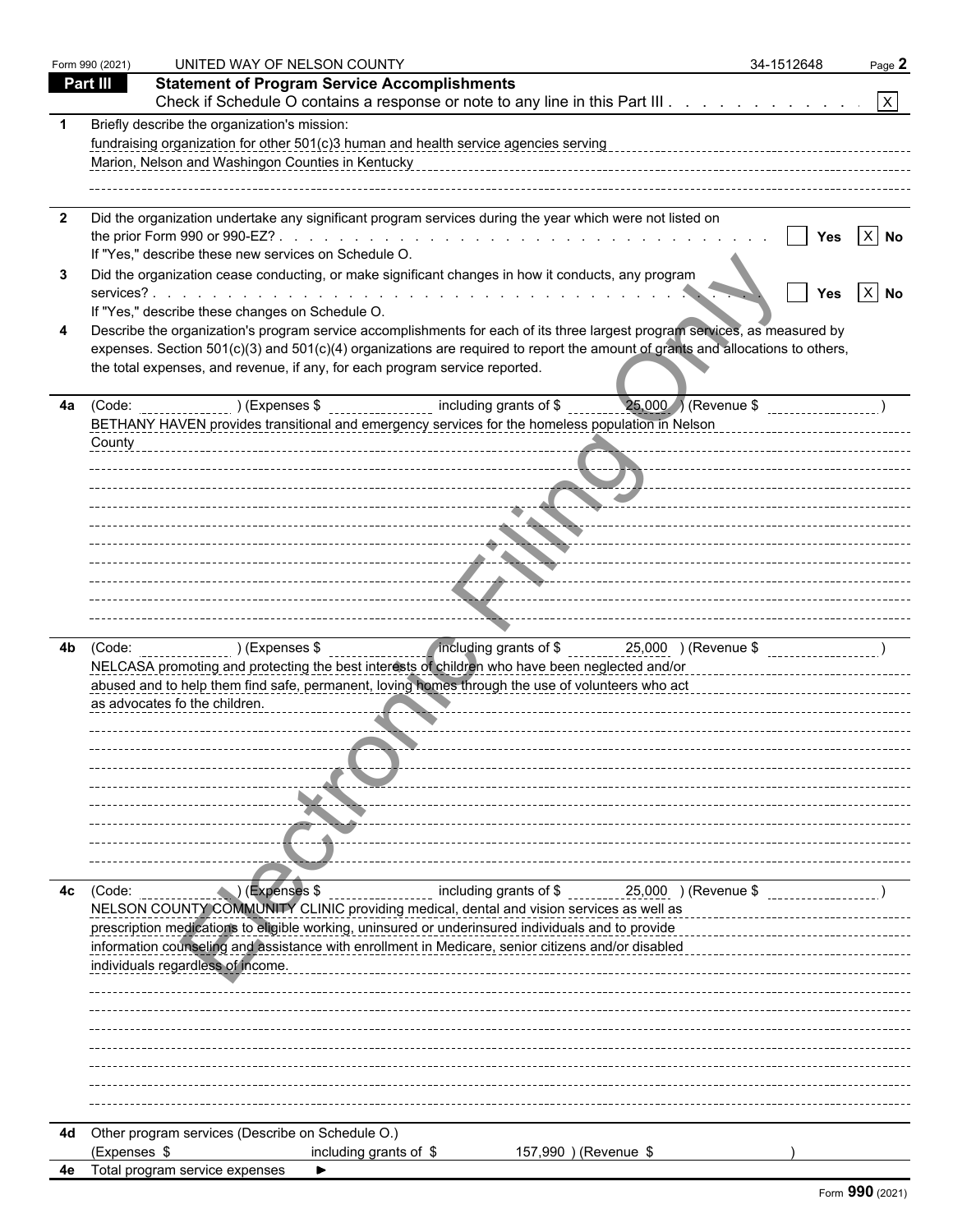|     | Form 990 (2021) | UNITED WAY OF NELSON COUNTY                                                                                                                                                                                                                                                                                                                                                                                                                                                          | 34-1512648 | Page 2              |
|-----|-----------------|--------------------------------------------------------------------------------------------------------------------------------------------------------------------------------------------------------------------------------------------------------------------------------------------------------------------------------------------------------------------------------------------------------------------------------------------------------------------------------------|------------|---------------------|
|     | Part III        | <b>Statement of Program Service Accomplishments</b>                                                                                                                                                                                                                                                                                                                                                                                                                                  |            |                     |
|     |                 | Check if Schedule O contains a response or note to any line in this Part III.                                                                                                                                                                                                                                                                                                                                                                                                        |            | $\lfloor x \rfloor$ |
|     |                 | Briefly describe the organization's mission:<br>Marion, Nelson and Washingon Counties in Kentucky                                                                                                                                                                                                                                                                                                                                                                                    |            |                     |
| -2  |                 | Did the organization undertake any significant program services during the year which were not listed on<br>If "Yes," describe these new services on Schedule O.                                                                                                                                                                                                                                                                                                                     |            | Yes $ X $ No        |
| 3   |                 | Did the organization cease conducting, or make significant changes in how it conducts, any program                                                                                                                                                                                                                                                                                                                                                                                   |            | Yes $ X $ No        |
|     |                 | If "Yes," describe these changes on Schedule O.<br>Describe the organization's program service accomplishments for each of its three largest program services, as measured by<br>expenses. Section 501(c)(3) and 501(c)(4) organizations are required to report the amount of grants and allocations to others,<br>the total expenses, and revenue, if any, for each program service reported.                                                                                       |            |                     |
| 4a  | County          | 25,000 ) (Revenue \$<br>(Code: Code: (Expenses \$ _______________ including grants of \$<br>BETHANY HAVEN provides transitional and emergency services for the homeless population in Nelson<br><u> 1989 - Januar Amerikaanse konstantinopoli</u>                                                                                                                                                                                                                                    |            |                     |
|     |                 | $\blacktriangleright$ $\blacktriangleright$ $\blacktriangleright$ $\blacktriangleright$ $\dashv$ $\dashv$ $\dashv$ $\dashv$ $\dashv$ $\dashv$ $\dashv$ $\dashv$ $\dashv$ $\dashv$ $\dashv$ $\dashv$ $\dashv$ $\dashv$ $\dashv$ $\dashv$ $\dashv$ $\dashv$ $\dashv$ $\dashv$ $\dashv$ $\dashv$ $\dashv$ $\dashv$ $\dashv$ $\dashv$ $\dashv$ $\dashv$ $\dashv$ $\dashv$ $\dashv$ $\dash$                                                                                               |            |                     |
|     |                 | -------------------- <del>----------</del> -                                                                                                                                                                                                                                                                                                                                                                                                                                         |            |                     |
| 4b. |                 | (Code: ________________) (Expenses \$ _________________ including grants of \$ _________25,000 ) (Revenue \$ ____________________)<br>NELCASA promoting and protecting the best interests of children who have been neglected and/or<br>NELCASA promoting and protecting the best interests of children who have been neglected and/or<br>abused and to help them find safe, permanent, loving homes through the use of volunteers who act<br>as advocates fo the children.          |            |                     |
|     |                 |                                                                                                                                                                                                                                                                                                                                                                                                                                                                                      |            |                     |
|     |                 |                                                                                                                                                                                                                                                                                                                                                                                                                                                                                      |            |                     |
| 4c  | (Code:          | $\left($ $\Box$ $\right)$ (Expenses \$<br>1990 (Revenue \$ 1000 millions of \$ 1,000 millions and \$ 1,000 millions \$ 1,000 millions \$<br>NELSON COUNTY COMMUNITY CLINIC providing medical, dental and vision services as well as<br>prescription medications to eligible working, uninsured or underinsured individuals and to provide<br>information counseling and assistance with enrollment in Medicare, senior citizens and/or disabled<br>individuals regardless of income. |            |                     |
|     |                 |                                                                                                                                                                                                                                                                                                                                                                                                                                                                                      |            |                     |
|     |                 |                                                                                                                                                                                                                                                                                                                                                                                                                                                                                      |            |                     |
| 4d  | (Expenses \$    | Other program services (Describe on Schedule O.)<br>157,990 ) (Revenue \$<br>including grants of \$                                                                                                                                                                                                                                                                                                                                                                                  |            |                     |
| 4e  |                 | Total program service expenses<br>▶                                                                                                                                                                                                                                                                                                                                                                                                                                                  |            |                     |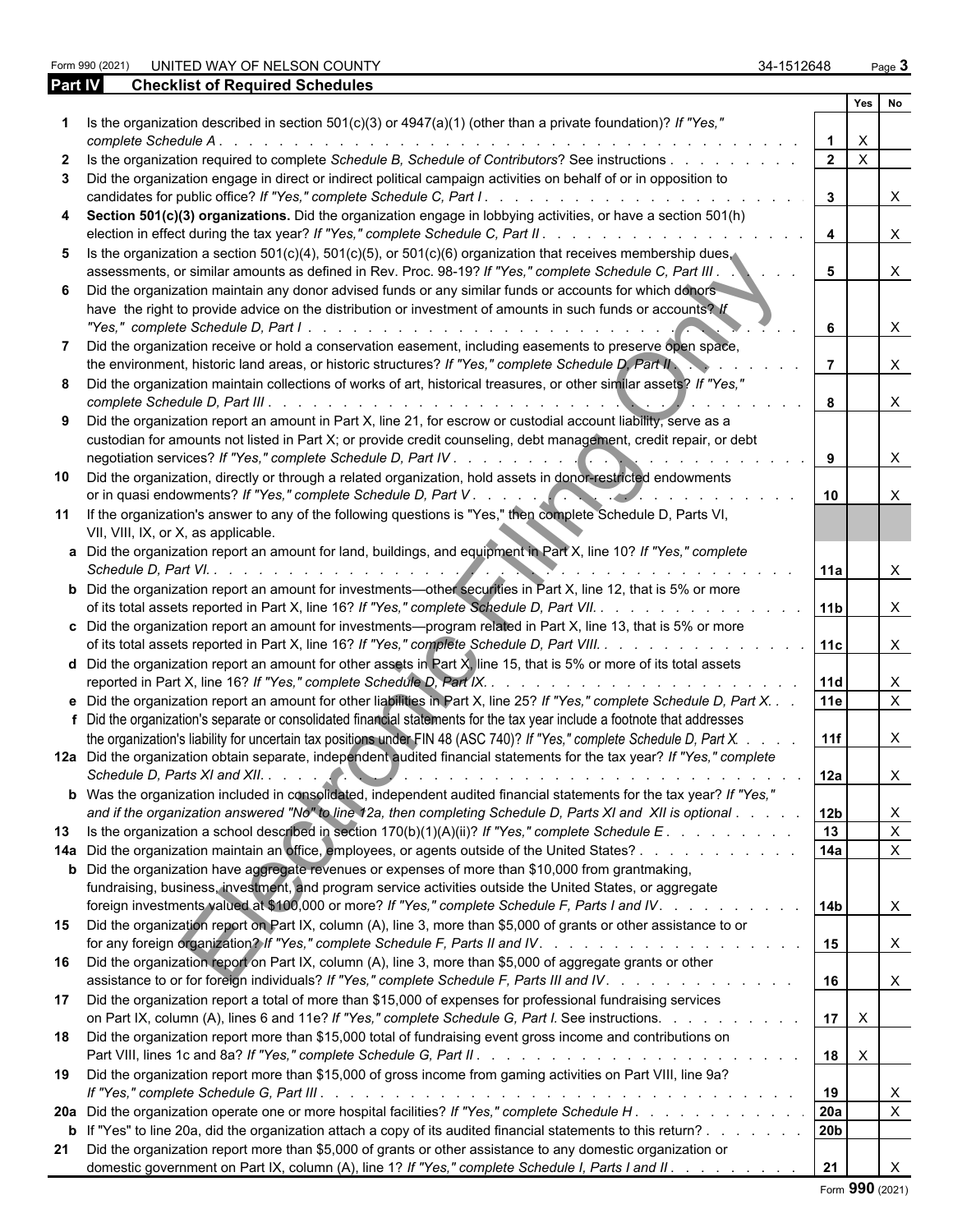Form 990 UNITED WAY OF NELSON COUNTY And the state of the state of the state of the state of the state of the state of the state of the state of the state of the state of the state of the state of the state of the state of

|    | <b>Checklist of Required Schedules</b><br><b>Part IV</b>                                                                                                                                                               |   |                         |                           |                           |
|----|------------------------------------------------------------------------------------------------------------------------------------------------------------------------------------------------------------------------|---|-------------------------|---------------------------|---------------------------|
|    |                                                                                                                                                                                                                        |   |                         | Yes                       | No                        |
|    | Is the organization described in section $501(c)(3)$ or $4947(a)(1)$ (other than a private foundation)? If "Yes,"<br>complete Schedule A.                                                                              |   |                         | $\times$                  |                           |
|    | Is the organization required to complete Schedule B, Schedule of Contributors? See instructions                                                                                                                        |   | $\overline{2}$          | $\boldsymbol{\mathsf{X}}$ |                           |
|    |                                                                                                                                                                                                                        |   |                         |                           |                           |
|    | Did the organization engage in direct or indirect political campaign activities on behalf of or in opposition to                                                                                                       |   | $\mathbf{3}$            |                           | $\times$                  |
|    | Section 501(c)(3) organizations. Did the organization engage in lobbying activities, or have a section 501(h)                                                                                                          |   | $\overline{\mathbf{4}}$ |                           | $\times$                  |
| 5. | Is the organization a section 501(c)(4), 501(c)(5), or 501(c)(6) organization that receives membership dues.                                                                                                           |   |                         |                           |                           |
|    | assessments, or similar amounts as defined in Rev. Proc. 98-19? If "Yes," complete Schedule C, Part III.                                                                                                               |   | 5                       |                           | $\mathsf{X}$              |
|    | Did the organization maintain any donor advised funds or any similar funds or accounts for which donors                                                                                                                |   |                         |                           |                           |
|    | have the right to provide advice on the distribution or investment of amounts in such funds or accounts? If                                                                                                            |   | 6                       |                           | $\boldsymbol{\mathsf{X}}$ |
|    | Did the organization receive or hold a conservation easement, including easements to preserve open space,                                                                                                              |   |                         |                           |                           |
|    | the environment, historic land areas, or historic structures? If "Yes," complete Schedule D, Part II                                                                                                                   |   | $\overline{7}$          |                           | $\times$                  |
|    | Did the organization maintain collections of works of art, historical treasures, or other similar assets? If "Yes,"                                                                                                    |   | 8                       |                           | $\times$                  |
|    | Did the organization report an amount in Part X, line 21, for escrow or custodial account liability, serve as a                                                                                                        |   |                         |                           |                           |
|    | custodian for amounts not listed in Part X; or provide credit counseling, debt management, credit repair, or debt                                                                                                      |   |                         |                           |                           |
|    |                                                                                                                                                                                                                        |   | 9                       |                           | $\times$                  |
| 10 | Did the organization, directly or through a related organization, hold assets in donor-restricted endowments<br>or in quasi endowments? If "Yes," complete Schedule D, Part V.                                         |   | 10                      |                           | $\times$                  |
|    | 11 If the organization's answer to any of the following questions is "Yes," then complete Schedule D, Parts VI,<br>VII, VIII, IX, or X, as applicable.                                                                 |   |                         |                           |                           |
|    | a Did the organization report an amount for land, buildings, and equipment in Part X, line 10? If "Yes," complete<br>Schedule D, Part VI.                                                                              |   | <b>11a</b>              |                           | $\times$                  |
|    | <b>b</b> Did the organization report an amount for investments—other securities in Part X, line 12, that is 5% or more<br>of its total assets reported in Part X, line 16? If "Yes," complete Schedule D, Part VII.    |   | 11b                     |                           | $\times$                  |
|    | c Did the organization report an amount for investments—program related in Part X, line 13, that is 5% or more<br>of its total assets reported in Part X, line 16? If "Yes," complete Schedule D, Part VIII.           |   | 11c                     |                           | $\times$                  |
|    | <b>d</b> Did the organization report an amount for other assets in Part X, line 15, that is 5% or more of its total assets<br>reported in Part X, line 16? If "Yes," complete Schedule D, Part IX. .                   | . | 11d                     |                           | $\mathsf{X}$              |
|    | e Did the organization report an amount for other liabilities in Part X, line 25? If "Yes," complete Schedule D, Part X                                                                                                |   | 11e                     |                           | $\mathsf{X}$              |
|    | f Did the organization's separate or consolidated financial statements for the tax year include a footnote that addresses                                                                                              |   |                         |                           |                           |
|    | the organization's liability for uncertain tax positions under FIN 48 (ASC 740)? If "Yes," complete Schedule D, Part X.                                                                                                |   | 11f                     |                           | $\mathsf{X}$              |
|    | 12a Did the organization obtain separate, independent audited financial statements for the tax year? If "Yes," complete                                                                                                |   |                         |                           |                           |
|    |                                                                                                                                                                                                                        |   | 112a                    |                           | X                         |
|    | b Was the organization included in consolidated, independent audited financial statements for the tax year? If "Yes,"                                                                                                  |   |                         |                           |                           |
|    | and if the organization answered "No" to line 12a, then completing Schedule D, Parts XI and XII is optional                                                                                                            |   | 12 <sub>b</sub>         |                           | $\mathsf{X}$              |
| 13 | Is the organization a school described in section $170(b)(1)(A)(ii)$ ? If "Yes," complete Schedule E.                                                                                                                  |   | 13                      |                           | $\boldsymbol{X}$          |
|    | 14a Did the organization maintain an office, employees, or agents outside of the United States?                                                                                                                        |   | 14a                     |                           | $\mathsf{X}$              |
|    | <b>b</b> Did the organization have aggregate revenues or expenses of more than \$10,000 from grantmaking,<br>fundraising, business, investment, and program service activities outside the United States, or aggregate |   |                         |                           |                           |
| 15 | foreign investments valued at \$100,000 or more? If "Yes," complete Schedule F, Parts I and IV.<br>Did the organization report on Part IX, column (A), line 3, more than \$5,000 of grants or other assistance to or   |   | 14b                     |                           | $\mathsf{X}$              |
| 16 | Did the organization report on Part IX, column (A), line 3, more than \$5,000 of aggregate grants or other                                                                                                             |   | 15                      |                           | $\mathsf{X}$              |
| 17 | assistance to or for foreign individuals? If "Yes," complete Schedule F, Parts III and IV.<br>Did the organization report a total of more than \$15,000 of expenses for professional fundraising services              |   | 16                      |                           | $\mathsf{X}$              |
| 18 | on Part IX, column (A), lines 6 and 11e? If "Yes," complete Schedule G, Part I. See instructions.<br>Did the organization report more than \$15,000 total of fundraising event gross income and contributions on       |   | 17                      | $\mathsf{X}$              |                           |
| 19 | Did the organization report more than \$15,000 of gross income from gaming activities on Part VIII, line 9a?                                                                                                           |   | 18                      | $\mathsf{X}$              |                           |
|    |                                                                                                                                                                                                                        |   | 19                      |                           | $\mathsf{X}$              |
|    | 20a Did the organization operate one or more hospital facilities? If "Yes," complete Schedule H.                                                                                                                       |   | 20a                     |                           | $\boldsymbol{X}$          |
|    | <b>b</b> If "Yes" to line 20a, did the organization attach a copy of its audited financial statements to this return?                                                                                                  |   | 20b                     |                           |                           |
|    | 21 Did the organization report more than \$5,000 of grants or other assistance to any domestic organization or<br>domestic government on Part IX, column (A), line 1? If "Yes," complete Schedule I, Parts I and II.   |   | 21                      |                           |                           |

Form **990** (2021)

| Form 990 (202 |  |
|---------------|--|
|               |  |
|               |  |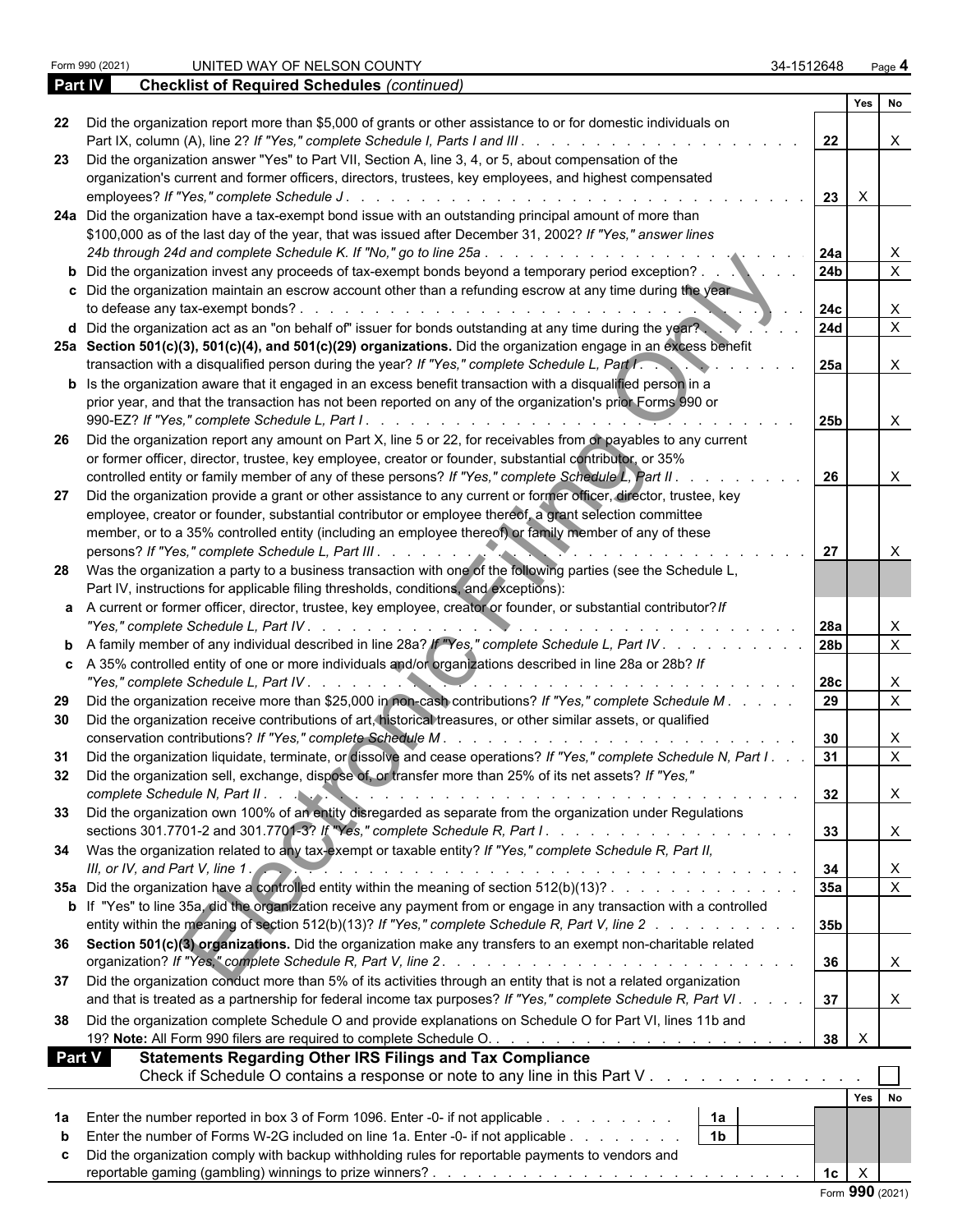|     |                                                                                                                                                                                                                           | Yes                                         |        | No                        |
|-----|---------------------------------------------------------------------------------------------------------------------------------------------------------------------------------------------------------------------------|---------------------------------------------|--------|---------------------------|
| 22  | Did the organization report more than \$5,000 of grants or other assistance to or for domestic individuals on                                                                                                             | 22                                          |        | $\boldsymbol{\mathsf{X}}$ |
| 23  | Did the organization answer "Yes" to Part VII, Section A, line 3, 4, or 5, about compensation of the                                                                                                                      |                                             |        |                           |
|     | organization's current and former officers, directors, trustees, key employees, and highest compensated                                                                                                                   |                                             |        |                           |
|     | employees? If "Yes," complete Schedule J.                                                                                                                                                                                 | 23<br>$\mathsf{X}$                          |        |                           |
|     | 24a Did the organization have a tax-exempt bond issue with an outstanding principal amount of more than                                                                                                                   |                                             |        |                           |
|     | \$100,000 as of the last day of the year, that was issued after December 31, 2002? If "Yes," answer lines                                                                                                                 |                                             |        |                           |
|     | 24b through 24d and complete Schedule K. If "No," go to line 25a.<br>24a<br>and a straight and a straight and                                                                                                             |                                             |        | $\mathsf{X}$              |
|     | 24 <sub>b</sub><br>b Did the organization invest any proceeds of tax-exempt bonds beyond a temporary period exception?.                                                                                                   |                                             |        | $\overline{\mathsf{x}}$   |
|     | c Did the organization maintain an escrow account other than a refunding escrow at any time during the year<br>to defease any tax-exempt bonds?.<br>24c                                                                   |                                             |        | X                         |
|     | <b>24d</b><br>d Did the organization act as an "on behalf of" issuer for bonds outstanding at any time during the year?                                                                                                   |                                             |        | $\mathsf{X}$              |
|     | 25a Section 501(c)(3), 501(c)(4), and 501(c)(29) organizations. Did the organization engage in an excess benefit<br>transaction with a disqualified person during the year? If "Yes," complete Schedule L, Part I.<br>25a |                                             |        | $\mathsf{X}$              |
|     | <b>b</b> Is the organization aware that it engaged in an excess benefit transaction with a disqualified person in a                                                                                                       |                                             |        |                           |
|     | prior year, and that the transaction has not been reported on any of the organization's prior Forms 990 or                                                                                                                |                                             |        |                           |
|     | 990-EZ? If "Yes," complete Schedule L, Part I.                                                                                                                                                                            | 25 <sub>b</sub>                             |        | $\boldsymbol{\mathsf{X}}$ |
| -26 | Did the organization report any amount on Part X, line 5 or 22, for receivables from or payables to any current                                                                                                           |                                             |        |                           |
|     | or former officer, director, trustee, key employee, creator or founder, substantial contributor, or 35%                                                                                                                   |                                             |        |                           |
|     | controlled entity or family member of any of these persons? If "Yes," complete Schedule L, Part II.                                                                                                                       | 26                                          |        | $\boldsymbol{\mathsf{X}}$ |
| 27  | Did the organization provide a grant or other assistance to any current or former officer, director, trustee, key                                                                                                         |                                             |        |                           |
|     | employee, creator or founder, substantial contributor or employee thereof, a grant selection committee                                                                                                                    |                                             |        |                           |
|     | member, or to a 35% controlled entity (including an employee thereof) or family member of any of these                                                                                                                    |                                             |        |                           |
|     | persons? If "Yes," complete Schedule L, Part III                                                                                                                                                                          | 27                                          |        | X                         |
|     | 28 Was the organization a party to a business transaction with one of the following parties (see the Schedule L,<br>Part IV, instructions for applicable filing thresholds, conditions, and exceptions):                  |                                             |        |                           |
|     | a A current or former officer, director, trustee, key employee, creator or founder, or substantial contributor? If                                                                                                        |                                             |        |                           |
|     | "Yes," complete Schedule L, Part IV.<br>l 28a                                                                                                                                                                             |                                             |        | $\mathsf{X}$              |
|     | 28b<br><b>b</b> A family member of any individual described in line 28a? If "Yes," complete Schedule L, Part IV                                                                                                           |                                             |        | $\overline{\mathsf{x}}$   |
|     | c A 35% controlled entity of one or more individuals and/or organizations described in line 28a or 28b? If<br>"Yes," complete Schedule L, Part IV.                                                                        | 28c                                         |        | $\mathsf{X}$              |
| 29  | Did the organization receive more than \$25,000 in non-cash contributions? If "Yes," complete Schedule M. .                                                                                                               | 29                                          |        | $\overline{X}$            |
| 30  | Did the organization receive contributions of art, historical treasures, or other similar assets, or qualified                                                                                                            |                                             |        |                           |
|     | conservation contributions? If "Yes," complete Schedule M.                                                                                                                                                                | 30                                          |        | $\mathsf{X}$              |
| 31  | Did the organization liquidate, terminate, or dissolve and cease operations? If "Yes," complete Schedule N, Part I.                                                                                                       | 31                                          |        | $\overline{X}$            |
| 32  | Did the organization sell, exchange, dispose of, or transfer more than 25% of its net assets? If "Yes,"                                                                                                                   |                                             |        |                           |
|     |                                                                                                                                                                                                                           |                                             |        | $\sim$                    |
|     | Did the organization own 100% of an entity disregarded as separate from the organization under Regulations                                                                                                                |                                             |        |                           |
|     |                                                                                                                                                                                                                           | 33                                          |        | $\mathsf{X}$              |
|     | 34 Was the organization related to any tax-exempt or taxable entity? If "Yes," complete Schedule R, Part II,                                                                                                              |                                             |        |                           |
|     | III, or IV, and Part V, line 1.<br>34                                                                                                                                                                                     |                                             |        | $\mathsf{X}$              |
|     | 35a<br>35a Did the organization have a controlled entity within the meaning of section 512(b)(13)?                                                                                                                        |                                             |        | $\overline{X}$            |
|     | b If "Yes" to line 35a, did the organization receive any payment from or engage in any transaction with a controlled                                                                                                      |                                             |        |                           |
|     | entity within the meaning of section 512(b)(13)? If "Yes," complete Schedule R, Part V, line 2<br>35b                                                                                                                     |                                             |        |                           |
|     | 36 Section 501(c)(3) organizations. Did the organization make any transfers to an exempt non-charitable related                                                                                                           |                                             |        |                           |
|     |                                                                                                                                                                                                                           | 36                                          |        | X                         |
| 37  | Did the organization conduct more than 5% of its activities through an entity that is not a related organization                                                                                                          |                                             |        |                           |
|     | and that is treated as a partnership for federal income tax purposes? If "Yes," complete Schedule R, Part VI.<br>37                                                                                                       |                                             |        | $\mathsf{X}$              |
| 38  | Did the organization complete Schedule O and provide explanations on Schedule O for Part VI, lines 11b and                                                                                                                | $\boldsymbol{\mathsf{X}}$<br>38             |        |                           |
|     | <b>Part V</b><br><b>Statements Regarding Other IRS Filings and Tax Compliance</b>                                                                                                                                         |                                             |        |                           |
|     | Check if Schedule O contains a response or note to any line in this Part V                                                                                                                                                |                                             |        |                           |
|     |                                                                                                                                                                                                                           |                                             | Yes No |                           |
| 1a  | Enter the number reported in box 3 of Form 1096. Enter -0- if not applicable<br>1a                                                                                                                                        |                                             |        |                           |
| b   | 1 <sub>b</sub><br>Enter the number of Forms W-2G included on line 1a. Enter -0- if not applicable                                                                                                                         |                                             |        |                           |
|     | Did the organization comply with backup withholding rules for reportable payments to vendors and                                                                                                                          |                                             |        |                           |
|     |                                                                                                                                                                                                                           | $\boldsymbol{\mathsf{X}}$<br>1 <sub>c</sub> |        |                           |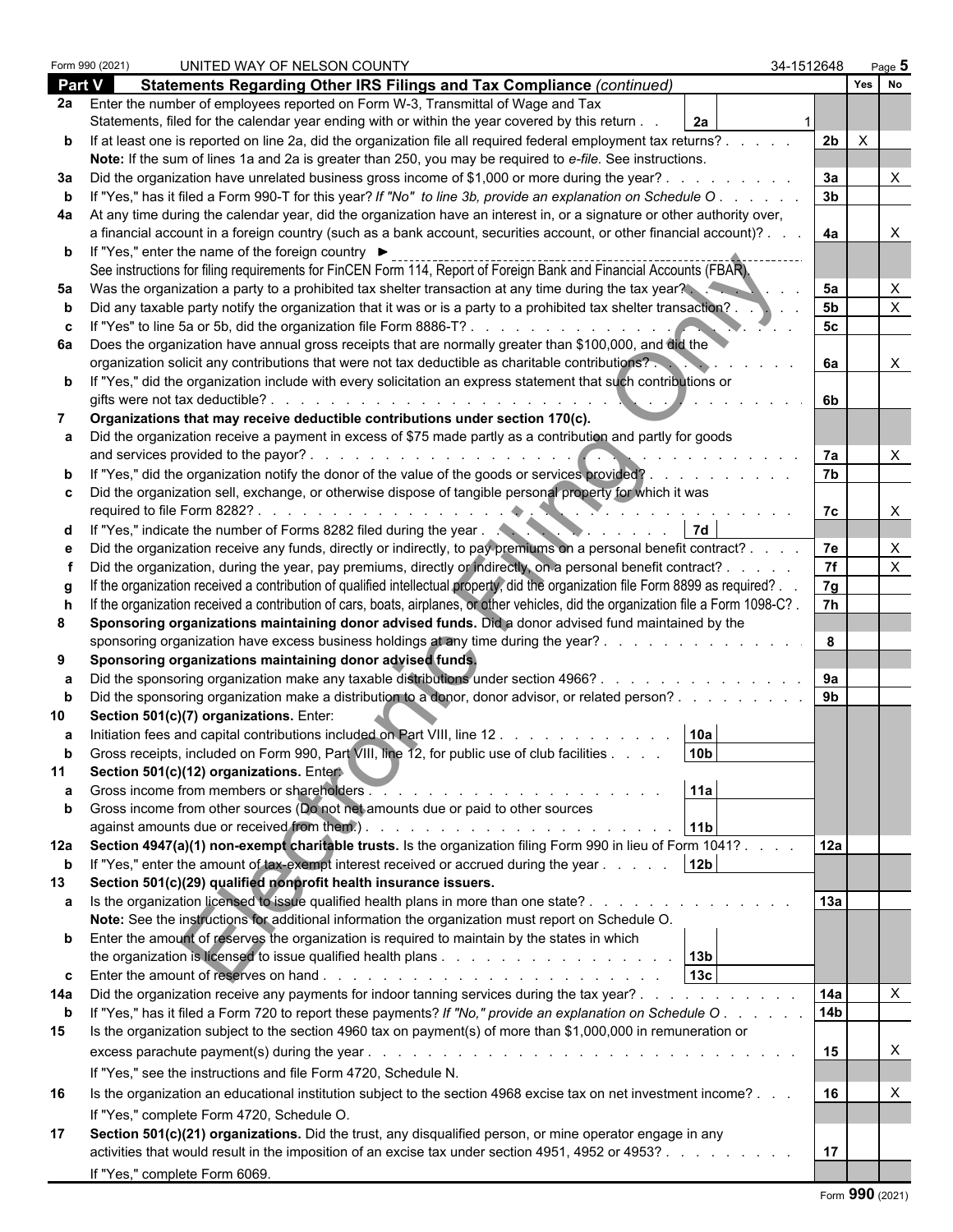|               | Form 990 (2021) | UNITED WAY OF NELSON COUNTY                                                                                                                                                      | 34-1512648      |              | Page ${\bf 5}$ |  |
|---------------|-----------------|----------------------------------------------------------------------------------------------------------------------------------------------------------------------------------|-----------------|--------------|----------------|--|
| <b>Part V</b> |                 | Statements Regarding Other IRS Filings and Tax Compliance (continued)                                                                                                            |                 | Yes No       |                |  |
|               |                 | 2a Enter the number of employees reported on Form W-3, Transmittal of Wage and Tax                                                                                               |                 |              |                |  |
|               |                 | Statements, filed for the calendar year ending with or within the year covered by this return.<br>2a                                                                             |                 |              |                |  |
|               |                 | b If at least one is reported on line 2a, did the organization file all required federal employment tax returns?.                                                                | 2b              | $\mathbf{X}$ |                |  |
|               |                 | Note: If the sum of lines 1a and 2a is greater than 250, you may be required to e-file. See instructions.                                                                        |                 |              |                |  |
| За            |                 | Did the organization have unrelated business gross income of \$1,000 or more during the year?                                                                                    | 3a              |              |                |  |
|               |                 | "Yes," has it filed a Form 990-T for this year? If "No" to line 3b, provide an explanation on Schedule O                                                                         | 3 <sub>b</sub>  |              |                |  |
| 4a            |                 | At any time during the calendar year, did the organization have an interest in, or a signature or other authority over,                                                          |                 |              |                |  |
|               |                 | a financial account in a foreign country (such as a bank account, securities account, or other financial account)?.                                                              | 4a              |              |                |  |
|               |                 | <b>b</b> If "Yes," enter the name of the foreign country ▶                                                                                                                       |                 |              |                |  |
|               |                 | See instructions for filing requirements for FinCEN Form 114, Report of Foreign Bank and Financial Accounts (FBAR).                                                              |                 |              |                |  |
| 5a            |                 | Was the organization a party to a prohibited tax shelter transaction at any time during the tax year?                                                                            | 5a              |              |                |  |
|               |                 | Did any taxable party notify the organization that it was or is a party to a prohibited tax shelter transaction?                                                                 | 5 <sub>b</sub>  |              |                |  |
|               |                 |                                                                                                                                                                                  | 5 <sub>c</sub>  |              |                |  |
| 6а            |                 | Does the organization have annual gross receipts that are normally greater than \$100,000, and did the                                                                           |                 |              |                |  |
|               |                 | organization solicit any contributions that were not tax deductible as charitable contributions?                                                                                 | 6а              |              |                |  |
| <b>b</b> If   |                 | "Yes," did the organization include with every solicitation an express statement that such contributions or                                                                      |                 |              |                |  |
|               |                 |                                                                                                                                                                                  | 6b              |              |                |  |
|               |                 | Organizations that may receive deductible contributions under section 170(c).                                                                                                    |                 |              |                |  |
| a             |                 | Did the organization receive a payment in excess of \$75 made partly as a contribution and partly for goods                                                                      |                 |              |                |  |
|               |                 |                                                                                                                                                                                  | 7a              |              |                |  |
|               |                 | "Yes," did the organization notify the donor of the value of the goods or services provided?                                                                                     | 7 <sub>b</sub>  |              |                |  |
|               |                 | c Did the organization sell, exchange, or otherwise dispose of tangible personal property for which it was                                                                       |                 |              |                |  |
|               |                 |                                                                                                                                                                                  | 7c              |              |                |  |
| d             |                 | "Yes," indicate the number of Forms 8282 filed during the year<br>  7d                                                                                                           |                 |              |                |  |
| e             |                 | Did the organization receive any funds, directly or indirectly, to pay premiums on a personal benefit contract?                                                                  | 7e              |              |                |  |
|               |                 | Did the organization, during the year, pay premiums, directly or indirectly, on a personal benefit contract?.                                                                    | 7f              |              |                |  |
| q             |                 | If the organization received a contribution of qualified intellectual property, did the organization file Form 8899 as required?                                                 | 7g              |              |                |  |
|               |                 | If the organization received a contribution of cars, boats, airplanes, or other vehicles, did the organization file a Form 1098-C?.                                              | 7 <sub>h</sub>  |              |                |  |
|               |                 | Sponsoring organizations maintaining donor advised funds. Did a donor advised fund maintained by the                                                                             |                 |              |                |  |
|               |                 | sponsoring organization have excess business holdings at any time during the year?<br>and the company of the company of the                                                      | 8               |              |                |  |
|               |                 | Sponsoring organizations maintaining donor advised funds.                                                                                                                        |                 |              |                |  |
|               |                 | Did the sponsoring organization make any taxable distributions under section 4966? .<br>$\mathbf{r}$ , and $\mathbf{r}$ , and $\mathbf{r}$ , and $\mathbf{r}$ , and $\mathbf{r}$ | 9а              |              |                |  |
| b             |                 | Did the sponsoring organization make a distribution to a donor, donor advisor, or related person?                                                                                | 9 <sub>b</sub>  |              |                |  |
| 10            |                 | Section 501(c)(7) organizations. Enter:                                                                                                                                          |                 |              |                |  |
|               |                 | Initiation fees and capital contributions included on Part VIII, line 12.<br>  10a<br>$\mathbf{r}$ , and $\mathbf{r}$ , and $\mathbf{r}$ , and $\mathbf{r}$                      |                 |              |                |  |
|               |                 | 10 <sub>h</sub><br>Gross receipts, included on Form 990, Part VIII, line 12, for public use of club facilities                                                                   |                 |              |                |  |
| 11            |                 | Section 501(c)(12) organizations. Enter                                                                                                                                          |                 |              |                |  |
|               |                 | Gross income from members or shareholders.<br>11a                                                                                                                                |                 |              |                |  |
| $\mathbf{b}$  |                 | Gross income from other sources (Do not net amounts due or paid to other sources                                                                                                 |                 |              |                |  |
|               |                 | against amounts due or received from them.).<br> 11b <br>and the state of the state of the state of the state of the state of the state of the state of the state of the         |                 |              |                |  |
| 12a           |                 | Section 4947(a)(1) non-exempt charitable trusts. Is the organization filing Form 990 in lieu of Form 1041?.                                                                      | 12a             |              |                |  |
| b             |                 | If "Yes," enter the amount of tax-exempt interest received or accrued during the year<br>12 <sub>b</sub>                                                                         |                 |              |                |  |
| 13            |                 | Section 501(c)(29) qualified nonprofit health insurance issuers.                                                                                                                 |                 |              |                |  |
| а             |                 | Is the organization licensed to issue qualified health plans in more than one state?.                                                                                            | 13a             |              |                |  |
|               |                 | Note: See the instructions for additional information the organization must report on Schedule O.                                                                                |                 |              |                |  |
|               |                 | <b>b</b> Enter the amount of reserves the organization is required to maintain by the states in which                                                                            |                 |              |                |  |
|               |                 | the organization is licensed to issue qualified health plans $\ldots$ , $\ldots$ , $\ldots$ , $\ldots$ , $\ldots$ , $\ldots$                                                     |                 |              |                |  |
| c.            |                 | 13 <sub>c</sub>                                                                                                                                                                  |                 |              |                |  |
|               |                 | Did the organization receive any payments for indoor tanning services during the tax year?                                                                                       | 14a             |              |                |  |
| <b>b</b>      |                 | If "Yes," has it filed a Form 720 to report these payments? If "No," provide an explanation on Schedule O.                                                                       | 14 <sub>b</sub> |              |                |  |
| 15            |                 | Is the organization subject to the section 4960 tax on payment(s) of more than \$1,000,000 in remuneration or                                                                    |                 |              |                |  |
|               |                 |                                                                                                                                                                                  | 15              |              |                |  |
|               |                 | If "Yes," see the instructions and file Form 4720, Schedule N.                                                                                                                   |                 |              |                |  |
| 16            |                 | Is the organization an educational institution subject to the section 4968 excise tax on net investment income?                                                                  | 16              |              |                |  |
|               |                 | If "Yes," complete Form 4720, Schedule O.                                                                                                                                        |                 |              |                |  |
| 17            |                 | Section 501(c)(21) organizations. Did the trust, any disqualified person, or mine operator engage in any                                                                         |                 |              |                |  |
|               |                 | activities that would result in the imposition of an excise tax under section 4951, 4952 or 4953?                                                                                | 17              |              |                |  |
|               |                 | If "Yes," complete Form 6069.                                                                                                                                                    |                 |              |                |  |
|               |                 |                                                                                                                                                                                  |                 |              |                |  |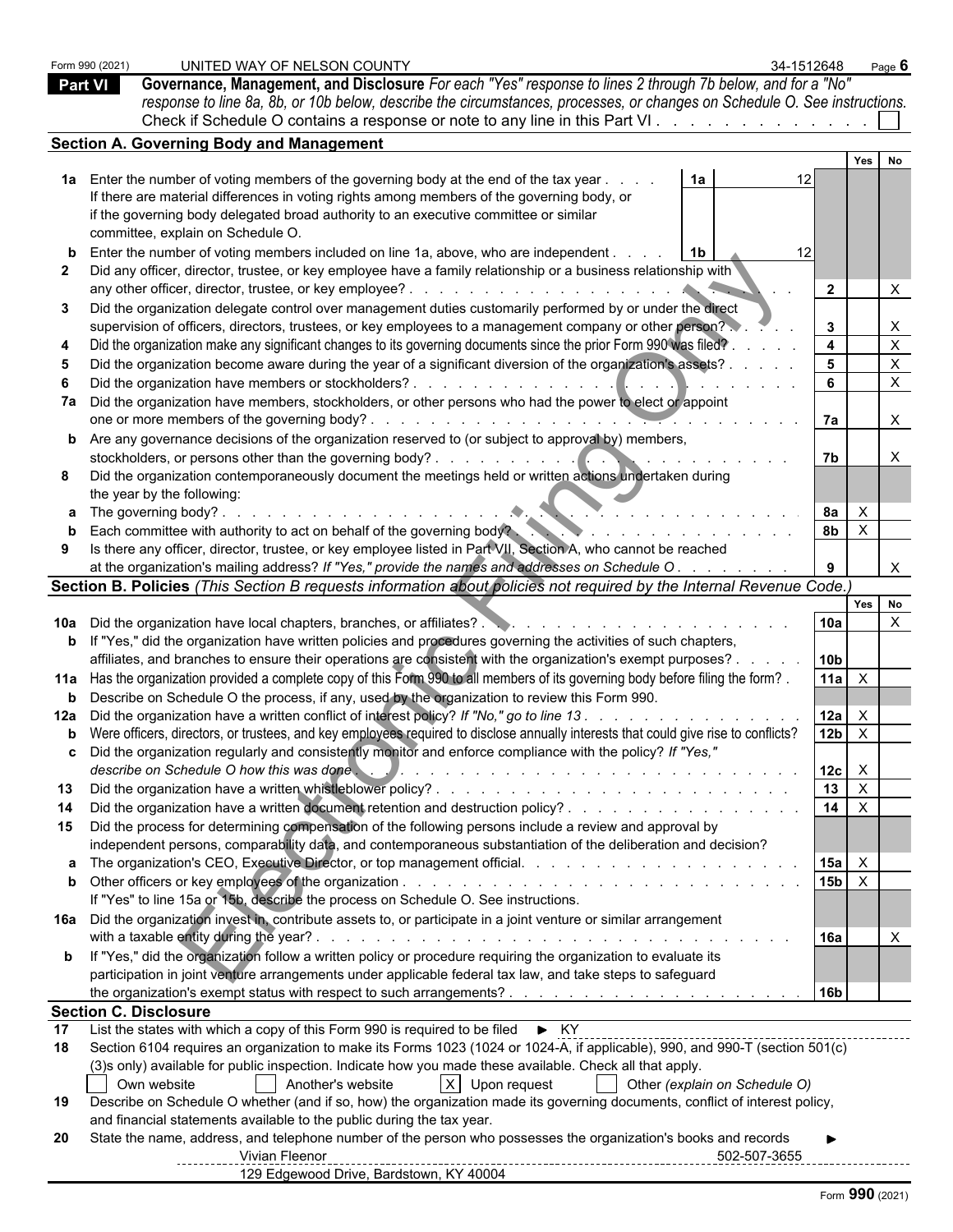|    | Form 990 (2021)<br><b>Part VI</b> | UNITED WAY OF NELSON COUNTY<br>Governance, Management, and Disclosure For each "Yes" response to lines 2 through 7b below, and for a "No"<br>response to line 8a, 8b, or 10b below, describe the circumstances, processes, or changes on Schedule O. See instructions.<br>Check if Schedule O contains a response or note to any line in this Part VI. | 34-1512648              |                              | Page $6$     |  |
|----|-----------------------------------|--------------------------------------------------------------------------------------------------------------------------------------------------------------------------------------------------------------------------------------------------------------------------------------------------------------------------------------------------------|-------------------------|------------------------------|--------------|--|
|    |                                   | <b>Section A. Governing Body and Management</b>                                                                                                                                                                                                                                                                                                        |                         |                              |              |  |
|    |                                   |                                                                                                                                                                                                                                                                                                                                                        |                         | Yes                          |              |  |
|    |                                   | 1a Enter the number of voting members of the governing body at the end of the tax year<br>1a<br>If there are material differences in voting rights among members of the governing body, or<br>if the governing body delegated broad authority to an executive committee or similar<br>committee, explain on Schedule O.                                | 12                      |                              |              |  |
|    |                                   | Enter the number of voting members included on line 1a, above, who are independent.<br>l 1b<br>Did any officer, director, trustee, or key employee have a family relationship or a business relationship with                                                                                                                                          | 12<br>$\overline{2}$    |                              |              |  |
| 3  |                                   | Did the organization delegate control over management duties customarily performed by or under the direct<br>supervision of officers, directors, trustees, or key employees to a management company or other person?                                                                                                                                   | $3^{\circ}$             |                              | X            |  |
|    |                                   | Did the organization make any significant changes to its governing documents since the prior Form 990 was filed?.                                                                                                                                                                                                                                      | $\overline{\mathbf{4}}$ |                              | X            |  |
|    |                                   | Did the organization become aware during the year of a significant diversion of the organization's assets? .                                                                                                                                                                                                                                           | 5                       |                              |              |  |
|    |                                   |                                                                                                                                                                                                                                                                                                                                                        | 6                       |                              | X            |  |
|    |                                   | 7a Did the organization have members, stockholders, or other persons who had the power to elect of appoint                                                                                                                                                                                                                                             | 7a                      |                              |              |  |
|    |                                   | <b>b</b> Are any governance decisions of the organization reserved to (or subject to approval by) members,                                                                                                                                                                                                                                             |                         |                              |              |  |
| 8  |                                   | Did the organization contemporaneously document the meetings held or written actions undertaken during<br>the year by the following:                                                                                                                                                                                                                   | 7b                      |                              |              |  |
|    |                                   | <b>a</b> The governing body?.<br>.                                                                                                                                                                                                                                                                                                                     | 8а                      | $\mathsf{X}$                 |              |  |
|    |                                   | Each committee with authority to act on behalf of the governing body?                                                                                                                                                                                                                                                                                  | 8 <sub>b</sub>          | $\mathsf{X}$                 |              |  |
|    |                                   | Is there any officer, director, trustee, or key employee listed in Part VII, Section A, who cannot be reached                                                                                                                                                                                                                                          |                         |                              |              |  |
|    |                                   | at the organization's mailing address? If "Yes," provide the names and addresses on Schedule O.                                                                                                                                                                                                                                                        |                         |                              | $\times$     |  |
|    |                                   | Section B. Policies (This Section B requests information about policies not required by the Internal Revenue Code.)                                                                                                                                                                                                                                    |                         | Yes                          | No           |  |
|    |                                   |                                                                                                                                                                                                                                                                                                                                                        | 10a                     |                              | $\mathsf{X}$ |  |
|    |                                   | <b>b</b> If "Yes," did the organization have written policies and procedures governing the activities of such chapters,                                                                                                                                                                                                                                |                         |                              |              |  |
|    |                                   | affiliates, and branches to ensure their operations are consistent with the organization's exempt purposes?                                                                                                                                                                                                                                            | 10 <sub>b</sub>         |                              |              |  |
|    |                                   | 11a Has the organization provided a complete copy of this Form 990 to all members of its governing body before filing the form?                                                                                                                                                                                                                        | 11a $\overline{X}$      |                              |              |  |
|    |                                   | Describe on Schedule O the process, if any, used by the organization to review this Form 990.                                                                                                                                                                                                                                                          |                         |                              |              |  |
|    |                                   | 12a Did the organization have a written conflict of interest policy? If "No," go to line 13.<br>b Were officers, directors, or trustees, and key employees required to disclose annually interests that could give rise to conflicts?                                                                                                                  | 12a<br>12 <sub>b</sub>  | $\mathsf{X}$<br>$\mathsf{X}$ |              |  |
|    |                                   | c Did the organization regularly and consistently monitor and enforce compliance with the policy? If "Yes,<br>describe on Schedule O how this was done.                                                                                                                                                                                                |                         |                              |              |  |
| 13 |                                   |                                                                                                                                                                                                                                                                                                                                                        | 12c<br>13               | $\mathsf{X}$<br>$\mathsf{X}$ |              |  |
|    |                                   | Did the organization have a written document retention and destruction policy?                                                                                                                                                                                                                                                                         | 14                      | $\mathsf{X}$                 |              |  |
| 15 |                                   | Did the process for determining compensation of the following persons include a review and approval by                                                                                                                                                                                                                                                 |                         |                              |              |  |
|    |                                   | independent persons, comparability data, and contemporaneous substantiation of the deliberation and decision?                                                                                                                                                                                                                                          |                         |                              |              |  |
|    |                                   |                                                                                                                                                                                                                                                                                                                                                        | 15a                     | $\mathsf{X}$                 |              |  |
|    |                                   | If "Yes" to line 15a or 15b, describe the process on Schedule O. See instructions.                                                                                                                                                                                                                                                                     | $15b$ $X$               |                              |              |  |
|    |                                   | 16a Did the organization invest in, contribute assets to, or participate in a joint venture or similar arrangement                                                                                                                                                                                                                                     |                         |                              |              |  |
|    |                                   | with a taxable entity during the year?.<br>and a constitution of the constitution of the constitution of the constitution of the constitution of the constitution of the constitution of the constitution of the constitution of the constitution of the constitution of                                                                               | 16a                     |                              |              |  |
|    |                                   | <b>b</b> If "Yes," did the organization follow a written policy or procedure requiring the organization to evaluate its<br>participation in joint venture arrangements under applicable federal tax law, and take steps to safeguard                                                                                                                   |                         |                              |              |  |
|    |                                   |                                                                                                                                                                                                                                                                                                                                                        | 16 <sub>b</sub>         |                              |              |  |
| 17 |                                   | <b>Section C. Disclosure</b><br>List the states with which a copy of this Form 990 is required to be filed ► KY                                                                                                                                                                                                                                        |                         |                              |              |  |
| 18 |                                   | Section 6104 requires an organization to make its Forms 1023 (1024 or 1024-A, if applicable), 990, and 990-T (section 501(c)                                                                                                                                                                                                                           |                         |                              |              |  |
|    |                                   | (3) sonly) available for public inspection. Indicate how you made these available. Check all that apply.                                                                                                                                                                                                                                               |                         |                              |              |  |
| 19 |                                   | X Upon request<br>Own website<br>Another's website<br>Other (explain on Schedule O)<br>Describe on Schedule O whether (and if so, how) the organization made its governing documents, conflict of interest policy,                                                                                                                                     |                         |                              |              |  |
|    |                                   | and financial statements available to the public during the tax year.                                                                                                                                                                                                                                                                                  |                         |                              |              |  |
| 20 |                                   | State the name, address, and telephone number of the person who possesses the organization's books and records<br>Vivian Fleenor<br>502-507-3655                                                                                                                                                                                                       |                         |                              |              |  |
|    |                                   | ------------<br>129 Edgewood Drive, Bardstown, KY 40004                                                                                                                                                                                                                                                                                                | -------------------     |                              |              |  |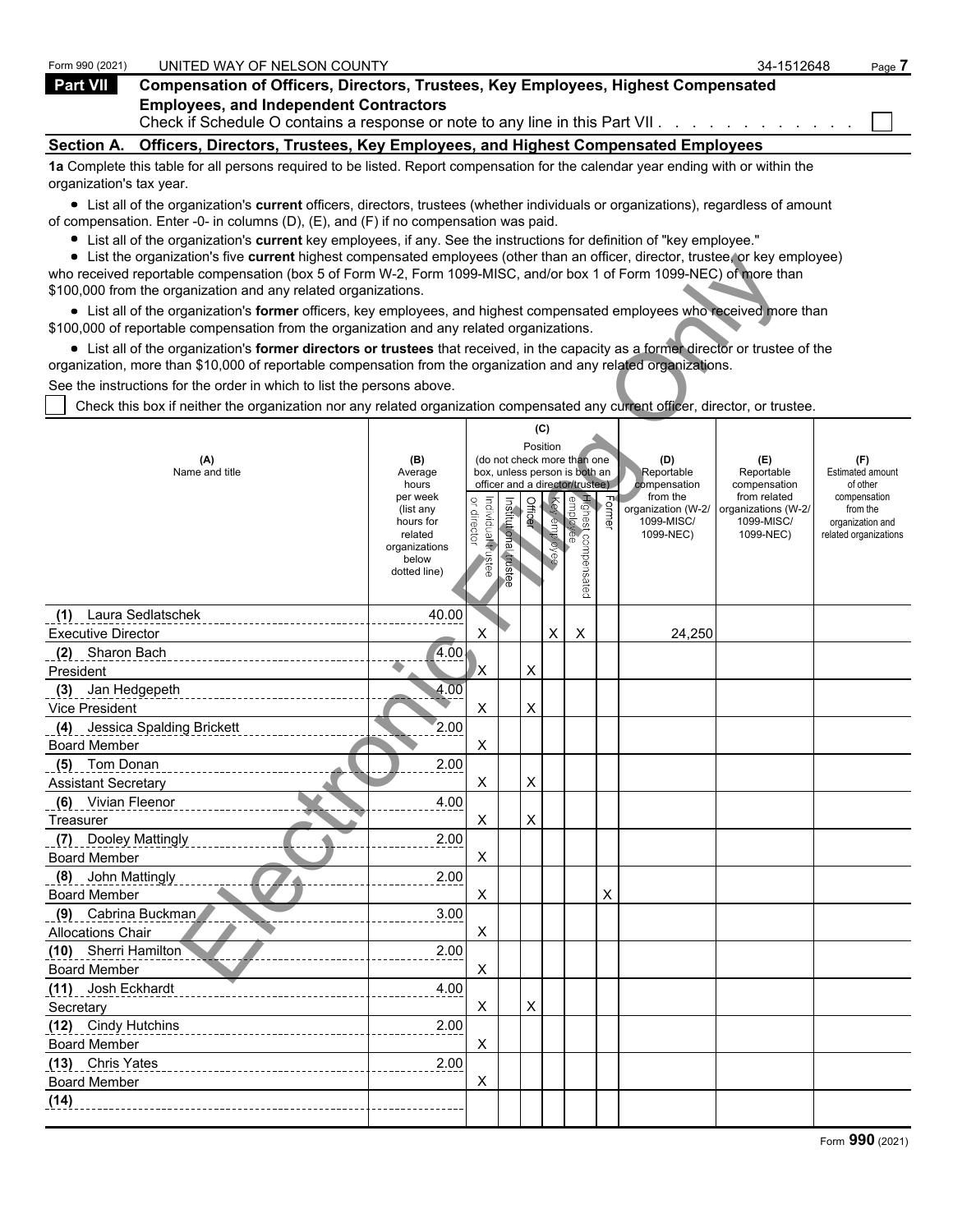| Form 990 (2021)          | UNITED WAY OF NELSON COUNTY                                                                                                       | 34-1512648 | Page 7 |
|--------------------------|-----------------------------------------------------------------------------------------------------------------------------------|------------|--------|
| Part VII                 | <b>Compensation of Officers, Directors, Trustees, Key Employees, Highest Compensated</b>                                          |            |        |
|                          | <b>Employees, and Independent Contractors</b><br>Check if Schedule O contains a response or note to any line in this Part VII. 1  |            |        |
|                          | Section A. Officers, Directors, Trustees, Key Employees, and Highest Compensated Employees                                        |            |        |
| organization's tax year. | 1a Complete this table for all persons required to be listed. Report compensation for the calendar year ending with or within the |            |        |

List all of the organization's **current** officers, directors, trustees (whether individuals or organizations), regardless of amount of compensation. Enter -0- in columns (D), (E), and (F) if no compensation was paid.

List all of the organization's **current** key employees, if any. See the instructions for definition of "key employee."

List the organization's five **current** highest compensated employees (other than an officer, director, trustee, or key employee) who received reportable compensation (box 5 of Form W-2, Form 1099-MISC, and/or box 1 of Form 1099-NEC) of more than \$100,000 from the organization and any related organizations.

| $\bullet$ List the organization's five current highest compensated employees (other than an officer, director, trustee, or key employee)<br>who received reportable compensation (box 5 of Form W-2, Form 1099-MISC, and/or box 1 of Form 1099-NEC) of more than |                          |                                   |                       |         |              |                                                                  |        |                                  |                                   |                                     |
|------------------------------------------------------------------------------------------------------------------------------------------------------------------------------------------------------------------------------------------------------------------|--------------------------|-----------------------------------|-----------------------|---------|--------------|------------------------------------------------------------------|--------|----------------------------------|-----------------------------------|-------------------------------------|
| \$100,000 from the organization and any related organizations.                                                                                                                                                                                                   |                          |                                   |                       |         |              |                                                                  |        |                                  |                                   |                                     |
| • List all of the organization's former officers, key employees, and highest compensated employees who received more than<br>\$100,000 of reportable compensation from the organization and any related organizations.                                           |                          |                                   |                       |         |              |                                                                  |        |                                  |                                   |                                     |
| • List all of the organization's former directors or trustees that received, in the capacity as a former director or trustee of the                                                                                                                              |                          |                                   |                       |         |              |                                                                  |        |                                  |                                   |                                     |
| organization, more than \$10,000 of reportable compensation from the organization and any related organizations.                                                                                                                                                 |                          |                                   |                       |         |              |                                                                  |        |                                  |                                   |                                     |
| See the instructions for the order in which to list the persons above.                                                                                                                                                                                           |                          |                                   |                       |         |              |                                                                  |        |                                  |                                   |                                     |
| Check this box if neither the organization nor any related organization compensated any current officer, director, or trustee.                                                                                                                                   |                          |                                   |                       |         |              |                                                                  |        |                                  |                                   |                                     |
|                                                                                                                                                                                                                                                                  |                          |                                   |                       |         | (C)          |                                                                  |        |                                  |                                   |                                     |
|                                                                                                                                                                                                                                                                  |                          |                                   |                       |         | Position     |                                                                  |        |                                  |                                   |                                     |
| (A)                                                                                                                                                                                                                                                              | (B)                      |                                   |                       |         |              | (do not check more than one                                      |        | (D)                              | (E)                               | (F)                                 |
| Name and title                                                                                                                                                                                                                                                   | Average<br>hours         |                                   |                       |         |              | box, unless person is both an<br>officer and a director/trustee) |        | Reportable<br>compensation       | Reportable<br>compensation        | <b>Estimated amount</b><br>of other |
|                                                                                                                                                                                                                                                                  | per week                 |                                   |                       |         |              |                                                                  |        | from the                         | from related                      | compensation                        |
|                                                                                                                                                                                                                                                                  | (list any<br>hours for   | or director<br>Individual trustee | Institutional trustee | Officer | Key employee | Highest compensated<br>employee                                  | Former | organization (W-2/<br>1099-MISC/ | organizations (W-2/<br>1099-MISC/ | from the<br>organization and        |
|                                                                                                                                                                                                                                                                  | related<br>organizations |                                   |                       |         |              |                                                                  |        | 1099-NEC)                        | 1099-NEC)                         | related organizations               |
|                                                                                                                                                                                                                                                                  | below                    |                                   |                       |         |              |                                                                  |        |                                  |                                   |                                     |
|                                                                                                                                                                                                                                                                  | dotted line)             |                                   |                       |         |              |                                                                  |        |                                  |                                   |                                     |
|                                                                                                                                                                                                                                                                  |                          |                                   |                       |         |              |                                                                  |        |                                  |                                   |                                     |
| Laura Sedlatschek<br>(1)                                                                                                                                                                                                                                         | 40.00                    |                                   |                       |         |              |                                                                  |        |                                  |                                   |                                     |
| <b>Executive Director</b>                                                                                                                                                                                                                                        |                          | X                                 |                       |         | X            | X                                                                |        | 24,250                           |                                   |                                     |
| (2) Sharon Bach                                                                                                                                                                                                                                                  | 4.00                     |                                   |                       |         |              |                                                                  |        |                                  |                                   |                                     |
| President                                                                                                                                                                                                                                                        |                          | ΙX                                |                       | X       |              |                                                                  |        |                                  |                                   |                                     |
| (3) Jan Hedgepeth                                                                                                                                                                                                                                                | 4.00                     |                                   |                       |         |              |                                                                  |        |                                  |                                   |                                     |
| Vice President                                                                                                                                                                                                                                                   |                          | X                                 |                       | X       |              |                                                                  |        |                                  |                                   |                                     |
| (4) Jessica Spalding Brickett                                                                                                                                                                                                                                    | 2.00                     |                                   |                       |         |              |                                                                  |        |                                  |                                   |                                     |
| <b>Board Member</b>                                                                                                                                                                                                                                              |                          | X                                 |                       |         |              |                                                                  |        |                                  |                                   |                                     |
| (5) Tom Donan                                                                                                                                                                                                                                                    | 2.00                     |                                   |                       |         |              |                                                                  |        |                                  |                                   |                                     |
| <b>Assistant Secretary</b>                                                                                                                                                                                                                                       |                          | X                                 |                       | X       |              |                                                                  |        |                                  |                                   |                                     |
| (6) Vivian Fleenor                                                                                                                                                                                                                                               | 4.00                     |                                   |                       |         |              |                                                                  |        |                                  |                                   |                                     |
| Treasurer                                                                                                                                                                                                                                                        |                          | X                                 |                       | Χ       |              |                                                                  |        |                                  |                                   |                                     |
| <b>Dooley Mattingly</b><br>(7)<br><b>Board Member</b>                                                                                                                                                                                                            | 2.00                     | X                                 |                       |         |              |                                                                  |        |                                  |                                   |                                     |
| (8) John Mattingly                                                                                                                                                                                                                                               | 2.00                     |                                   |                       |         |              |                                                                  |        |                                  |                                   |                                     |
| <b>Board Member</b>                                                                                                                                                                                                                                              |                          | X                                 |                       |         |              |                                                                  | X      |                                  |                                   |                                     |
| (9) Cabrina Buckman                                                                                                                                                                                                                                              | 3.00                     |                                   |                       |         |              |                                                                  |        |                                  |                                   |                                     |
| <b>Allocations Chair</b>                                                                                                                                                                                                                                         |                          | X                                 |                       |         |              |                                                                  |        |                                  |                                   |                                     |
| (10) Sherri Hamilton                                                                                                                                                                                                                                             | 2.00                     |                                   |                       |         |              |                                                                  |        |                                  |                                   |                                     |
| <b>Board Member</b>                                                                                                                                                                                                                                              |                          | X                                 |                       |         |              |                                                                  |        |                                  |                                   |                                     |
| (11) Josh Eckhardt                                                                                                                                                                                                                                               | 4.00                     |                                   |                       |         |              |                                                                  |        |                                  |                                   |                                     |
| Secretary                                                                                                                                                                                                                                                        |                          | X                                 |                       | X       |              |                                                                  |        |                                  |                                   |                                     |
| (12) Cindy Hutchins                                                                                                                                                                                                                                              | 2.00                     |                                   |                       |         |              |                                                                  |        |                                  |                                   |                                     |
| <b>Board Member</b>                                                                                                                                                                                                                                              |                          | X                                 |                       |         |              |                                                                  |        |                                  |                                   |                                     |
| (13) Chris Yates                                                                                                                                                                                                                                                 | 2.00                     |                                   |                       |         |              |                                                                  |        |                                  |                                   |                                     |
| <b>Board Member</b>                                                                                                                                                                                                                                              |                          | X                                 |                       |         |              |                                                                  |        |                                  |                                   |                                     |
| (14)                                                                                                                                                                                                                                                             |                          |                                   |                       |         |              |                                                                  |        |                                  |                                   |                                     |
|                                                                                                                                                                                                                                                                  |                          |                                   |                       |         |              |                                                                  |        |                                  |                                   |                                     |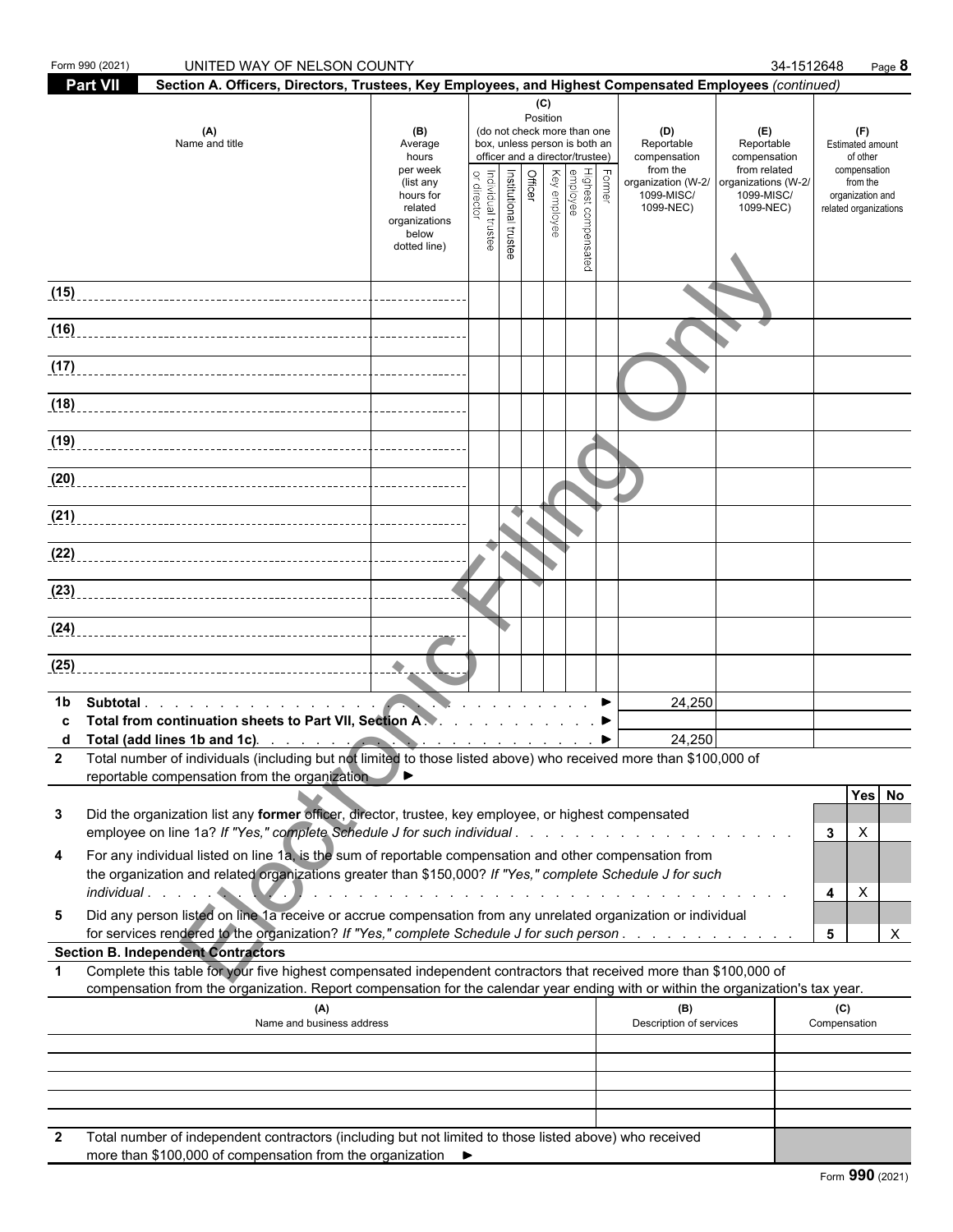|                   | Form 990 (2021)<br>UNITED WAY OF NELSON COUNTY                                                                                                                                                                                                                                        |                                                                                           |                                   |                       |                                   |              |                                                                                                                                                         |                                                                                                | 34-1512648                                                                                          |                                                                                                                     | Page 8      |
|-------------------|---------------------------------------------------------------------------------------------------------------------------------------------------------------------------------------------------------------------------------------------------------------------------------------|-------------------------------------------------------------------------------------------|-----------------------------------|-----------------------|-----------------------------------|--------------|---------------------------------------------------------------------------------------------------------------------------------------------------------|------------------------------------------------------------------------------------------------|-----------------------------------------------------------------------------------------------------|---------------------------------------------------------------------------------------------------------------------|-------------|
|                   | <b>Part VII</b><br>Section A. Officers, Directors, Trustees, Key Employees, and Highest Compensated Employees (continued)                                                                                                                                                             |                                                                                           |                                   |                       |                                   |              |                                                                                                                                                         |                                                                                                |                                                                                                     |                                                                                                                     |             |
|                   | (A)<br>Name and title                                                                                                                                                                                                                                                                 | (B)<br>Average<br>hours<br>per week<br>(list any<br>hours for<br>related<br>organizations | or director<br>Individual trustee | Institutional trustee | (C)<br>Position<br><b>Officer</b> | Key employee | (do not check more than one<br>box, unless person is both an<br>officer and a director/trustee)<br>  Former<br>  Highest compensated<br> <br>  employee | (D)<br>Reportable<br>compensation<br>from the<br>organization (W-2/<br>1099-MISC/<br>1099-NEC) | (E)<br>Reportable<br>compensation<br>from related<br>organizations (W-2/<br>1099-MISC/<br>1099-NEC) | (F)<br><b>Estimated amount</b><br>of other<br>compensation<br>from the<br>organization and<br>related organizations |             |
|                   |                                                                                                                                                                                                                                                                                       | below<br>dotted line)                                                                     |                                   |                       |                                   |              |                                                                                                                                                         |                                                                                                |                                                                                                     |                                                                                                                     |             |
| (15)              |                                                                                                                                                                                                                                                                                       |                                                                                           |                                   |                       |                                   |              |                                                                                                                                                         |                                                                                                |                                                                                                     |                                                                                                                     |             |
| (16)              |                                                                                                                                                                                                                                                                                       |                                                                                           |                                   |                       |                                   |              |                                                                                                                                                         |                                                                                                |                                                                                                     |                                                                                                                     |             |
| (17)              |                                                                                                                                                                                                                                                                                       |                                                                                           |                                   |                       |                                   |              |                                                                                                                                                         |                                                                                                |                                                                                                     |                                                                                                                     |             |
|                   | (18)                                                                                                                                                                                                                                                                                  |                                                                                           |                                   |                       |                                   |              |                                                                                                                                                         |                                                                                                |                                                                                                     |                                                                                                                     |             |
|                   | (19)                                                                                                                                                                                                                                                                                  |                                                                                           |                                   |                       |                                   |              |                                                                                                                                                         |                                                                                                |                                                                                                     |                                                                                                                     |             |
|                   | (20)                                                                                                                                                                                                                                                                                  |                                                                                           |                                   |                       |                                   |              |                                                                                                                                                         |                                                                                                |                                                                                                     |                                                                                                                     |             |
|                   | (21)                                                                                                                                                                                                                                                                                  |                                                                                           |                                   |                       |                                   |              |                                                                                                                                                         |                                                                                                |                                                                                                     |                                                                                                                     |             |
|                   | (22)                                                                                                                                                                                                                                                                                  |                                                                                           |                                   |                       |                                   |              |                                                                                                                                                         |                                                                                                |                                                                                                     |                                                                                                                     |             |
|                   | (23)                                                                                                                                                                                                                                                                                  |                                                                                           |                                   |                       |                                   |              |                                                                                                                                                         |                                                                                                |                                                                                                     |                                                                                                                     |             |
|                   | (24)                                                                                                                                                                                                                                                                                  |                                                                                           |                                   |                       |                                   |              |                                                                                                                                                         |                                                                                                |                                                                                                     |                                                                                                                     |             |
| (25)              |                                                                                                                                                                                                                                                                                       |                                                                                           |                                   |                       |                                   |              |                                                                                                                                                         |                                                                                                |                                                                                                     |                                                                                                                     |             |
| 1b                | Subtotal<br>Total from continuation sheets to Part VII, Section A.                                                                                                                                                                                                                    |                                                                                           |                                   |                       |                                   |              |                                                                                                                                                         | 24,250<br>24,250                                                                               |                                                                                                     |                                                                                                                     |             |
| d<br>$\mathbf{2}$ | Total (add lines 1b and 1c) contract to the contract of the state of the state of the state of the state of the<br>Total number of individuals (including but not limited to those listed above) who received more than \$100,000 of<br>reportable compensation from the organization | <b>A.</b>                                                                                 |                                   |                       |                                   |              |                                                                                                                                                         |                                                                                                |                                                                                                     |                                                                                                                     |             |
| 3                 | Did the organization list any former officer, director, trustee, key employee, or highest compensated<br>employee on line 1a? If "Yes," complete Schedule J for such individual                                                                                                       |                                                                                           |                                   |                       |                                   |              |                                                                                                                                                         |                                                                                                |                                                                                                     | X<br>3                                                                                                              | Yes No      |
| 4                 | For any individual listed on line 1a, is the sum of reportable compensation and other compensation from<br>the organization and related organizations greater than \$150,000? If "Yes," complete Schedule J for such                                                                  |                                                                                           |                                   |                       |                                   |              |                                                                                                                                                         |                                                                                                |                                                                                                     | $\boldsymbol{\mathsf{X}}$<br>4                                                                                      |             |
| 5                 | Did any person listed on line 1a receive or accrue compensation from any unrelated organization or individual<br>for services rendered to the organization? If "Yes," complete Schedule J for such person                                                                             |                                                                                           |                                   |                       |                                   |              |                                                                                                                                                         |                                                                                                |                                                                                                     | 5                                                                                                                   | $\mathsf X$ |
|                   | <b>Section B. Independent Contractors</b><br>Complete this table for your five highest compensated independent contractors that received more than \$100,000 of                                                                                                                       |                                                                                           |                                   |                       |                                   |              |                                                                                                                                                         |                                                                                                |                                                                                                     |                                                                                                                     |             |
|                   | compensation from the organization. Report compensation for the calendar year ending with or within the organization's tax year.<br>(A)                                                                                                                                               |                                                                                           |                                   |                       |                                   |              |                                                                                                                                                         | (B)                                                                                            |                                                                                                     | (C)                                                                                                                 |             |
|                   | Name and business address                                                                                                                                                                                                                                                             |                                                                                           |                                   |                       |                                   |              |                                                                                                                                                         | Description of services                                                                        |                                                                                                     | Compensation                                                                                                        |             |
|                   |                                                                                                                                                                                                                                                                                       |                                                                                           |                                   |                       |                                   |              |                                                                                                                                                         |                                                                                                |                                                                                                     |                                                                                                                     |             |
|                   |                                                                                                                                                                                                                                                                                       |                                                                                           |                                   |                       |                                   |              |                                                                                                                                                         |                                                                                                |                                                                                                     |                                                                                                                     |             |
| $\mathbf{2}$      | Total number of independent contractors (including but not limited to those listed above) who received                                                                                                                                                                                |                                                                                           |                                   |                       |                                   |              |                                                                                                                                                         |                                                                                                |                                                                                                     |                                                                                                                     |             |

 $\blacktriangleright$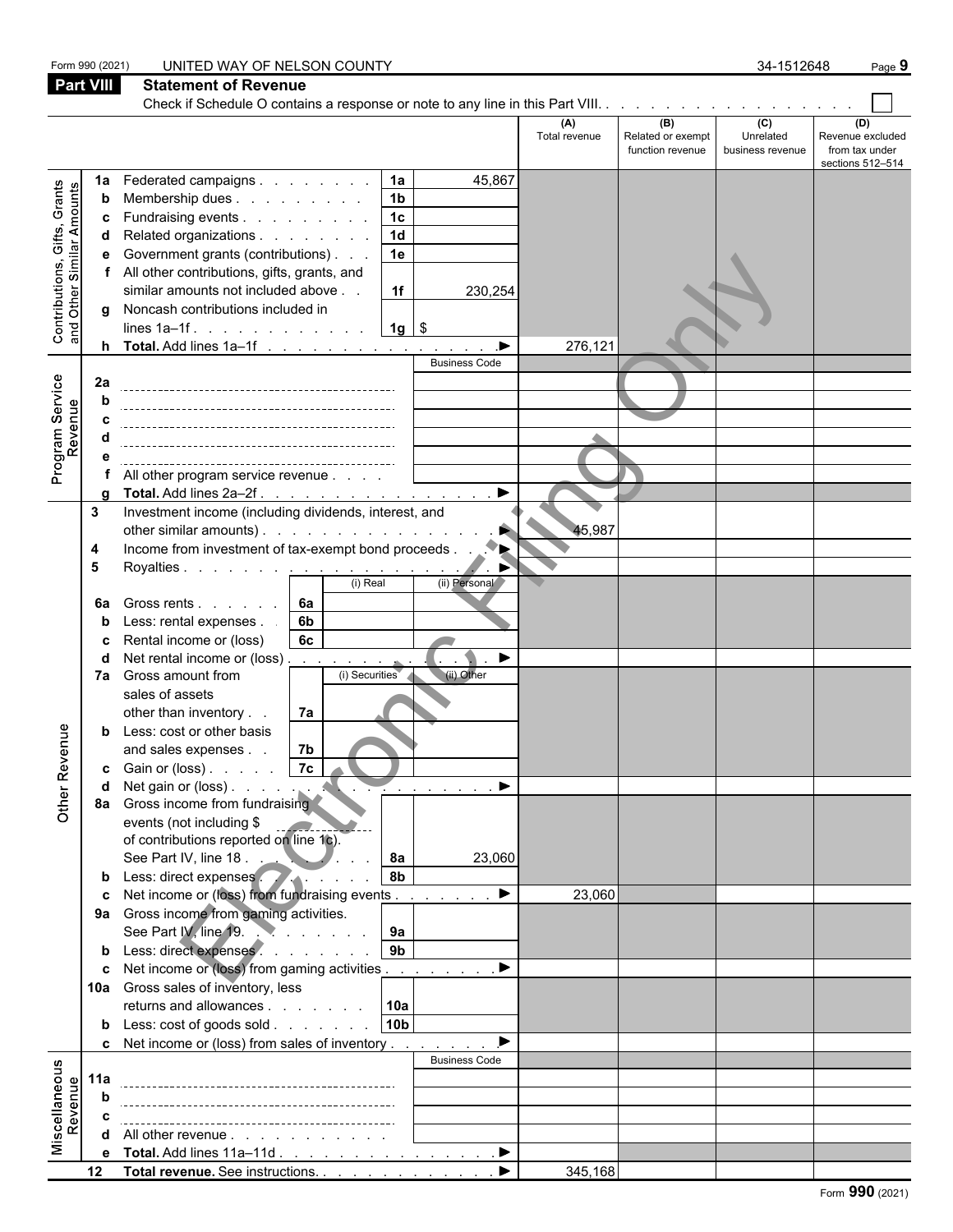|                                                           | Form 990 (2021)  | UNITED WAY OF NELSON COUNTY                                                           |                      |                          | 34-1512648       | Page 9                  |
|-----------------------------------------------------------|------------------|---------------------------------------------------------------------------------------|----------------------|--------------------------|------------------|-------------------------|
|                                                           | <b>Part VIII</b> | <b>Statement of Revenue</b>                                                           |                      |                          |                  |                         |
|                                                           |                  |                                                                                       |                      |                          |                  |                         |
|                                                           |                  |                                                                                       | (A)<br>Total revenue | (B)<br>Related or exempt | (C)<br>Unrelated | (D)<br>Revenue excluded |
|                                                           |                  |                                                                                       |                      | function revenue         | business revenue | from tax under          |
|                                                           | 1a               | Federated campaigns  <br>45,867<br><b>1a</b>                                          |                      |                          |                  | sections 512-514        |
|                                                           | b                | 1 <sub>b</sub><br>Membership dues                                                     |                      |                          |                  |                         |
|                                                           | c                | 1 <sub>c</sub><br>Fundraising events                                                  |                      |                          |                  |                         |
|                                                           | d                | $\overline{1d}$<br>Related organizations                                              |                      |                          |                  |                         |
|                                                           | е                | 1e<br>Government grants (contributions)                                               |                      |                          |                  |                         |
| Contributions, Gifts, Grants<br>and Other Similar Amounts |                  | f All other contributions, gifts, grants, and                                         |                      |                          |                  |                         |
|                                                           |                  | similar amounts not included above<br>1f<br>230,254                                   |                      |                          |                  |                         |
|                                                           | q                | Noncash contributions included in<br>$1g$ \$<br>lines $1a-1f$ .                       |                      |                          |                  |                         |
|                                                           |                  | h Total. Add lines 1a-1f<br>▶                                                         | 276,121              |                          |                  |                         |
|                                                           |                  | <b>Business Code</b>                                                                  |                      |                          |                  |                         |
|                                                           | 2a               |                                                                                       |                      |                          |                  |                         |
|                                                           | b                |                                                                                       |                      |                          |                  |                         |
| Program Service<br>Revenue                                | C                |                                                                                       |                      |                          |                  |                         |
|                                                           |                  |                                                                                       |                      |                          |                  |                         |
|                                                           | e                | All other program service revenue                                                     |                      |                          |                  |                         |
|                                                           |                  | $\blacktriangleright$<br>Total. Add lines 2a-2f.                                      |                      |                          |                  |                         |
|                                                           | 3                | Investment income (including dividends, interest, and                                 |                      |                          |                  |                         |
|                                                           |                  | other similar amounts).                                                               | 45,987               |                          |                  |                         |
|                                                           | 4                |                                                                                       |                      |                          |                  |                         |
|                                                           | 5                | Royalties <u>.</u><br>(i) Real<br>(ii) Personal                                       |                      |                          |                  |                         |
|                                                           | 6a               | Gross rents<br>6а                                                                     |                      |                          |                  |                         |
|                                                           |                  | Less: rental expenses.<br>6b                                                          |                      |                          |                  |                         |
|                                                           |                  | 6c<br>Rental income or (loss)                                                         |                      |                          |                  |                         |
|                                                           |                  | Net rental income or (loss)<br>▶                                                      |                      |                          |                  |                         |
|                                                           |                  | (i) Securities<br>(ii) Other<br>7a Gross amount from                                  |                      |                          |                  |                         |
|                                                           |                  | sales of assets                                                                       |                      |                          |                  |                         |
|                                                           |                  | other than inventory<br>7a                                                            |                      |                          |                  |                         |
| nue                                                       | b                | Less: cost or other basis<br>and sales expenses                                       |                      |                          |                  |                         |
|                                                           |                  | 7b<br><b>c</b> Gain or (loss) $\ldots$ $\boxed{7c}$                                   |                      |                          |                  |                         |
|                                                           | d                | - 7                                                                                   |                      |                          |                  |                         |
| Other Reve                                                |                  | 8a Gross income from fundraising                                                      |                      |                          |                  |                         |
|                                                           |                  | events (not including \$                                                              |                      |                          |                  |                         |
|                                                           |                  | of contributions reported on line 1c).                                                |                      |                          |                  |                         |
|                                                           |                  | See Part IV, line 18.<br><b>8a</b><br>23,060<br>b Less: direct expenses<br>8 <b>b</b> |                      |                          |                  |                         |
|                                                           | c                | Net income or (loss) from fundraising events<br>▶                                     | 23,060               |                          |                  |                         |
|                                                           |                  | 9a Gross income from gaming activities.                                               |                      |                          |                  |                         |
|                                                           |                  | See Part IV, line 19.<br>9a                                                           |                      |                          |                  |                         |
|                                                           |                  | b Less: direct expenses.<br>9 <sub>b</sub>                                            |                      |                          |                  |                         |
|                                                           |                  | c Net income or (loss) from gaming activities<br>▶                                    |                      |                          |                  |                         |
|                                                           |                  | 10a Gross sales of inventory, less                                                    |                      |                          |                  |                         |
|                                                           |                  | returns and allowances<br>10a                                                         |                      |                          |                  |                         |
|                                                           |                  | 10 <sub>b</sub><br><b>b</b> Less: $\cosh$ of goods $\sinh$                            |                      |                          |                  |                         |
|                                                           |                  | c Net income or (loss) from sales of inventory<br><b>Business Code</b>                |                      |                          |                  |                         |
| Miscellaneous<br>Revenue                                  | 11a              |                                                                                       |                      |                          |                  |                         |
|                                                           | b                |                                                                                       |                      |                          |                  |                         |
|                                                           |                  |                                                                                       |                      |                          |                  |                         |
|                                                           | d                | All other revenue                                                                     |                      |                          |                  |                         |
|                                                           | e                | Total. Add lines 11a-11d<br>▶                                                         |                      |                          |                  |                         |
|                                                           |                  |                                                                                       | 345,168              |                          |                  |                         |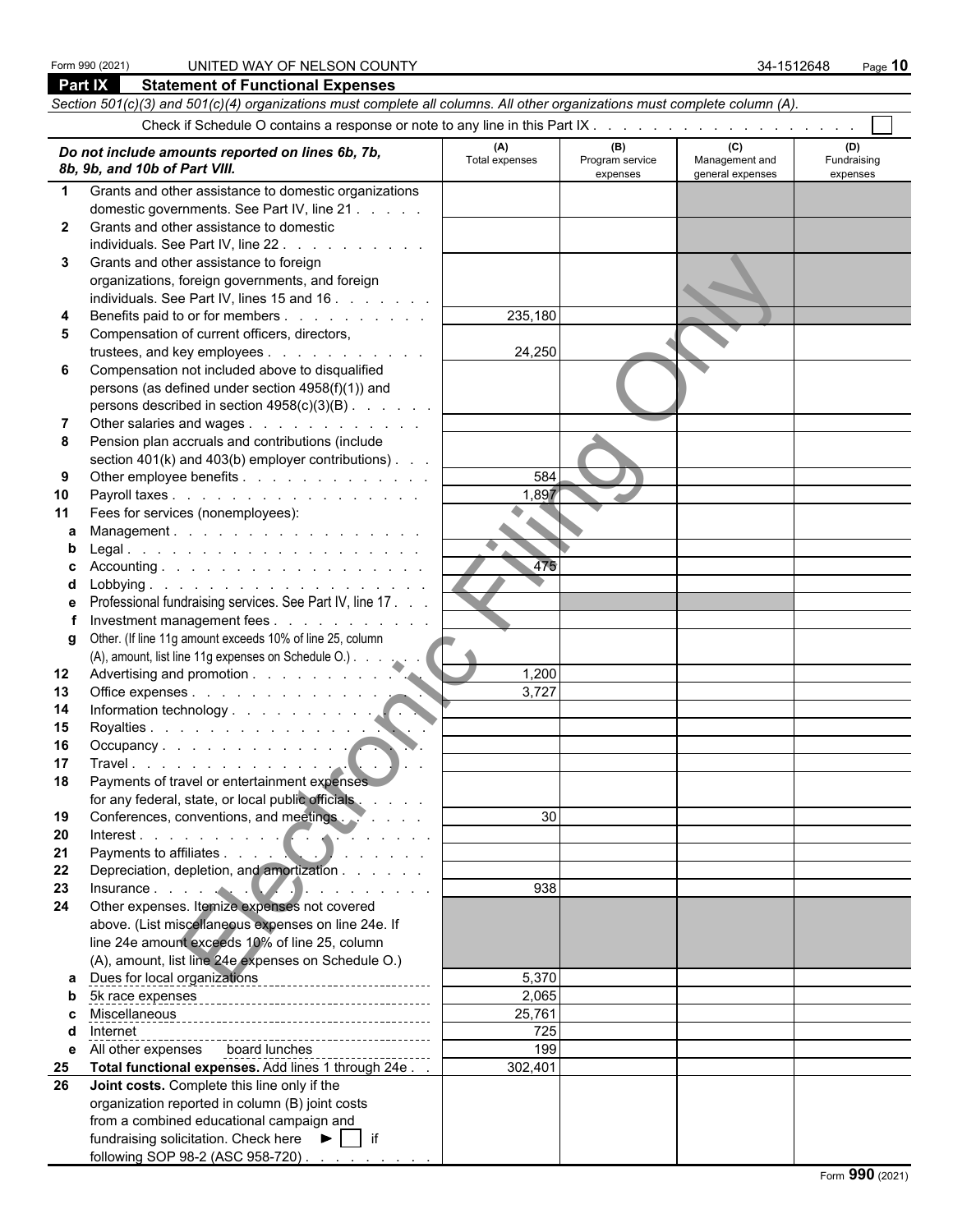#### Form 990 (2021) UNITED WAY OF NELSON COUNTY 34-1512648 Page **10**

|                                                                                                                                                                                                     | Part IX<br><b>Statement of Functional Expenses</b>                                                                         |         |     |     |     |  |  |  |  |  |  |  |
|-----------------------------------------------------------------------------------------------------------------------------------------------------------------------------------------------------|----------------------------------------------------------------------------------------------------------------------------|---------|-----|-----|-----|--|--|--|--|--|--|--|
|                                                                                                                                                                                                     | Section 501(c)(3) and 501(c)(4) organizations must complete all columns. All other organizations must complete column (A). |         |     |     |     |  |  |  |  |  |  |  |
|                                                                                                                                                                                                     |                                                                                                                            |         |     |     |     |  |  |  |  |  |  |  |
|                                                                                                                                                                                                     |                                                                                                                            | (A)     | (B) | (C) | (D) |  |  |  |  |  |  |  |
| Do not include amounts reported on lines 6b, 7b,<br>Program service<br>Management and<br>Fundraising<br>Total expenses<br>8b, 9b, and 10b of Part VIII.<br>general expenses<br>expenses<br>expenses |                                                                                                                            |         |     |     |     |  |  |  |  |  |  |  |
|                                                                                                                                                                                                     | Grants and other assistance to domestic organizations                                                                      |         |     |     |     |  |  |  |  |  |  |  |
|                                                                                                                                                                                                     | domestic governments. See Part IV, line 21                                                                                 |         |     |     |     |  |  |  |  |  |  |  |
| $\mathbf{2}$                                                                                                                                                                                        | Grants and other assistance to domestic                                                                                    |         |     |     |     |  |  |  |  |  |  |  |
|                                                                                                                                                                                                     | individuals. See Part IV, line 22.<br>and the company of the company                                                       |         |     |     |     |  |  |  |  |  |  |  |
| 3.                                                                                                                                                                                                  | Grants and other assistance to foreign                                                                                     |         |     |     |     |  |  |  |  |  |  |  |
|                                                                                                                                                                                                     | organizations, foreign governments, and foreign                                                                            |         |     |     |     |  |  |  |  |  |  |  |
|                                                                                                                                                                                                     | individuals. See Part IV, lines 15 and 16                                                                                  |         |     |     |     |  |  |  |  |  |  |  |
|                                                                                                                                                                                                     | Benefits paid to or for members                                                                                            | 235,180 |     |     |     |  |  |  |  |  |  |  |
|                                                                                                                                                                                                     | Compensation of current officers, directors,                                                                               |         |     |     |     |  |  |  |  |  |  |  |
|                                                                                                                                                                                                     | trustees, and key employees                                                                                                | 24,250  |     |     |     |  |  |  |  |  |  |  |
| 6                                                                                                                                                                                                   | Compensation not included above to disqualified                                                                            |         |     |     |     |  |  |  |  |  |  |  |
|                                                                                                                                                                                                     | persons (as defined under section 4958(f)(1)) and                                                                          |         |     |     |     |  |  |  |  |  |  |  |
|                                                                                                                                                                                                     | persons described in section $4958(c)(3)(B)$ .                                                                             |         |     |     |     |  |  |  |  |  |  |  |
|                                                                                                                                                                                                     | Other salaries and wages                                                                                                   |         |     |     |     |  |  |  |  |  |  |  |
|                                                                                                                                                                                                     | Pension plan accruals and contributions (include                                                                           |         |     |     |     |  |  |  |  |  |  |  |
|                                                                                                                                                                                                     | section 401(k) and 403(b) employer contributions).                                                                         |         |     |     |     |  |  |  |  |  |  |  |
| 9                                                                                                                                                                                                   | Other employee benefits                                                                                                    | 584     |     |     |     |  |  |  |  |  |  |  |
| 10                                                                                                                                                                                                  |                                                                                                                            | 1,897   |     |     |     |  |  |  |  |  |  |  |
| 11                                                                                                                                                                                                  | Fees for services (nonemployees):                                                                                          | ۰       |     |     |     |  |  |  |  |  |  |  |
| a                                                                                                                                                                                                   | Management.                                                                                                                |         |     |     |     |  |  |  |  |  |  |  |
|                                                                                                                                                                                                     |                                                                                                                            |         |     |     |     |  |  |  |  |  |  |  |
|                                                                                                                                                                                                     |                                                                                                                            | 475     |     |     |     |  |  |  |  |  |  |  |
|                                                                                                                                                                                                     |                                                                                                                            |         |     |     |     |  |  |  |  |  |  |  |
|                                                                                                                                                                                                     | Professional fundraising services. See Part IV, line 17.                                                                   |         |     |     |     |  |  |  |  |  |  |  |
|                                                                                                                                                                                                     | Investment management fees                                                                                                 |         |     |     |     |  |  |  |  |  |  |  |
| g                                                                                                                                                                                                   | Other. (If line 11g amount exceeds 10% of line 25, column                                                                  |         |     |     |     |  |  |  |  |  |  |  |
|                                                                                                                                                                                                     | (A), amount, list line 11g expenses on Schedule O.)                                                                        |         |     |     |     |  |  |  |  |  |  |  |
| $12 \,$                                                                                                                                                                                             |                                                                                                                            | 1,200   |     |     |     |  |  |  |  |  |  |  |
| 13                                                                                                                                                                                                  | Office expenses                                                                                                            | 3,727   |     |     |     |  |  |  |  |  |  |  |
| 14                                                                                                                                                                                                  |                                                                                                                            |         |     |     |     |  |  |  |  |  |  |  |
| 15                                                                                                                                                                                                  | Royalties                                                                                                                  |         |     |     |     |  |  |  |  |  |  |  |
| 16                                                                                                                                                                                                  | Occupancy                                                                                                                  |         |     |     |     |  |  |  |  |  |  |  |
| 17                                                                                                                                                                                                  | Payments of travel or entertainment expenses                                                                               |         |     |     |     |  |  |  |  |  |  |  |
| 18                                                                                                                                                                                                  | for any federal, state, or local public officials                                                                          |         |     |     |     |  |  |  |  |  |  |  |
| 19                                                                                                                                                                                                  | Conferences, conventions, and meetings.                                                                                    | 30      |     |     |     |  |  |  |  |  |  |  |
| 20                                                                                                                                                                                                  | Interest.                                                                                                                  |         |     |     |     |  |  |  |  |  |  |  |
| 21                                                                                                                                                                                                  |                                                                                                                            |         |     |     |     |  |  |  |  |  |  |  |
| 22                                                                                                                                                                                                  | Depreciation, depletion, and amortization                                                                                  |         |     |     |     |  |  |  |  |  |  |  |
| 23                                                                                                                                                                                                  | Insurance $\cdots$ $\cdots$ $\cdots$ $\cdots$ $\cdots$                                                                     | 938     |     |     |     |  |  |  |  |  |  |  |
| 24                                                                                                                                                                                                  | Other expenses. Itemize expenses not covered                                                                               |         |     |     |     |  |  |  |  |  |  |  |
|                                                                                                                                                                                                     | above. (List miscellaneous expenses on line 24e. If                                                                        |         |     |     |     |  |  |  |  |  |  |  |
|                                                                                                                                                                                                     | line 24e amount exceeds 10% of line 25, column                                                                             |         |     |     |     |  |  |  |  |  |  |  |
|                                                                                                                                                                                                     | (A), amount, list line 24e expenses on Schedule O.)                                                                        |         |     |     |     |  |  |  |  |  |  |  |
|                                                                                                                                                                                                     | a Dues for local organizations<br><u>contact</u> :<br>a Dues for local organizations                                       | 5,370   |     |     |     |  |  |  |  |  |  |  |
| b                                                                                                                                                                                                   |                                                                                                                            | 2,065   |     |     |     |  |  |  |  |  |  |  |
|                                                                                                                                                                                                     |                                                                                                                            | 25,761  |     |     |     |  |  |  |  |  |  |  |
|                                                                                                                                                                                                     | Internet                                                                                                                   | 725     |     |     |     |  |  |  |  |  |  |  |
| е                                                                                                                                                                                                   | All other expenses board lunches                                                                                           | 199     |     |     |     |  |  |  |  |  |  |  |
| 25                                                                                                                                                                                                  | Total functional expenses. Add lines 1 through 24e                                                                         | 302,401 |     |     |     |  |  |  |  |  |  |  |
| 26                                                                                                                                                                                                  | Joint costs. Complete this line only if the                                                                                |         |     |     |     |  |  |  |  |  |  |  |
|                                                                                                                                                                                                     | organization reported in column (B) joint costs                                                                            |         |     |     |     |  |  |  |  |  |  |  |
|                                                                                                                                                                                                     | from a combined educational campaign and                                                                                   |         |     |     |     |  |  |  |  |  |  |  |
|                                                                                                                                                                                                     | fundraising solicitation. Check here $\blacktriangleright \Box$ if                                                         |         |     |     |     |  |  |  |  |  |  |  |
|                                                                                                                                                                                                     | following SOP 98-2 (ASC 958-720)                                                                                           |         |     |     |     |  |  |  |  |  |  |  |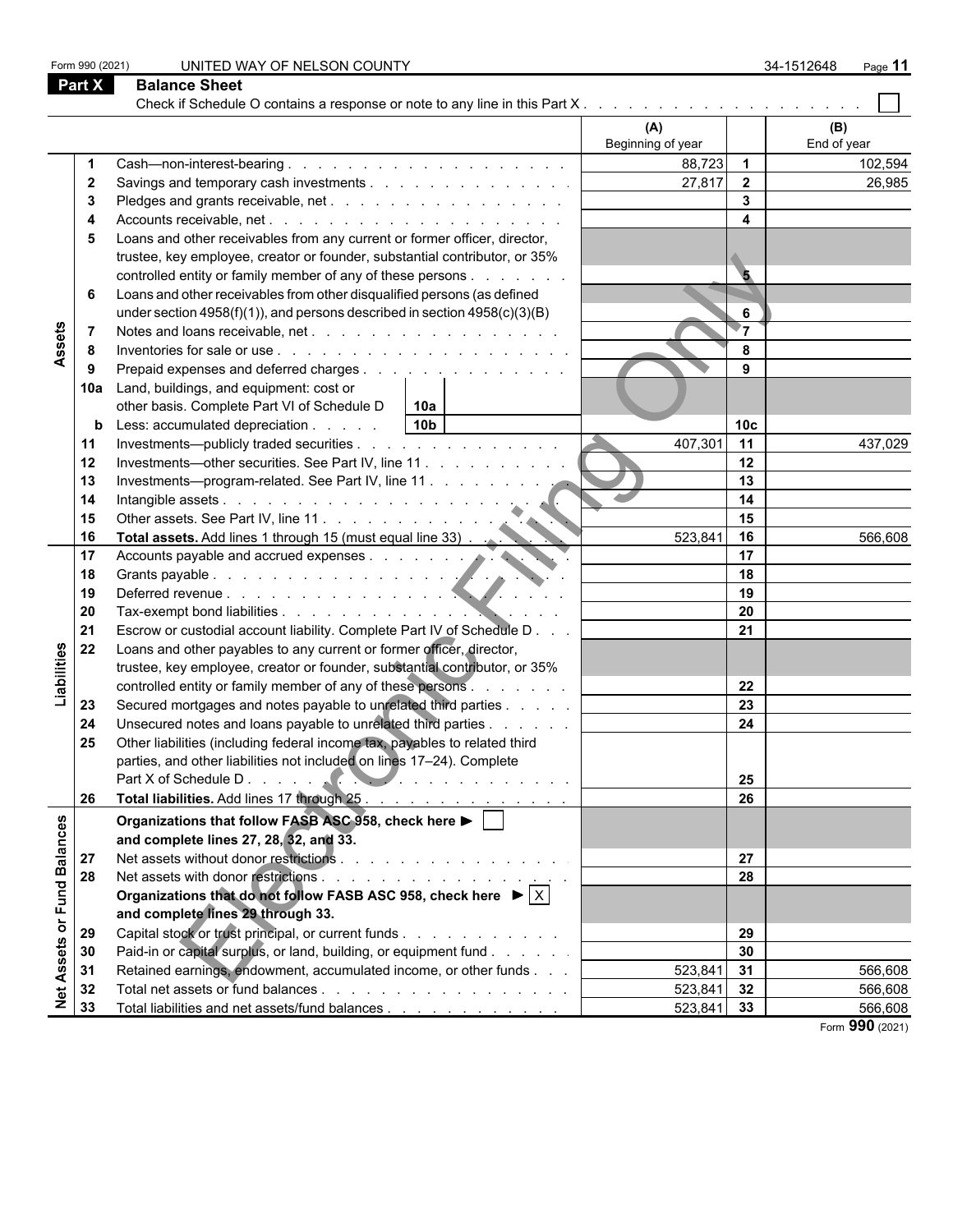| Form 990 (2021)         |     | UNITED WAY OF NELSON COUNTY                                                                        |                          |                         | 34-1512648<br>Page 11 |
|-------------------------|-----|----------------------------------------------------------------------------------------------------|--------------------------|-------------------------|-----------------------|
| <b>Part X</b>           |     | <b>Balance Sheet</b>                                                                               |                          |                         |                       |
|                         |     |                                                                                                    |                          |                         |                       |
|                         |     |                                                                                                    | (A)<br>Beginning of year |                         | (B)<br>End of year    |
|                         |     |                                                                                                    | 88,723                   | $\overline{\mathbf{1}}$ | 102,594               |
| $\mathbf{2}$            |     |                                                                                                    | 27,817                   | $\overline{\mathbf{2}}$ | 26,985                |
| 3                       |     |                                                                                                    |                          | $\overline{\mathbf{3}}$ |                       |
| 4                       |     |                                                                                                    |                          | $\overline{\mathbf{4}}$ |                       |
| 5                       |     | Loans and other receivables from any current or former officer, director,                          |                          |                         |                       |
|                         |     | trustee, key employee, creator or founder, substantial contributor, or 35%                         |                          |                         |                       |
|                         |     | controlled entity or family member of any of these persons                                         |                          | $5\phantom{.}$          |                       |
| 6                       |     | Loans and other receivables from other disqualified persons (as defined                            |                          |                         |                       |
|                         |     | under section $4958(f)(1)$ , and persons described in section $4958(c)(3)(B)$                      |                          | 6                       |                       |
| $\overline{7}$          |     |                                                                                                    |                          | 7⊤                      |                       |
| Assets<br>8             |     |                                                                                                    |                          | 8                       |                       |
| 9                       |     | Prepaid expenses and deferred charges                                                              |                          | 9                       |                       |
|                         | 10a | Land, buildings, and equipment: cost or                                                            |                          |                         |                       |
|                         |     | other basis. Complete Part VI of Schedule D<br>10a                                                 |                          |                         |                       |
|                         | b   | 10 <sub>b</sub><br>Less: accumulated depreciation                                                  |                          | 10 <sub>c</sub>         |                       |
| 11                      |     | Investments—publicly traded securities                                                             | 407,301                  | 11                      | 437,029               |
| 12                      |     |                                                                                                    |                          | 12                      |                       |
| 13                      |     | Investments—program-related. See Part IV, line 11                                                  |                          | 13                      |                       |
| 14                      |     |                                                                                                    |                          | 14                      |                       |
| 15                      |     | Intangible assets<br>Other assets. See Part IV, line 11.                                           |                          | 15                      |                       |
| 16                      |     | Total assets. Add lines 1 through 15 (must equal line 33) .                                        | 523,841                  | 16                      | 566,608               |
| 17                      |     | Total assets. Add lines it unough to process and accrued expenses and accrued expenses             |                          | 17<br>18                |                       |
| 18                      |     |                                                                                                    |                          | 19                      |                       |
| 19<br>20                |     |                                                                                                    |                          | 20                      |                       |
| 21                      |     | Escrow or custodial account liability. Complete Part IV of Schedule D                              |                          | 21                      |                       |
| 22                      |     | Loans and other payables to any current or former officer, director,                               |                          |                         |                       |
| Liabilities             |     | trustee, key employee, creator or founder, substantial contributor, or 35%                         |                          |                         |                       |
|                         |     | controlled entity or family member of any of these persons                                         |                          | 22                      |                       |
| 23                      |     | Secured mortgages and notes payable to unrelated third parties                                     |                          | 23                      |                       |
| 24                      |     | Unsecured notes and loans payable to unrelated third parties                                       |                          | 24                      |                       |
| 25                      |     | Other liabilities (including federal income tax, payables to related third                         |                          |                         |                       |
|                         |     | parties, and other liabilities not included on lines 17-24). Complete                              |                          |                         |                       |
|                         |     |                                                                                                    |                          | 25                      |                       |
| 26                      |     | Total liabilities. Add lines 17 through 25.                                                        |                          | 26                      |                       |
|                         |     | Organizations that follow FASB ASC 958, check here $\blacktriangleright$                           |                          |                         |                       |
|                         |     | and complete lines 27, 28, 32, and 33.                                                             |                          |                         |                       |
| 27                      |     |                                                                                                    |                          | 27                      |                       |
| or Fund Balances<br>28  |     |                                                                                                    |                          | 28                      |                       |
|                         |     | Organizations that do not follow FASB ASC 958, check here $\blacktriangleright \lvert \chi \rvert$ |                          |                         |                       |
|                         |     | and complete lines 29 through 33.                                                                  |                          |                         |                       |
| 29                      |     | Capital stock or trust principal, or current funds                                                 |                          | 29                      |                       |
| 30                      |     | Paid-in or capital surplus, or land, building, or equipment fund                                   |                          | 30                      |                       |
| 31                      |     | Retained earnings, endowment, accumulated income, or other funds                                   | $523,841$ 31             |                         | 566,608               |
| 32                      |     |                                                                                                    | $523,841$ 32             |                         | 566,608               |
| <b>Net Assets</b><br>33 |     | Total liabilities and net assets/fund balances                                                     | $523,841$ 33             |                         | 566,608               |
|                         |     |                                                                                                    |                          |                         | Form 990 (2021)       |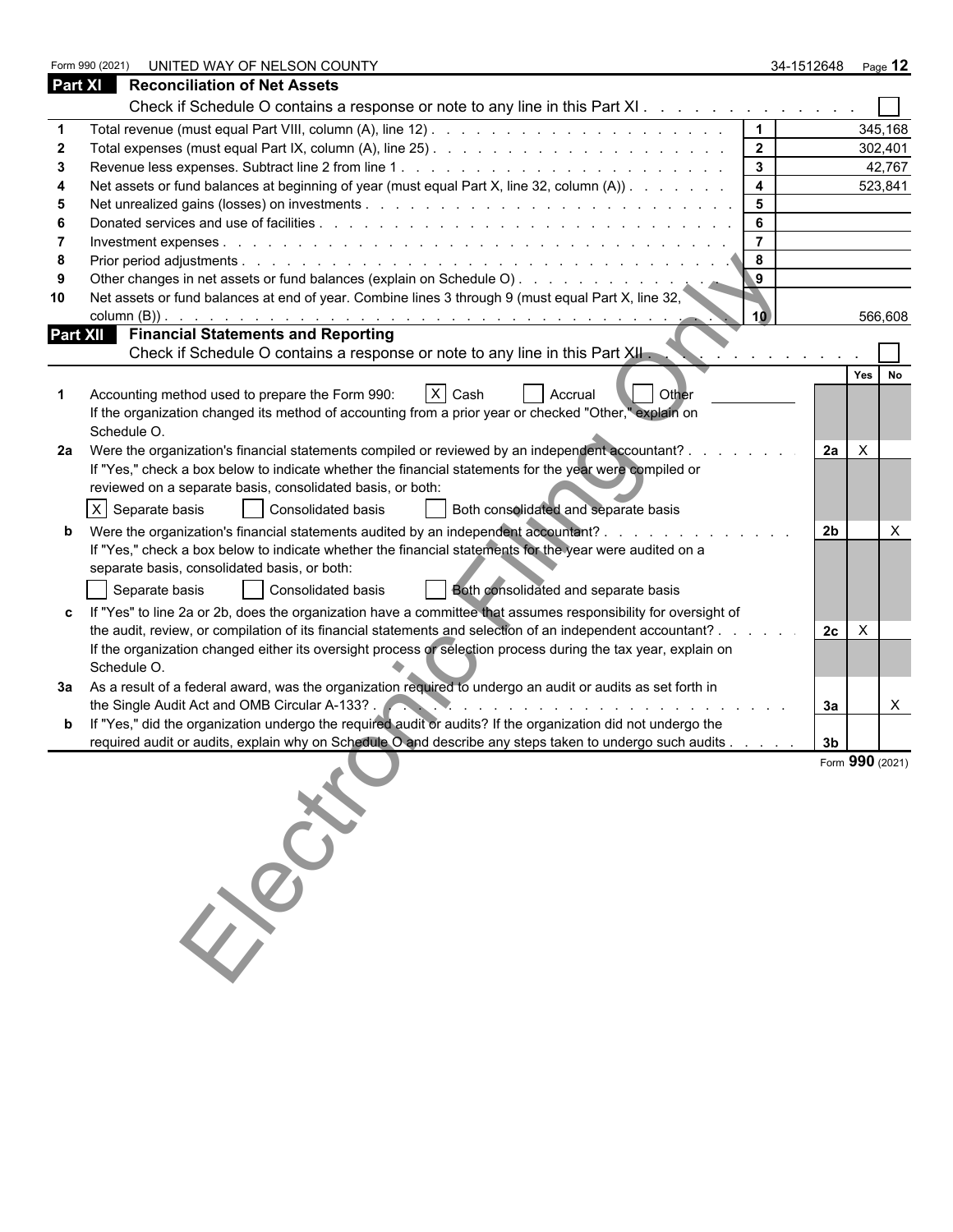|                | Form 990 (2021)<br>UNITED WAY OF NELSON COUNTY                                                                                                               | 34-1512648     |                 | Page 12      |
|----------------|--------------------------------------------------------------------------------------------------------------------------------------------------------------|----------------|-----------------|--------------|
| <b>Part XI</b> | <b>Reconciliation of Net Assets</b>                                                                                                                          |                |                 |              |
|                | Check if Schedule O contains a response or note to any line in this Part XI.                                                                                 |                |                 |              |
|                | $\mathbf 1$                                                                                                                                                  |                |                 | 345,168      |
|                | $\overline{2}$                                                                                                                                               |                |                 | 302,401      |
| з              | $\mathbf{3}$                                                                                                                                                 |                |                 | 42,767       |
|                | $\overline{\mathbf{4}}$<br>Net assets or fund balances at beginning of year (must equal Part X, line 32, column (A))                                         |                |                 | 523,841      |
| 5              | 5                                                                                                                                                            |                |                 |              |
|                | 6                                                                                                                                                            |                |                 |              |
|                | $\overline{7}$                                                                                                                                               |                |                 |              |
| -8             | 8                                                                                                                                                            |                |                 |              |
|                | Other changes in net assets or fund balances (explain on Schedule O).<br>$\overline{9}$                                                                      |                |                 |              |
| 10             | Net assets or fund balances at end of year. Combine lines 3 through 9 (must equal Part X, line 32,<br>10                                                     |                |                 | 566,608      |
|                | <b>Part XII Financial Statements and Reporting</b><br>Check if Schedule O contains a response or note to any line in this Part XII.                          |                |                 |              |
|                |                                                                                                                                                              |                |                 |              |
|                | $X$ Cash<br><b>Other</b><br>Accounting method used to prepare the Form 990:<br>Accrual                                                                       |                | Yes             | No           |
|                | If the organization changed its method of accounting from a prior year or checked "Other," explain on                                                        |                |                 |              |
|                | Schedule O.                                                                                                                                                  |                |                 |              |
| 2a             | Were the organization's financial statements compiled or reviewed by an independent accountant? .                                                            | 2a             | $\mathsf{X}$    |              |
|                | If "Yes," check a box below to indicate whether the financial statements for the year were compiled or                                                       |                |                 |              |
|                | reviewed on a separate basis, consolidated basis, or both:                                                                                                   |                |                 |              |
|                | $X$ Separate basis<br>Consolidated basis<br>Both consolidated and separate basis                                                                             |                |                 |              |
| b              | Were the organization's financial statements audited by an independent accountant? .                                                                         | 2 <sub>b</sub> |                 | $\times$     |
|                | If "Yes," check a box below to indicate whether the financial statements for the year were audited on a                                                      |                |                 |              |
|                | separate basis, consolidated basis, or both:                                                                                                                 |                |                 |              |
|                | Consolidated basis<br>Both consolidated and separate basis<br>Separate basis                                                                                 |                |                 |              |
|                |                                                                                                                                                              |                |                 |              |
|                | If "Yes" to line 2a or 2b, does the organization have a committee that assumes responsibility for oversight of                                               |                |                 |              |
|                | the audit, review, or compilation of its financial statements and selection of an independent accountant? .                                                  | 2c             | $\times$        |              |
|                | If the organization changed either its oversight process or selection process during the tax year, explain on<br>Schedule O.                                 |                |                 |              |
|                |                                                                                                                                                              |                |                 |              |
| За             | As a result of a federal award, was the organization required to undergo an audit or audits as set forth in<br>the Single Audit Act and OMB Circular A-133?. |                |                 | $\mathsf{X}$ |
|                | If "Yes," did the organization undergo the required audit or audits? If the organization did not undergo the                                                 | За             |                 |              |
| b              | required audit or audits, explain why on Schedule O and describe any steps taken to undergo such audits                                                      | 3 <sub>b</sub> |                 |              |
|                |                                                                                                                                                              |                | Form 990 (2021) |              |
|                |                                                                                                                                                              |                |                 |              |
|                |                                                                                                                                                              |                |                 |              |
|                |                                                                                                                                                              |                |                 |              |
|                |                                                                                                                                                              |                |                 |              |
|                |                                                                                                                                                              |                |                 |              |
|                |                                                                                                                                                              |                |                 |              |
|                | 13.00                                                                                                                                                        |                |                 |              |
|                |                                                                                                                                                              |                |                 |              |
|                |                                                                                                                                                              |                |                 |              |
|                |                                                                                                                                                              |                |                 |              |
|                |                                                                                                                                                              |                |                 |              |
|                |                                                                                                                                                              |                |                 |              |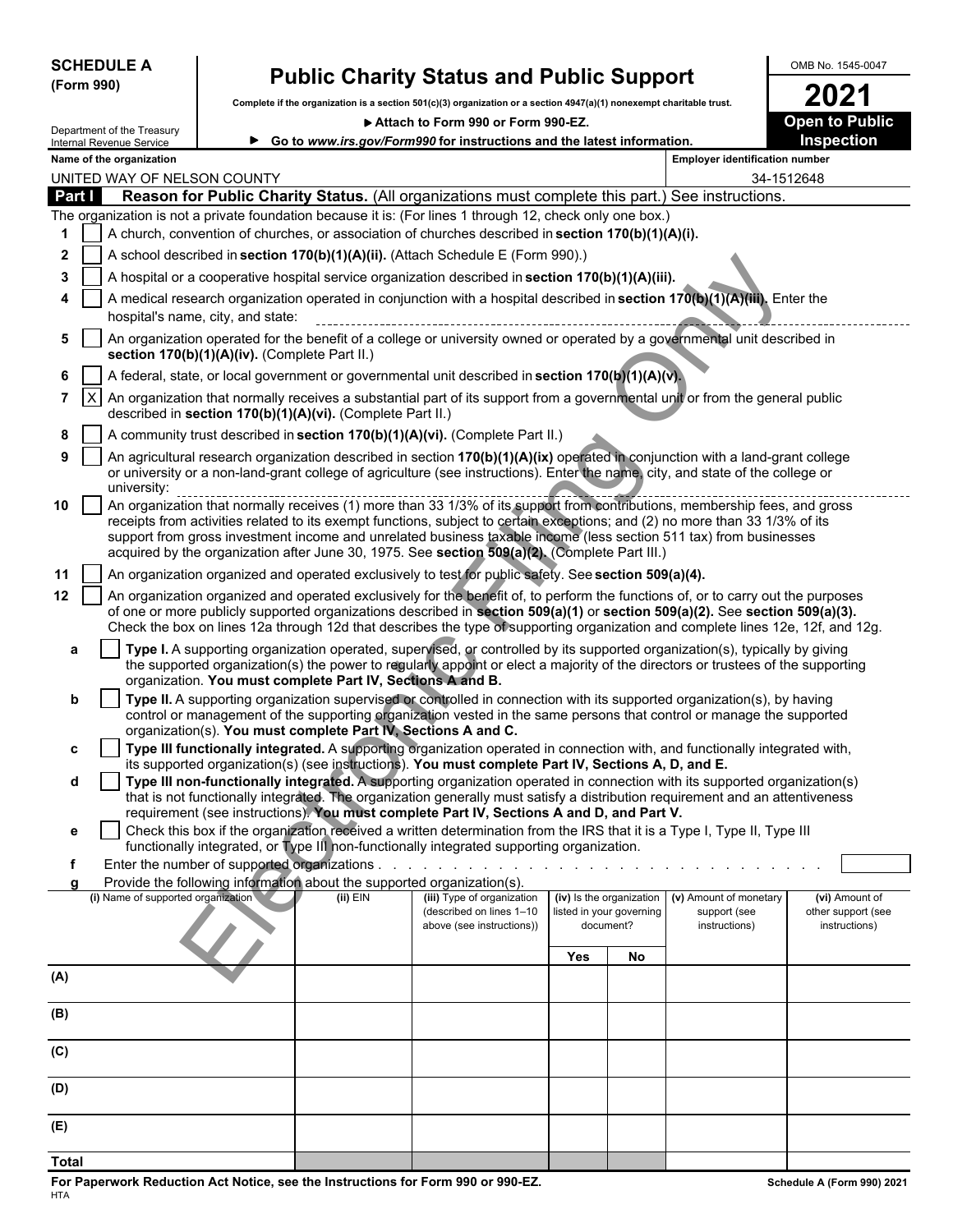| <b>SCHEDULE</b> |  |
|-----------------|--|
| (Form 990)      |  |

# **SCHEDULE A Public Charity Status and Public Support**  $\begin{array}{|c|c|c|c|}\n\hline\n\text{Form 990} & \text{OMB No. 1545-0047} \\
\hline\n\end{array}$

Complete if the organization is a section 501(c)(3) organization or a section 4947(a)(1) nonexempt charitable trust.<br> **2021** Attach to Form 990 or Form 990-EZ.

Attach to Form 990 or Form 990-EZ.

**Go to** *www.irs.gov/Form990* **for instructions and the latest information. Inspection**

| Internal Revenue Service |
|--------------------------|
| Name of the organization |

Department of the Treasury

|                |                                                                                                                                                                                                            | Name of the organization                                                                                                                                                                                                                                                                                                                                                                           |            |                            |     |                          | <b>Employer identification number</b> |                    |  |  |  |
|----------------|------------------------------------------------------------------------------------------------------------------------------------------------------------------------------------------------------------|----------------------------------------------------------------------------------------------------------------------------------------------------------------------------------------------------------------------------------------------------------------------------------------------------------------------------------------------------------------------------------------------------|------------|----------------------------|-----|--------------------------|---------------------------------------|--------------------|--|--|--|
|                |                                                                                                                                                                                                            | UNITED WAY OF NELSON COUNTY                                                                                                                                                                                                                                                                                                                                                                        |            |                            |     |                          | 34-1512648                            |                    |  |  |  |
| Part I         |                                                                                                                                                                                                            | Reason for Public Charity Status. (All organizations must complete this part.) See instructions.                                                                                                                                                                                                                                                                                                   |            |                            |     |                          |                                       |                    |  |  |  |
|                |                                                                                                                                                                                                            | The organization is not a private foundation because it is: (For lines 1 through 12, check only one box.)                                                                                                                                                                                                                                                                                          |            |                            |     |                          |                                       |                    |  |  |  |
| 1              |                                                                                                                                                                                                            | A church, convention of churches, or association of churches described in section 170(b)(1)(A)(i).                                                                                                                                                                                                                                                                                                 |            |                            |     |                          |                                       |                    |  |  |  |
| $\mathbf{2}$   |                                                                                                                                                                                                            | A school described in section 170(b)(1)(A)(ii). (Attach Schedule E (Form 990).)                                                                                                                                                                                                                                                                                                                    |            |                            |     |                          |                                       |                    |  |  |  |
| 3              |                                                                                                                                                                                                            | A hospital or a cooperative hospital service organization described in section 170(b)(1)(A)(iii).                                                                                                                                                                                                                                                                                                  |            |                            |     |                          |                                       |                    |  |  |  |
|                |                                                                                                                                                                                                            | A medical research organization operated in conjunction with a hospital described in section 170(b)(1)(A)(iii), Enter the<br>hospital's name, city, and state:                                                                                                                                                                                                                                     |            |                            |     |                          |                                       |                    |  |  |  |
| 5              |                                                                                                                                                                                                            | An organization operated for the benefit of a college or university owned or operated by a governmental unit described in<br>section 170(b)(1)(A)(iv). (Complete Part II.)                                                                                                                                                                                                                         |            |                            |     |                          |                                       |                    |  |  |  |
| 6              |                                                                                                                                                                                                            | A federal, state, or local government or governmental unit described in section 170(b)(1)(A)(v).                                                                                                                                                                                                                                                                                                   |            |                            |     |                          |                                       |                    |  |  |  |
| $\overline{7}$ | $\mathsf{X}$<br>An organization that normally receives a substantial part of its support from a governmental unit or from the general public<br>described in section 170(b)(1)(A)(vi). (Complete Part II.) |                                                                                                                                                                                                                                                                                                                                                                                                    |            |                            |     |                          |                                       |                    |  |  |  |
| 8              |                                                                                                                                                                                                            | A community trust described in section 170(b)(1)(A)(vi). (Complete Part II.)                                                                                                                                                                                                                                                                                                                       |            |                            |     |                          |                                       |                    |  |  |  |
| 9              |                                                                                                                                                                                                            | An agricultural research organization described in section 170(b)(1)(A)(ix) operated in conjunction with a land-grant college<br>or university or a non-land-grant college of agriculture (see instructions). Enter the name, city, and state of the college or<br>university:                                                                                                                     |            |                            |     |                          |                                       |                    |  |  |  |
| 10             |                                                                                                                                                                                                            | receipts from activities related to its exempt functions, subject to certain exceptions; and (2) no more than 33 1/3% of its<br>support from gross investment income and unrelated business taxable income (less section 511 tax) from businesses<br>acquired by the organization after June 30, 1975. See section 509(a)(2). (Complete Part III.)                                                 |            |                            |     |                          |                                       |                    |  |  |  |
| 11             |                                                                                                                                                                                                            | An organization organized and operated exclusively to test for public safety. See section 509(a)(4).                                                                                                                                                                                                                                                                                               |            |                            |     |                          |                                       |                    |  |  |  |
| 12             |                                                                                                                                                                                                            | An organization organized and operated exclusively for the benefit of, to perform the functions of, or to carry out the purposes<br>of one or more publicly supported organizations described in section 509(a)(1) or section 509(a)(2). See section 509(a)(3).<br>Check the box on lines 12a through 12d that describes the type of supporting organization and complete lines 12e, 12f, and 12g. |            |                            |     |                          |                                       |                    |  |  |  |
| a              |                                                                                                                                                                                                            | Type I. A supporting organization operated, supervised, or controlled by its supported organization(s), typically by giving                                                                                                                                                                                                                                                                        |            |                            |     |                          |                                       |                    |  |  |  |
|                |                                                                                                                                                                                                            | the supported organization(s) the power to regularly appoint or elect a majority of the directors or trustees of the supporting<br>organization. You must complete Part IV, Sections A and B.                                                                                                                                                                                                      |            |                            |     |                          |                                       |                    |  |  |  |
| b              |                                                                                                                                                                                                            | Type II. A supporting organization supervised or controlled in connection with its supported organization(s), by having                                                                                                                                                                                                                                                                            |            |                            |     |                          |                                       |                    |  |  |  |
|                |                                                                                                                                                                                                            | control or management of the supporting organization vested in the same persons that control or manage the supported                                                                                                                                                                                                                                                                               |            |                            |     |                          |                                       |                    |  |  |  |
| c              |                                                                                                                                                                                                            | organization(s). You must complete Part IV, Sections A and C.<br>Type III functionally integrated. A supporting organization operated in connection with, and functionally integrated with,                                                                                                                                                                                                        |            |                            |     |                          |                                       |                    |  |  |  |
|                |                                                                                                                                                                                                            | its supported organization(s) (see instructions). You must complete Part IV, Sections A, D, and E.                                                                                                                                                                                                                                                                                                 |            |                            |     |                          |                                       |                    |  |  |  |
| d              |                                                                                                                                                                                                            | Type III non-functionally integrated. A supporting organization operated in connection with its supported organization(s)<br>that is not functionally integrated. The organization generally must satisfy a distribution requirement and an attentiveness                                                                                                                                          |            |                            |     |                          |                                       |                    |  |  |  |
|                |                                                                                                                                                                                                            | requirement (see instructions). You must complete Part IV, Sections A and D, and Part V.                                                                                                                                                                                                                                                                                                           |            |                            |     |                          |                                       |                    |  |  |  |
| е              |                                                                                                                                                                                                            | Check this box if the organization received a written determination from the IRS that it is a Type I, Type II, Type III                                                                                                                                                                                                                                                                            |            |                            |     |                          |                                       |                    |  |  |  |
|                |                                                                                                                                                                                                            | functionally integrated, or Type III non-functionally integrated supporting organization.                                                                                                                                                                                                                                                                                                          |            |                            |     |                          |                                       |                    |  |  |  |
|                |                                                                                                                                                                                                            | Enter the number of supported organizations.<br>Provide the following information about the supported organization(s).                                                                                                                                                                                                                                                                             |            |                            |     |                          |                                       |                    |  |  |  |
|                |                                                                                                                                                                                                            | (i) Name of supported organization                                                                                                                                                                                                                                                                                                                                                                 | $(ii)$ EIN | (iii) Type of organization |     | (iv) Is the organization | (v) Amount of monetary                | (vi) Amount of     |  |  |  |
|                |                                                                                                                                                                                                            |                                                                                                                                                                                                                                                                                                                                                                                                    |            | (described on lines 1-10   |     | listed in your governing | support (see                          | other support (see |  |  |  |
|                |                                                                                                                                                                                                            |                                                                                                                                                                                                                                                                                                                                                                                                    |            | above (see instructions))  |     | document?                | instructions)                         | instructions)      |  |  |  |
|                |                                                                                                                                                                                                            |                                                                                                                                                                                                                                                                                                                                                                                                    |            |                            | Yes | No                       |                                       |                    |  |  |  |
| (A)            |                                                                                                                                                                                                            |                                                                                                                                                                                                                                                                                                                                                                                                    |            |                            |     |                          |                                       |                    |  |  |  |
| (B)            |                                                                                                                                                                                                            |                                                                                                                                                                                                                                                                                                                                                                                                    |            |                            |     |                          |                                       |                    |  |  |  |
| (C)            |                                                                                                                                                                                                            |                                                                                                                                                                                                                                                                                                                                                                                                    |            |                            |     |                          |                                       |                    |  |  |  |
| (D)            |                                                                                                                                                                                                            |                                                                                                                                                                                                                                                                                                                                                                                                    |            |                            |     |                          |                                       |                    |  |  |  |
| (E)            |                                                                                                                                                                                                            |                                                                                                                                                                                                                                                                                                                                                                                                    |            |                            |     |                          |                                       |                    |  |  |  |
| <b>Total</b>   |                                                                                                                                                                                                            |                                                                                                                                                                                                                                                                                                                                                                                                    |            |                            |     |                          |                                       |                    |  |  |  |
|                |                                                                                                                                                                                                            |                                                                                                                                                                                                                                                                                                                                                                                                    |            |                            |     |                          |                                       |                    |  |  |  |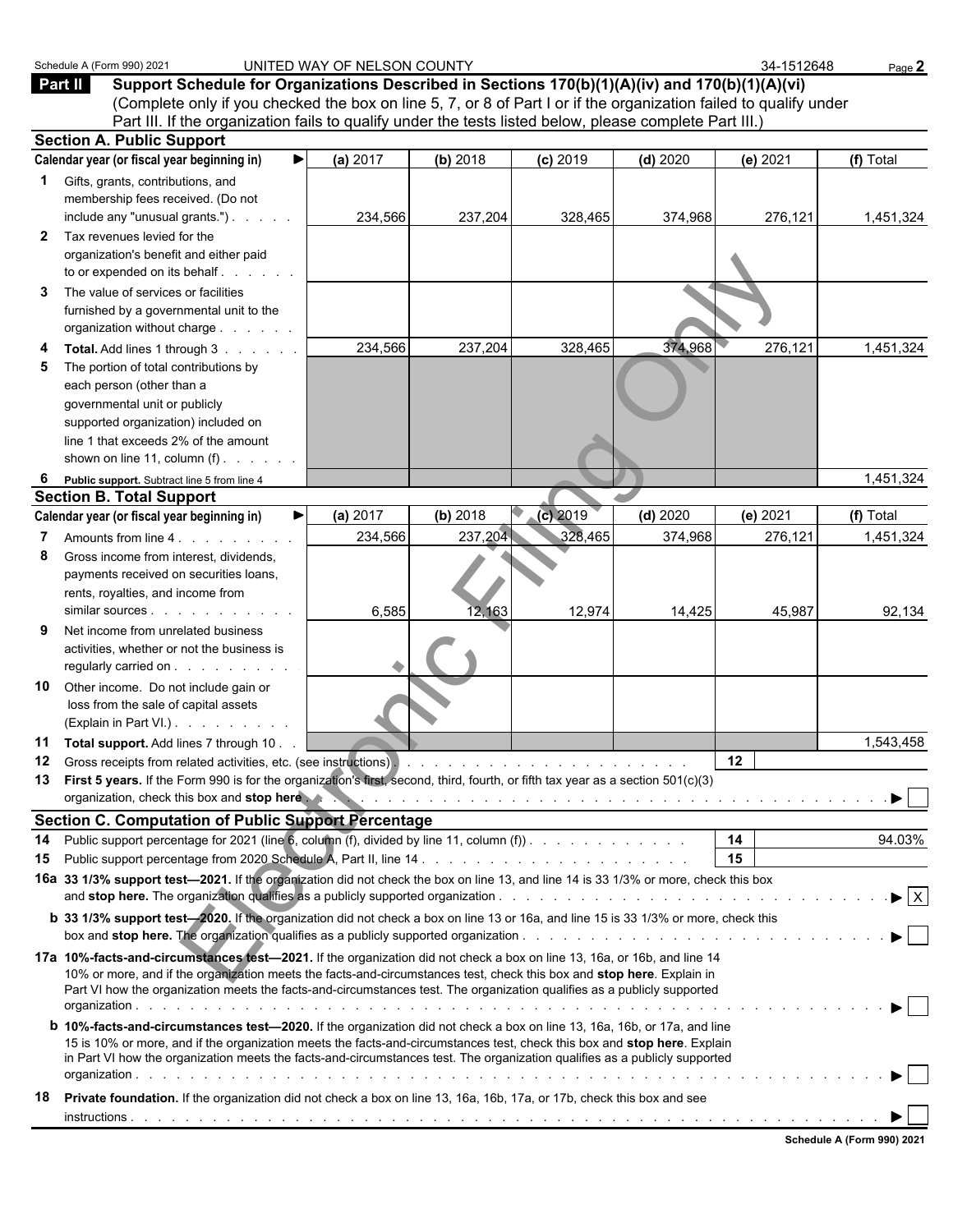|                | Schedule A (Form 990) 2021                                                                                                                                                                                                                                                                                                                                                               | UNITED WAY OF NELSON COUNTY |                   |                   |                   | 34-1512648        | Page 2                         |  |
|----------------|------------------------------------------------------------------------------------------------------------------------------------------------------------------------------------------------------------------------------------------------------------------------------------------------------------------------------------------------------------------------------------------|-----------------------------|-------------------|-------------------|-------------------|-------------------|--------------------------------|--|
|                | Support Schedule for Organizations Described in Sections 170(b)(1)(A)(iv) and 170(b)(1)(A)(vi)<br><b>Part II</b><br>(Complete only if you checked the box on line 5, 7, or 8 of Part I or if the organization failed to qualify under                                                                                                                                                    |                             |                   |                   |                   |                   |                                |  |
|                | Part III. If the organization fails to qualify under the tests listed below, please complete Part III.)                                                                                                                                                                                                                                                                                  |                             |                   |                   |                   |                   |                                |  |
|                | <b>Section A. Public Support</b><br>Calendar year (or fiscal year beginning in)                                                                                                                                                                                                                                                                                                          |                             |                   |                   |                   |                   | (f) Total                      |  |
| 1              | Gifts, grants, contributions, and<br>membership fees received. (Do not                                                                                                                                                                                                                                                                                                                   | (a) 2017                    | (b) 2018          | $(c)$ 2019        | $(d)$ 2020        | (e) 2021          |                                |  |
| 2<br>3         | include any "unusual grants.").<br>Tax revenues levied for the<br>organization's benefit and either paid<br>to or expended on its behalf<br>The value of services or facilities                                                                                                                                                                                                          | 234,566                     | 237,204           | 328,465           | 374,968           | 276,121           | 1,451,324                      |  |
|                | furnished by a governmental unit to the<br>organization without charge                                                                                                                                                                                                                                                                                                                   |                             |                   |                   |                   |                   |                                |  |
| 5              | Total. Add lines 1 through 3<br>The portion of total contributions by<br>each person (other than a<br>governmental unit or publicly<br>supported organization) included on<br>line 1 that exceeds 2% of the amount<br>shown on line 11, column $(f)$ .                                                                                                                                   | 234,566                     | 237,204           | 328,465           | 374,968           | 276,121           | 1,451,324                      |  |
| 6              | Public support. Subtract line 5 from line 4                                                                                                                                                                                                                                                                                                                                              |                             |                   |                   |                   |                   | 1,451,324                      |  |
|                | <b>Section B. Total Support</b>                                                                                                                                                                                                                                                                                                                                                          |                             |                   |                   |                   |                   |                                |  |
|                | Calendar year (or fiscal year beginning in)                                                                                                                                                                                                                                                                                                                                              | (a) 2017                    | (b) 2018          | $(c)$ 2019        | $(d)$ 2020        | (e) 2021          | (f) Total                      |  |
| 7<br>8         | Amounts from line 4.<br>Gross income from interest, dividends,<br>payments received on securities loans,<br>rents, royalties, and income from                                                                                                                                                                                                                                            | 234,566<br>6,585            | 237,204<br>12,163 | 328,465<br>12,974 | 374,968<br>14,425 | 276,121<br>45,987 | 1,451,324<br>92,134            |  |
| 9              | Net income from unrelated business<br>activities, whether or not the business is<br>regularly carried on                                                                                                                                                                                                                                                                                 |                             |                   |                   |                   |                   |                                |  |
| 10             | Other income. Do not include gain or<br>loss from the sale of capital assets<br>(Explain in Part VI.)                                                                                                                                                                                                                                                                                    |                             |                   |                   |                   |                   |                                |  |
| 11<br>12<br>13 | Total support. Add lines 7 through 10.<br>First 5 years. If the Form 990 is for the organization's first, second, third, fourth, or fifth tax year as a section 501(c)(3)                                                                                                                                                                                                                |                             |                   |                   |                   | $12 \,$           | 1,543,458                      |  |
|                | organization, check this box and stop here the state of the state of the state of the state of the state of the state of the state of the state of the state of the state of the state of the state of the state of the state                                                                                                                                                            |                             |                   |                   |                   |                   |                                |  |
|                | <b>Section C. Computation of Public Support Percentage</b>                                                                                                                                                                                                                                                                                                                               |                             |                   |                   |                   |                   |                                |  |
| 14<br>15       | Public support percentage for 2021 (line 6, column (f), divided by line 11, column (f)).<br>16a 33 1/3% support test-2021. If the organization did not check the box on line 13, and line 14 is 33 1/3% or more, check this box                                                                                                                                                          |                             |                   |                   |                   | 14<br>15          | 94.03%                         |  |
|                | <b>b</b> 33 1/3% support test-2020. If the organization did not check a box on line 13 or 16a, and line 15 is 33 1/3% or more, check this                                                                                                                                                                                                                                                |                             |                   |                   |                   |                   | $\blacktriangleright$ $\mid$ X |  |
|                | 17a 10%-facts-and-circumstances test-2021. If the organization did not check a box on line 13, 16a, or 16b, and line 14<br>10% or more, and if the organization meets the facts-and-circumstances test, check this box and stop here. Explain in<br>Part VI how the organization meets the facts-and-circumstances test. The organization qualifies as a publicly supported              |                             |                   |                   |                   |                   |                                |  |
|                | <b>b 10%-facts-and-circumstances test-2020.</b> If the organization did not check a box on line 13, 16a, 16b, or 17a, and line<br>15 is 10% or more, and if the organization meets the facts-and-circumstances test, check this box and stop here. Explain<br>in Part VI how the organization meets the facts-and-circumstances test. The organization qualifies as a publicly supported |                             |                   |                   |                   |                   |                                |  |
| 18             | Private foundation. If the organization did not check a box on line 13, 16a, 16b, 17a, or 17b, check this box and see                                                                                                                                                                                                                                                                    |                             |                   |                   |                   |                   |                                |  |
|                |                                                                                                                                                                                                                                                                                                                                                                                          |                             |                   |                   |                   |                   | Schedule A (Form 990) 2021     |  |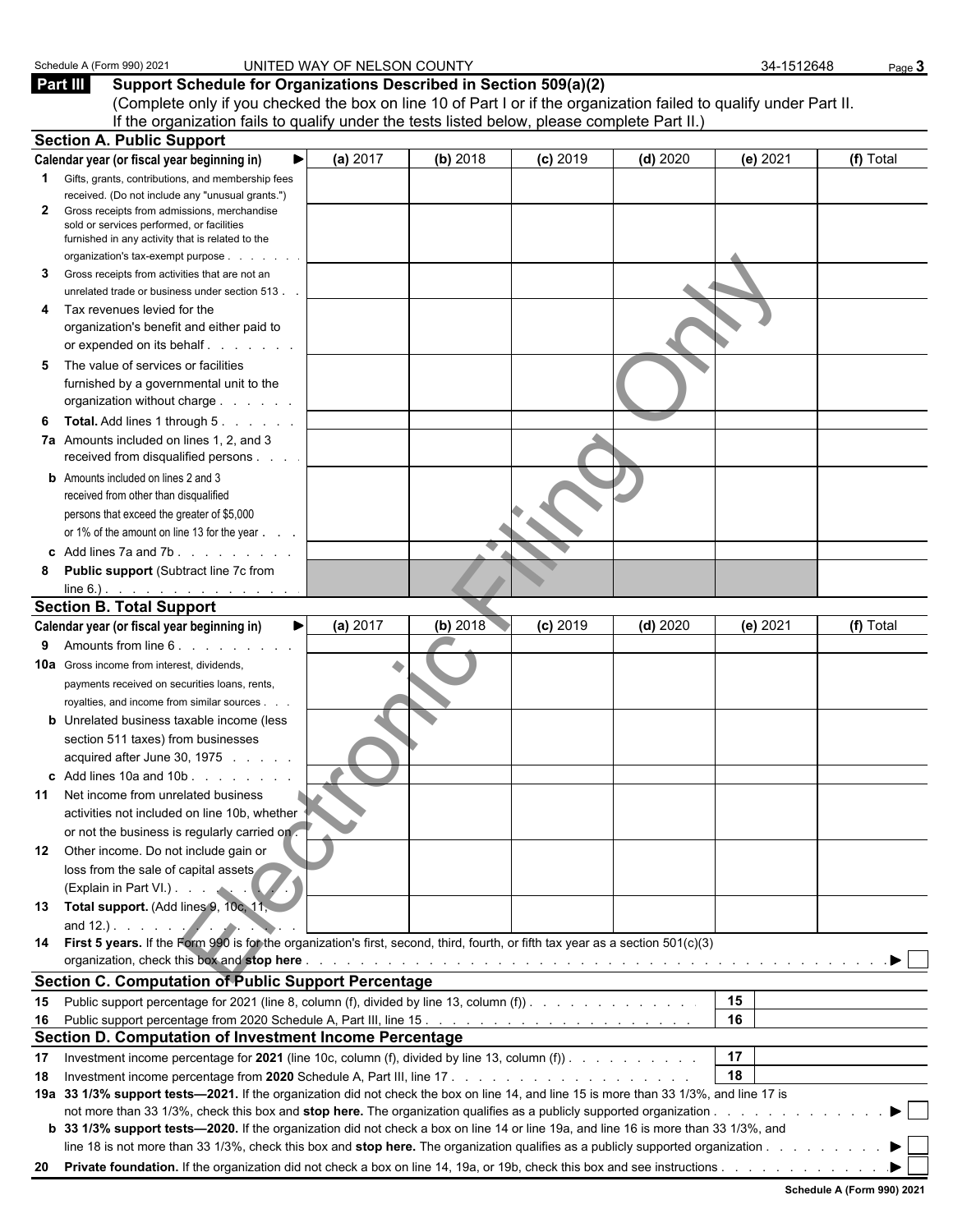|    | Schedule A (Form 990) 2021                                                                                                                   | UNITED WAY OF NELSON COUNTY |          |            |            | 34-1512648 | Page 3    |
|----|----------------------------------------------------------------------------------------------------------------------------------------------|-----------------------------|----------|------------|------------|------------|-----------|
|    | Part III<br>Support Schedule for Organizations Described in Section 509(a)(2)                                                                |                             |          |            |            |            |           |
|    | (Complete only if you checked the box on line 10 of Part I or if the organization failed to qualify under Part II.                           |                             |          |            |            |            |           |
|    | If the organization fails to qualify under the tests listed below, please complete Part II.)                                                 |                             |          |            |            |            |           |
|    | <b>Section A. Public Support</b>                                                                                                             |                             |          |            |            |            |           |
|    | Calendar year (or fiscal year beginning in)                                                                                                  | (a) 2017                    | (b) 2018 | $(c)$ 2019 | $(d)$ 2020 | (e) 2021   | (f) Total |
| 1  | Gifts, grants, contributions, and membership fees<br>received. (Do not include any "unusual grants.")                                        |                             |          |            |            |            |           |
| 2  | Gross receipts from admissions, merchandise<br>sold or services performed, or facilities<br>furnished in any activity that is related to the |                             |          |            |            |            |           |
| 3  | organization's tax-exempt purpose<br>Gross receipts from activities that are not an                                                          |                             |          |            |            |            |           |
|    | unrelated trade or business under section 513.<br>Tax revenues levied for the                                                                |                             |          |            |            |            |           |
|    | organization's benefit and either paid to<br>or expended on its behalf.                                                                      |                             |          |            |            |            |           |
| 5  | The value of services or facilities<br>furnished by a governmental unit to the<br>organization without charge                                |                             |          |            |            |            |           |
| 6  | Total. Add lines 1 through 5.                                                                                                                |                             |          |            |            |            |           |
|    | 7a Amounts included on lines 1, 2, and 3<br>received from disqualified persons                                                               |                             |          |            |            |            |           |
|    | <b>b</b> Amounts included on lines 2 and 3<br>received from other than disqualified                                                          |                             |          |            |            |            |           |
|    | persons that exceed the greater of \$5,000                                                                                                   |                             |          |            |            |            |           |
|    | or 1% of the amount on line 13 for the year                                                                                                  |                             |          |            |            |            |           |
|    | c Add lines $7a$ and $7b$ . $\ldots$ $\ldots$                                                                                                |                             |          |            |            |            |           |
| 8  | Public support (Subtract line 7c from                                                                                                        |                             |          |            |            |            |           |
|    |                                                                                                                                              |                             |          |            |            |            |           |
|    | <b>Section B. Total Support</b>                                                                                                              |                             |          |            |            |            |           |
|    | Calendar year (or fiscal year beginning in)                                                                                                  | (a) 2017                    | (b) 2018 | $(c)$ 2019 | $(d)$ 2020 | (e) 2021   | (f) Total |
| 9  | Amounts from line 6.                                                                                                                         |                             |          |            |            |            |           |
|    | <b>10a</b> Gross income from interest, dividends,<br>payments received on securities loans, rents,                                           |                             |          |            |            |            |           |
|    | royalties, and income from similar sources.                                                                                                  |                             |          |            |            |            |           |
|    | <b>b</b> Unrelated business taxable income (less                                                                                             |                             |          |            |            |            |           |
|    | section 511 taxes) from businesses                                                                                                           |                             |          |            |            |            |           |
|    | acquired after June 30, 1975                                                                                                                 |                             |          |            |            |            |           |
|    | <b>c</b> Add lines 10a and 10b $\ldots$ , $\ldots$                                                                                           |                             |          |            |            |            |           |
|    | 11 Net income from unrelated business                                                                                                        |                             |          |            |            |            |           |
|    | activities not included on line 10b, whether                                                                                                 |                             |          |            |            |            |           |
|    | or not the business is regularly carried on.                                                                                                 |                             |          |            |            |            |           |
|    | 12 Other income. Do not include gain or                                                                                                      |                             |          |            |            |            |           |
|    | loss from the sale of capital assets<br>(Explain in Part VI.).                                                                               |                             |          |            |            |            |           |
|    | 13 Total support. (Add lines 9, 10c, 11,                                                                                                     |                             |          |            |            |            |           |
|    | and 12.). $\qquad \qquad$                                                                                                                    |                             |          |            |            |            |           |
|    | 14 First 5 years. If the Form 990 is for the organization's first, second, third, fourth, or fifth tax year as a section 501(c)(3)           |                             |          |            |            |            |           |
|    |                                                                                                                                              |                             |          |            |            |            |           |
|    | <b>Section C. Computation of Public Support Percentage</b>                                                                                   |                             |          |            |            |            |           |
|    | 15 Public support percentage for 2021 (line 8, column (f), divided by line 13, column (f)).                                                  |                             |          |            |            | 15         |           |
|    |                                                                                                                                              |                             |          |            |            | 16         |           |
|    | Section D. Computation of Investment Income Percentage                                                                                       |                             |          |            |            |            |           |
| 17 | Investment income percentage for 2021 (line 10c, column (f), divided by line 13, column (f)).                                                |                             |          |            |            | 17         |           |
| 18 |                                                                                                                                              |                             |          |            |            | 18         |           |
|    | 19a 33 1/3% support tests-2021. If the organization did not check the box on line 14, and line 15 is more than 33 1/3%, and line 17 is       |                             |          |            |            |            |           |
|    |                                                                                                                                              |                             |          |            |            |            |           |
|    | b 33 1/3% support tests—2020. If the organization did not check a box on line 14 or line 19a, and line 16 is more than 33 1/3%, and          |                             |          |            |            |            |           |
| 20 |                                                                                                                                              |                             |          |            |            |            |           |
|    |                                                                                                                                              |                             |          |            |            |            |           |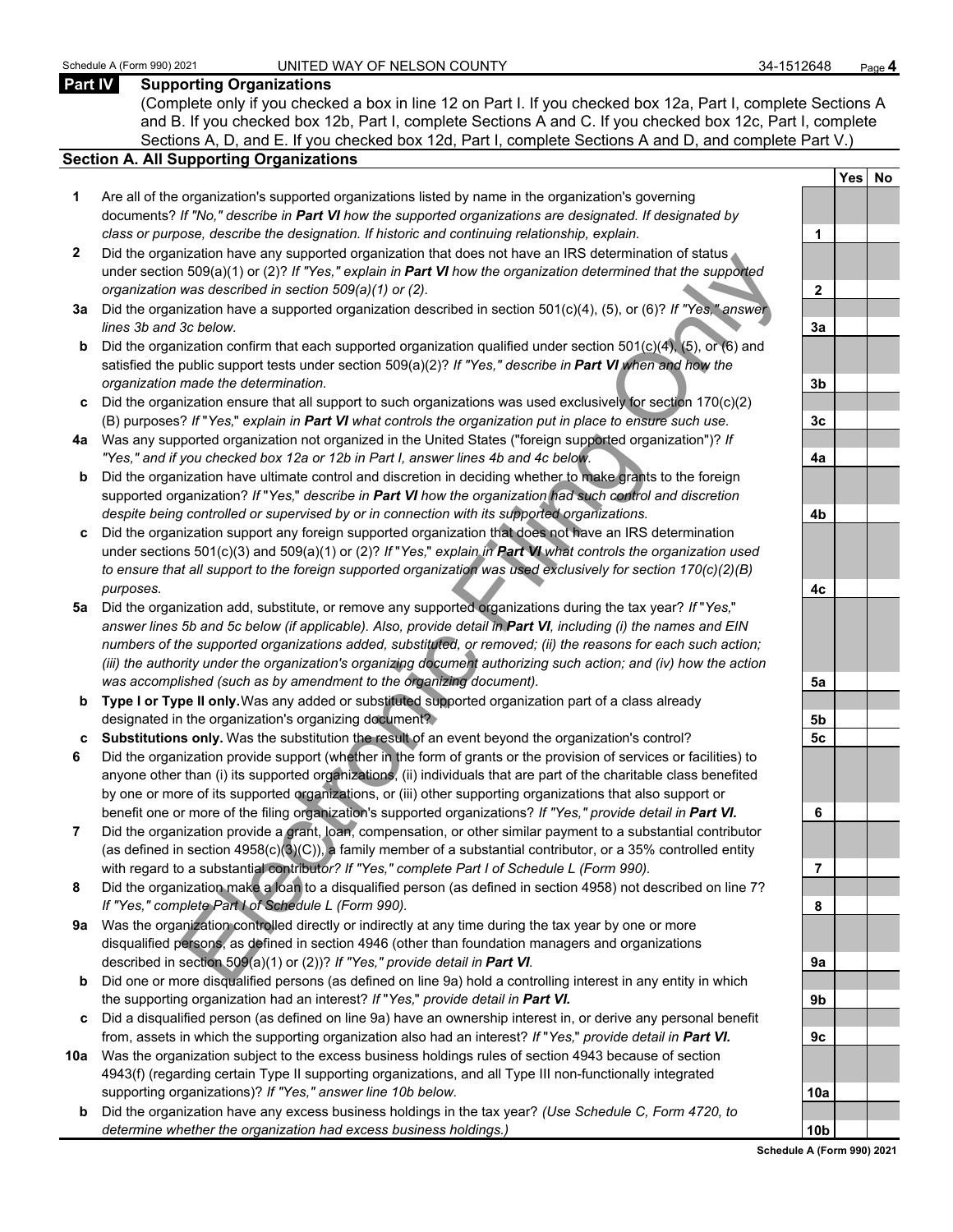#### **Part IV Supporting Organizations**

(Complete only if you checked a box in line 12 on Part I. If you checked box 12a, Part I, complete Sections A and B. If you checked box 12b, Part I, complete Sections A and C. If you checked box 12c, Part I, complete Sections A, D, and E. If you checked box 12d, Part I, complete Sections A and D, and complete Part V.)

#### **Section A. All Supporting Organizations**

- **1** Are all of the organization's supported organizations listed by name in the organization's governing documents? *If "No," describe in Part VI how the supported organizations are designated. If designated by class or purpose, describe the designation. If historic and continuing relationship, explain.* **1**
- **2** Did the organization have any supported organization that does not have an IRS determination of status under section 509(a)(1) or (2)? *If "Yes," explain in Part VI how the organization determined that the supported organization was described in section 509(a)(1) or (2).*
- **3a** Did the organization have a supported organization described in section 501(c)(4), (5), or (6)? *If "Yes," answer*  $I$ *ines 3b and 3c below.*
- **b** Did the organization confirm that each supported organization qualified under section 501(c)(4), (5), or (6) and satisfied the public support tests under section 509(a)(2)? *If "Yes," describe in Part VI when and how the organization made the determination.* **3b**
- **c** Did the organization ensure that all support to such organizations was used exclusively for section 170(c)(2) (B) purposes? *If* "*Yes,*" *explain in Part VI what controls the organization put in place to ensure such use.* **3c**
- **4a** Was any supported organization not organized in the United States ("foreign supported organization")? *If "Yes," and if you checked box 12a or 12b in Part I, answer lines 4b and 4c below.* **4a**
- **b** Did the organization have ultimate control and discretion in deciding whether to make grants to the foreign supported organization? *If* "*Yes,*" *describe in Part VI how the organization had such control and discretion despite being controlled or supervised by or in connection with its supported organizations.* **4b**
- **c** Did the organization support any foreign supported organization that does not have an IRS determination under sections 501(c)(3) and 509(a)(1) or (2)? *If* "*Yes,*" *explain in Part VI what controls the organization used to ensure that all support to the foreign supported organization was used exclusively for section 170(c)(2)(B) purposes.* **4c**
- the<br>and interesting supported to galaxial and in the distribution and the support of the support of the support of the supported to the supported to the supported that the supported that the supported that the supported th **5a** Did the organization add, substitute, or remove any supported organizations during the tax year? *If* "*Yes,*" *answer lines 5b and 5c below (if applicable). Also, provide detail in Part VI, including (i) the names and EIN numbers of the supported organizations added, substituted, or removed; (ii) the reasons for each such action; (iii) the authority under the organization's organizing document authorizing such action; and (iv) how the action was accomplished (such as by amendment to the organizing document).* **5a**
- **b Type I or Type II only.** Was any added or substituted supported organization part of a class already designated in the organization's organizing document? **5b**
- **c Substitutions only.** Was the substitution the result of an event beyond the organization's control? **5c**
- **6** Did the organization provide support (whether in the form of grants or the provision of services or facilities) to anyone other than (i) its supported organizations, (ii) individuals that are part of the charitable class benefited by one or more of its supported organizations, or (iii) other supporting organizations that also support or benefit one or more of the filing organization's supported organizations? *If "Yes," provide detail in Part VI.* **6**
- **7** Did the organization provide a grant, loan, compensation, or other similar payment to a substantial contributor (as defined in section 4958(c)(3)(C)), a family member of a substantial contributor, or a 35% controlled entity with regard to a substantial contribut*or? If "Yes," complete Part I of Schedule L (Form 990).* **7**
- **8** Did the organization make a loan to a disqualified person (as defined in section 4958) not described on line 7? *If "Yes," complete Part I of Schedule L (Form 990).* **8**
- **9a** Was the organization controlled directly or indirectly at any time during the tax year by one or more disqualified persons, as defined in section 4946 (other than foundation managers and organizations described in section 509(a)(1) or (2))? If "Yes," provide detail in Part VI.
- **b** Did one or more disqualified persons (as defined on line 9a) hold a controlling interest in any entity in which the supporting organization had an interest? *If* "*Yes,*" *provide detail in Part VI.* **9b**
- **c** Did a disqualified person (as defined on line 9a) have an ownership interest in, or derive any personal benefit from, assets in which the supporting organization also had an interest? *If* "*Yes,*" *provide detail in Part VI.* **9c**
- **10a** Was the organization subject to the excess business holdings rules of section 4943 because of section 4943(f) (regarding certain Type II supporting organizations, and all Type III non-functionally integrated supporting organizations)? If "Yes," answer line 10b below.
	- **b** Did the organization have any excess business holdings in the tax year? *(Use Schedule C, Form 4720, to determine whether the organization had excess business holdings.)*

|                 | Yes No |  |
|-----------------|--------|--|
|                 |        |  |
| 1               |        |  |
|                 |        |  |
| $\overline{2}$  |        |  |
|                 |        |  |
| <u>3a</u>       |        |  |
|                 |        |  |
| <u>3b</u>       |        |  |
|                 |        |  |
| 3c              |        |  |
|                 |        |  |
| 4a              |        |  |
|                 |        |  |
| 4 <sub>b</sub>  |        |  |
|                 |        |  |
| 4c              |        |  |
|                 |        |  |
| <u>5a</u>       |        |  |
| <u>5b</u>       |        |  |
| 5c              |        |  |
|                 |        |  |
| 6               |        |  |
|                 |        |  |
| 7               |        |  |
| 8               |        |  |
|                 |        |  |
| 9a              |        |  |
|                 |        |  |
| 9 <sub>b</sub>  |        |  |
|                 |        |  |
| <u>9c</u>       |        |  |
|                 |        |  |
| <u> 10a</u>     |        |  |
|                 |        |  |
| 10 <sub>b</sub> |        |  |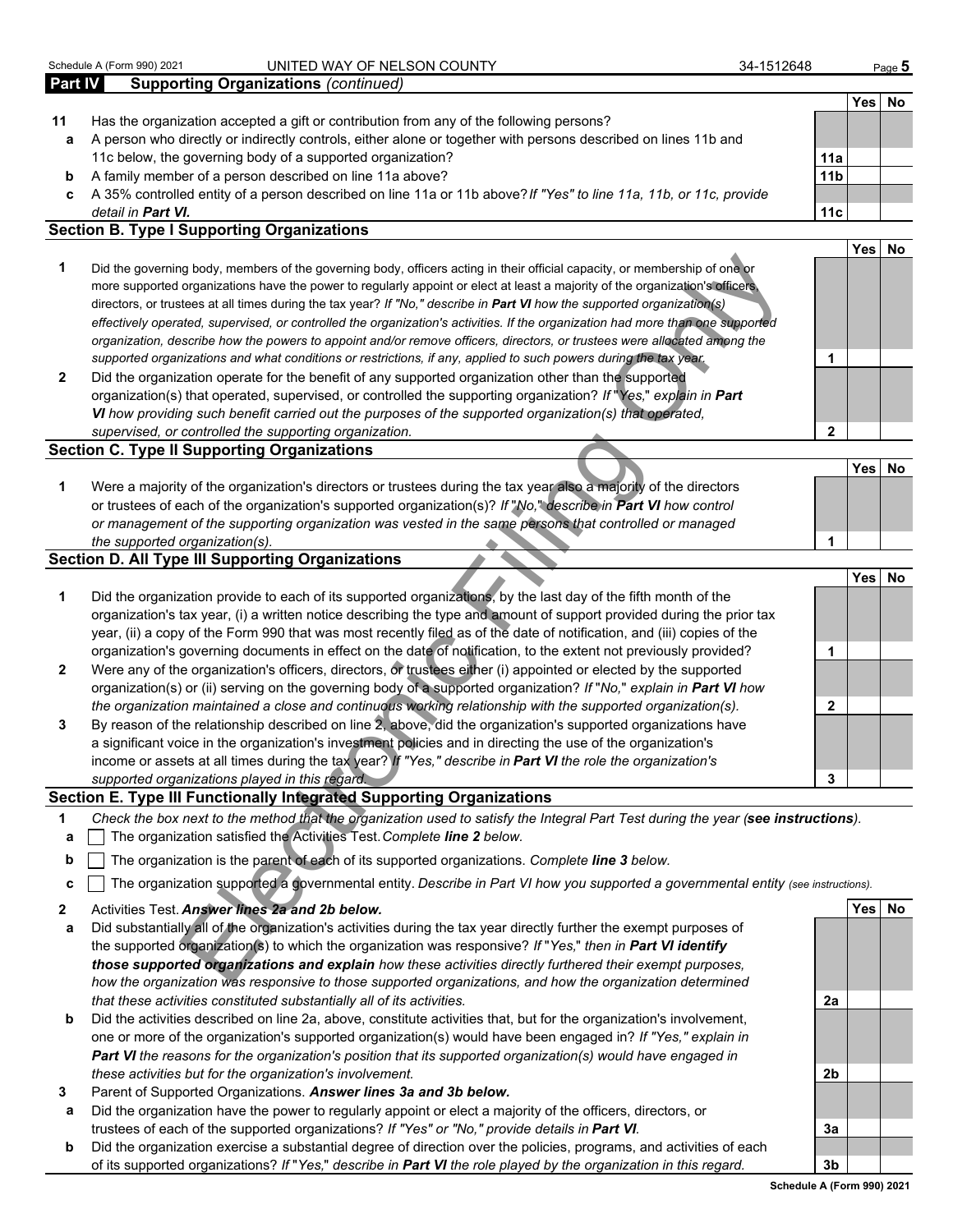|                | Schedule A (Form 990) 2021<br>UNITED WAY OF NELSON COUNTY                                                                                                                                                                                                                                                                                                                              | 34-1512648      | Page 5     |    |
|----------------|----------------------------------------------------------------------------------------------------------------------------------------------------------------------------------------------------------------------------------------------------------------------------------------------------------------------------------------------------------------------------------------|-----------------|------------|----|
| <b>Part IV</b> | <b>Supporting Organizations (continued)</b>                                                                                                                                                                                                                                                                                                                                            |                 |            |    |
|                |                                                                                                                                                                                                                                                                                                                                                                                        |                 | Yes l      | No |
| 11             | Has the organization accepted a gift or contribution from any of the following persons?                                                                                                                                                                                                                                                                                                |                 |            |    |
| a              | A person who directly or indirectly controls, either alone or together with persons described on lines 11b and                                                                                                                                                                                                                                                                         |                 |            |    |
|                | 11c below, the governing body of a supported organization?                                                                                                                                                                                                                                                                                                                             | 11a             |            |    |
| b              | A family member of a person described on line 11a above?                                                                                                                                                                                                                                                                                                                               | 11 <sub>b</sub> |            |    |
| c              | A 35% controlled entity of a person described on line 11a or 11b above? If "Yes" to line 11a, 11b, or 11c, provide                                                                                                                                                                                                                                                                     |                 |            |    |
|                | detail in <b>Part VI.</b>                                                                                                                                                                                                                                                                                                                                                              | 11c             |            |    |
|                | <b>Section B. Type I Supporting Organizations</b>                                                                                                                                                                                                                                                                                                                                      |                 |            |    |
|                |                                                                                                                                                                                                                                                                                                                                                                                        |                 | <b>Yes</b> | No |
|                | Did the governing body, members of the governing body, officers acting in their official capacity, or membership of one or<br>more supported organizations have the power to regularly appoint or elect at least a majority of the organization's officers,<br>directors, or trustees at all times during the tax year? If "No," describe in Part VI how the supported organization(s) |                 |            |    |

#### **Section C. Type II Supporting Organizations**

|                                                                                                                  | Yesl | No |
|------------------------------------------------------------------------------------------------------------------|------|----|
| Were a majority of the organization's directors or trustees during the tax year also a majority of the directors |      |    |
| or trustees of each of the organization's supported organization(s)? If "No," describe in Part VI how control    |      |    |
| or management of the supporting organization was vested in the same persons that controlled or managed           |      |    |
| the supported organization(s).                                                                                   |      |    |

#### **Section D. All Type III Supporting Organizations**

| 1            | Did the governing body, members of the governing body, officers acting in their official capacity, or membership of one or<br>more supported organizations have the power to regularly appoint or elect at least a majority of the organization's officers,<br>directors, or trustees at all times during the tax year? If "No," describe in Part VI how the supported organization(s)<br>effectively operated, supervised, or controlled the organization's activities. If the organization had more than one supported<br>organization, describe how the powers to appoint and/or remove officers, directors, or trustees were allocated among the<br>supported organizations and what conditions or restrictions, if any, applied to such powers during the tax year. | 1            |            |           |
|--------------|--------------------------------------------------------------------------------------------------------------------------------------------------------------------------------------------------------------------------------------------------------------------------------------------------------------------------------------------------------------------------------------------------------------------------------------------------------------------------------------------------------------------------------------------------------------------------------------------------------------------------------------------------------------------------------------------------------------------------------------------------------------------------|--------------|------------|-----------|
| $\mathbf{2}$ | Did the organization operate for the benefit of any supported organization other than the supported                                                                                                                                                                                                                                                                                                                                                                                                                                                                                                                                                                                                                                                                      |              |            |           |
|              | organization(s) that operated, supervised, or controlled the supporting organization? If "Yes," explain in Part                                                                                                                                                                                                                                                                                                                                                                                                                                                                                                                                                                                                                                                          |              |            |           |
|              | VI how providing such benefit carried out the purposes of the supported organization(s) that operated,                                                                                                                                                                                                                                                                                                                                                                                                                                                                                                                                                                                                                                                                   |              |            |           |
|              | supervised, or controlled the supporting organization.                                                                                                                                                                                                                                                                                                                                                                                                                                                                                                                                                                                                                                                                                                                   | $\mathbf{2}$ |            |           |
|              | <b>Section C. Type II Supporting Organizations</b>                                                                                                                                                                                                                                                                                                                                                                                                                                                                                                                                                                                                                                                                                                                       |              |            |           |
|              |                                                                                                                                                                                                                                                                                                                                                                                                                                                                                                                                                                                                                                                                                                                                                                          |              | <b>Yes</b> | <b>No</b> |
| 1            | Were a majority of the organization's directors or trustees during the tax year also a majority of the directors                                                                                                                                                                                                                                                                                                                                                                                                                                                                                                                                                                                                                                                         |              |            |           |
|              | or trustees of each of the organization's supported organization(s)? If "No," describe in Part VI how control                                                                                                                                                                                                                                                                                                                                                                                                                                                                                                                                                                                                                                                            |              |            |           |
|              | or management of the supporting organization was vested in the same persons that controlled or managed                                                                                                                                                                                                                                                                                                                                                                                                                                                                                                                                                                                                                                                                   |              |            |           |
|              | the supported organization(s).                                                                                                                                                                                                                                                                                                                                                                                                                                                                                                                                                                                                                                                                                                                                           | 1            |            |           |
|              | <b>Section D. All Type III Supporting Organizations</b>                                                                                                                                                                                                                                                                                                                                                                                                                                                                                                                                                                                                                                                                                                                  |              |            |           |
|              | Did the organization provide to each of its supported organizations, by the last day of the fifth month of the                                                                                                                                                                                                                                                                                                                                                                                                                                                                                                                                                                                                                                                           |              | Yes        | <b>No</b> |
| 1            | organization's tax year, (i) a written notice describing the type and amount of support provided during the prior tax                                                                                                                                                                                                                                                                                                                                                                                                                                                                                                                                                                                                                                                    |              |            |           |
|              | year, (ii) a copy of the Form 990 that was most recently filed as of the date of notification, and (iii) copies of the                                                                                                                                                                                                                                                                                                                                                                                                                                                                                                                                                                                                                                                   |              |            |           |
|              | organization's governing documents in effect on the date of notification, to the extent not previously provided?                                                                                                                                                                                                                                                                                                                                                                                                                                                                                                                                                                                                                                                         | 1            |            |           |
| $\mathbf{2}$ | Were any of the organization's officers, directors, or trustees either (i) appointed or elected by the supported                                                                                                                                                                                                                                                                                                                                                                                                                                                                                                                                                                                                                                                         |              |            |           |
|              | organization(s) or (ii) serving on the governing body of a supported organization? If "No," explain in Part VI how                                                                                                                                                                                                                                                                                                                                                                                                                                                                                                                                                                                                                                                       |              |            |           |
|              | the organization maintained a close and continuous working relationship with the supported organization(s).                                                                                                                                                                                                                                                                                                                                                                                                                                                                                                                                                                                                                                                              | $\mathbf{2}$ |            |           |
| 3            | By reason of the relationship described on line 2, above, did the organization's supported organizations have                                                                                                                                                                                                                                                                                                                                                                                                                                                                                                                                                                                                                                                            |              |            |           |
|              | a significant voice in the organization's investment policies and in directing the use of the organization's                                                                                                                                                                                                                                                                                                                                                                                                                                                                                                                                                                                                                                                             |              |            |           |
|              | income or assets at all times during the tax year? If "Yes," describe in Part VI the role the organization's                                                                                                                                                                                                                                                                                                                                                                                                                                                                                                                                                                                                                                                             |              |            |           |
|              | supported organizations played in this regard.                                                                                                                                                                                                                                                                                                                                                                                                                                                                                                                                                                                                                                                                                                                           | 3            |            |           |
|              | Section E. Type III Functionally Integrated Supporting Organizations                                                                                                                                                                                                                                                                                                                                                                                                                                                                                                                                                                                                                                                                                                     |              |            |           |
| 1            | Check the box next to the method that the organization used to satisfy the Integral Part Test during the year (see instructions).                                                                                                                                                                                                                                                                                                                                                                                                                                                                                                                                                                                                                                        |              |            |           |
| a            | The organization satisfied the Activities Test. Complete line 2 below.                                                                                                                                                                                                                                                                                                                                                                                                                                                                                                                                                                                                                                                                                                   |              |            |           |
| b            | The organization is the parent of each of its supported organizations. Complete line 3 below.                                                                                                                                                                                                                                                                                                                                                                                                                                                                                                                                                                                                                                                                            |              |            |           |
| C            | The organization supported a governmental entity. Describe in Part VI how you supported a governmental entity (see instructions).                                                                                                                                                                                                                                                                                                                                                                                                                                                                                                                                                                                                                                        |              |            |           |
| $\mathbf{2}$ | Activities Test. Answer lines 2a and 2b below.                                                                                                                                                                                                                                                                                                                                                                                                                                                                                                                                                                                                                                                                                                                           |              | Yesl       | No        |
| a            | Did substantially all of the organization's activities during the tax year directly further the exempt purposes of                                                                                                                                                                                                                                                                                                                                                                                                                                                                                                                                                                                                                                                       |              |            |           |
|              | the supported organization(s) to which the organization was responsive? If "Yes," then in Part VI identify                                                                                                                                                                                                                                                                                                                                                                                                                                                                                                                                                                                                                                                               |              |            |           |
|              | those supported organizations and explain how these activities directly furthered their exempt purposes,                                                                                                                                                                                                                                                                                                                                                                                                                                                                                                                                                                                                                                                                 |              |            |           |
|              | how the organization was responsive to those supported organizations, and how the organization determined                                                                                                                                                                                                                                                                                                                                                                                                                                                                                                                                                                                                                                                                |              |            |           |

#### **Section E. Type III Functionally Integrated Supporting Organizations**

- **1** *Check the box next to the method that the organization used to satisfy the Integral Part Test during the year (see instructions).*
- **a** The organization satisfied the Activities Test. *Complete line 2 below.*
- **b** The organization is the parent of each of its supported organizations. *Complete line 3 below.*
- **c** The organization supported a governmental entity. *Describe in Part VI how you supported a governmental entity (see instructions).*
- **2** Activities Test. *Answer lines 2a and 2b below.* **Yes No**
- **a** Did substantially all of the organization's activities during the tax year directly further the exempt purposes of the supported organization(s) to which the organization was responsive? *If* "*Yes,*" *then in Part VI identify those supported organizations and explain how these activities directly furthered their exempt purposes, how the organization was responsive to those supported organizations, and how the organization determined that these activities constituted substantially all of its activities.* **2a**
- **b** Did the activities described on line 2a, above, constitute activities that, but for the organization's involvement, one or more of the organization's supported organization(s) would have been engaged in? *If "Yes," explain in Part VI the reasons for the organization's position that its supported organization(s) would have engaged in these activities but for the organization's involvement.* **2b**
- **3** Parent of Supported Organizations. *Answer lines 3a and 3b below.*
- **a** Did the organization have the power to regularly appoint or elect a majority of the officers, directors, or trustees of each of the supported organizations? *If "Yes" or "No," provide details in Part VI.* **3a**
- **b** Did the organization exercise a substantial degree of direction over the policies, programs, and activities of each of its supported organizations? *If* "*Yes,*" *describe in Part VI the role played by the organization in this regard.* **3b**

**Schedule A (Form 990) 2021**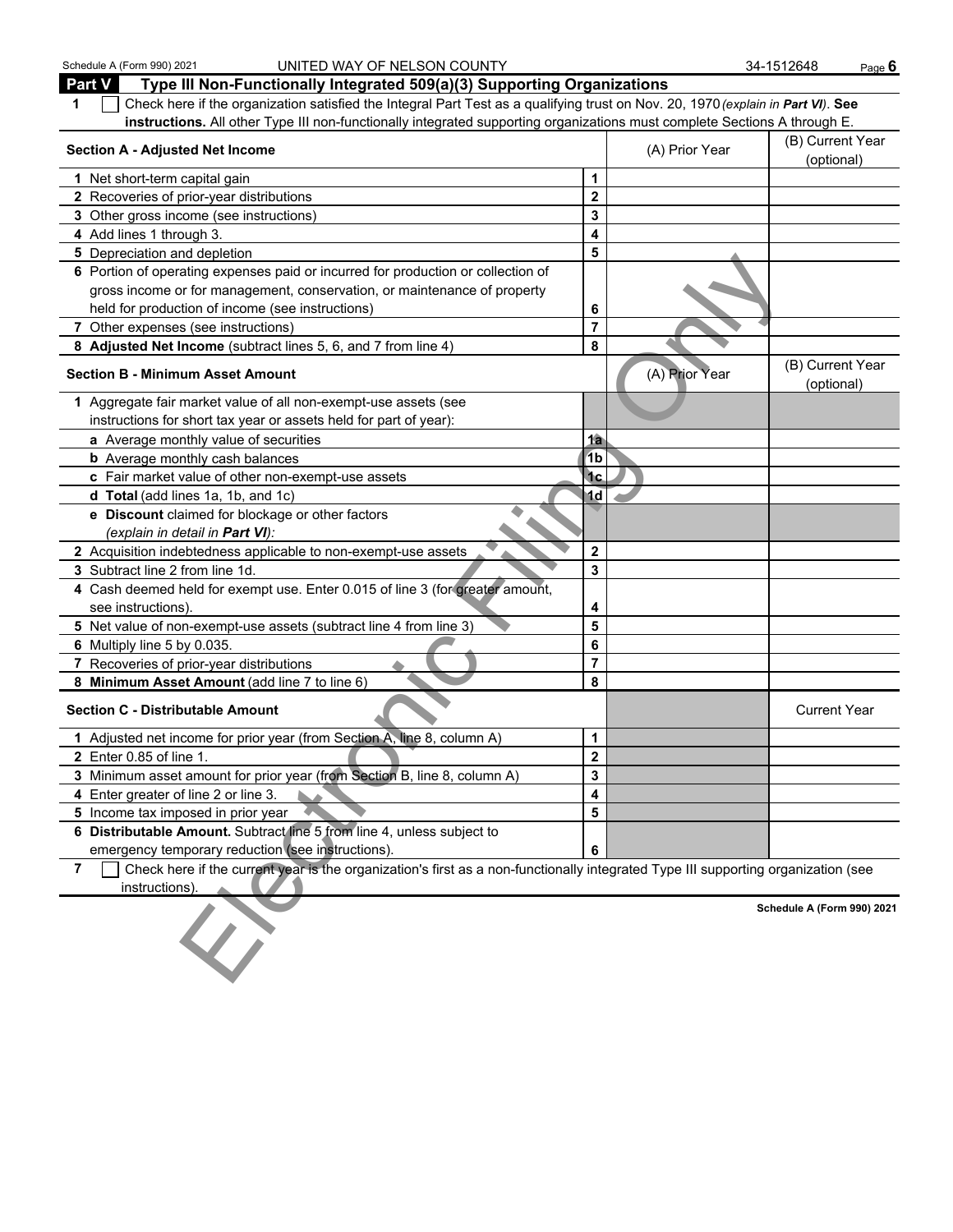| Schedule A (Form 990) 2021<br>UNITED WAY OF NELSON COUNTY                                                                                           |                         |                | 34-1512648                     | Page $6$ |
|-----------------------------------------------------------------------------------------------------------------------------------------------------|-------------------------|----------------|--------------------------------|----------|
| Part V<br>Type III Non-Functionally Integrated 509(a)(3) Supporting Organizations                                                                   |                         |                |                                |          |
| Check here if the organization satisfied the Integral Part Test as a qualifying trust on Nov. 20, 1970 (explain in Part VI). See<br>1               |                         |                |                                |          |
| instructions. All other Type III non-functionally integrated supporting organizations must complete Sections A through E.                           |                         |                |                                |          |
| <b>Section A - Adjusted Net Income</b>                                                                                                              |                         | (A) Prior Year | (B) Current Year<br>(optional) |          |
| 1 Net short-term capital gain                                                                                                                       | 1                       |                |                                |          |
| 2 Recoveries of prior-year distributions                                                                                                            | $\mathbf 2$             |                |                                |          |
| 3 Other gross income (see instructions)                                                                                                             | 3                       |                |                                |          |
| 4 Add lines 1 through 3.                                                                                                                            | 4                       |                |                                |          |
| 5 Depreciation and depletion                                                                                                                        | 5                       |                |                                |          |
| 6 Portion of operating expenses paid or incurred for production or collection of                                                                    |                         |                |                                |          |
| gross income or for management, conservation, or maintenance of property                                                                            |                         |                |                                |          |
| held for production of income (see instructions)                                                                                                    | 6                       |                |                                |          |
| 7 Other expenses (see instructions)                                                                                                                 | $\overline{7}$          |                |                                |          |
| 8 Adjusted Net Income (subtract lines 5, 6, and 7 from line 4)                                                                                      | 8                       |                |                                |          |
| <b>Section B - Minimum Asset Amount</b>                                                                                                             |                         | (A) Prior Year | (B) Current Year<br>(optional) |          |
| 1 Aggregate fair market value of all non-exempt-use assets (see                                                                                     |                         |                |                                |          |
| instructions for short tax year or assets held for part of year):                                                                                   |                         |                |                                |          |
| a Average monthly value of securities                                                                                                               | 1a                      |                |                                |          |
| <b>b</b> Average monthly cash balances                                                                                                              | 1 <sub>b</sub>          |                |                                |          |
| c Fair market value of other non-exempt-use assets                                                                                                  | <sup>1</sup> c          |                |                                |          |
| d Total (add lines 1a, 1b, and 1c)                                                                                                                  | 1d                      |                |                                |          |
| e Discount claimed for blockage or other factors                                                                                                    |                         |                |                                |          |
| (explain in detail in <b>Part VI</b> ):                                                                                                             |                         |                |                                |          |
| 2 Acquisition indebtedness applicable to non-exempt-use assets                                                                                      | $\bf{2}$                |                |                                |          |
| 3 Subtract line 2 from line 1d.                                                                                                                     | 3                       |                |                                |          |
| 4 Cash deemed held for exempt use. Enter 0.015 of line 3 (for greater amount,                                                                       |                         |                |                                |          |
| see instructions).                                                                                                                                  | 4                       |                |                                |          |
| 5 Net value of non-exempt-use assets (subtract line 4 from line 3)                                                                                  | 5                       |                |                                |          |
| 6 Multiply line 5 by 0.035.                                                                                                                         | 6                       |                |                                |          |
| 7 Recoveries of prior-year distributions                                                                                                            | $\overline{\mathbf{r}}$ |                |                                |          |
| 8 Minimum Asset Amount (add line 7 to line 6)                                                                                                       | 8                       |                |                                |          |
| <b>Section C - Distributable Amount</b>                                                                                                             |                         |                | <b>Current Year</b>            |          |
| 1 Adjusted net income for prior year (from Section A, line 8, column A)                                                                             | 1                       |                |                                |          |
| <b>2</b> Enter 0.85 of line 1.                                                                                                                      | 2                       |                |                                |          |
| 3 Minimum asset amount for prior year (from Section B, line 8, column A)                                                                            | 3                       |                |                                |          |
| 4 Enter greater of line 2 or line 3.                                                                                                                | 4                       |                |                                |          |
| 5 Income tax imposed in prior year                                                                                                                  | 5                       |                |                                |          |
| 6 Distributable Amount. Subtract line 5 from line 4, unless subject to                                                                              |                         |                |                                |          |
| emergency temporary reduction (see instructions).                                                                                                   | 6                       |                |                                |          |
| Check here if the current year is the organization's first as a non-functionally integrated Type III supporting organization (see<br>$\overline{7}$ |                         |                |                                |          |
| instructions).                                                                                                                                      |                         |                |                                |          |
|                                                                                                                                                     |                         |                | Schedule A (Form 990) 2021     |          |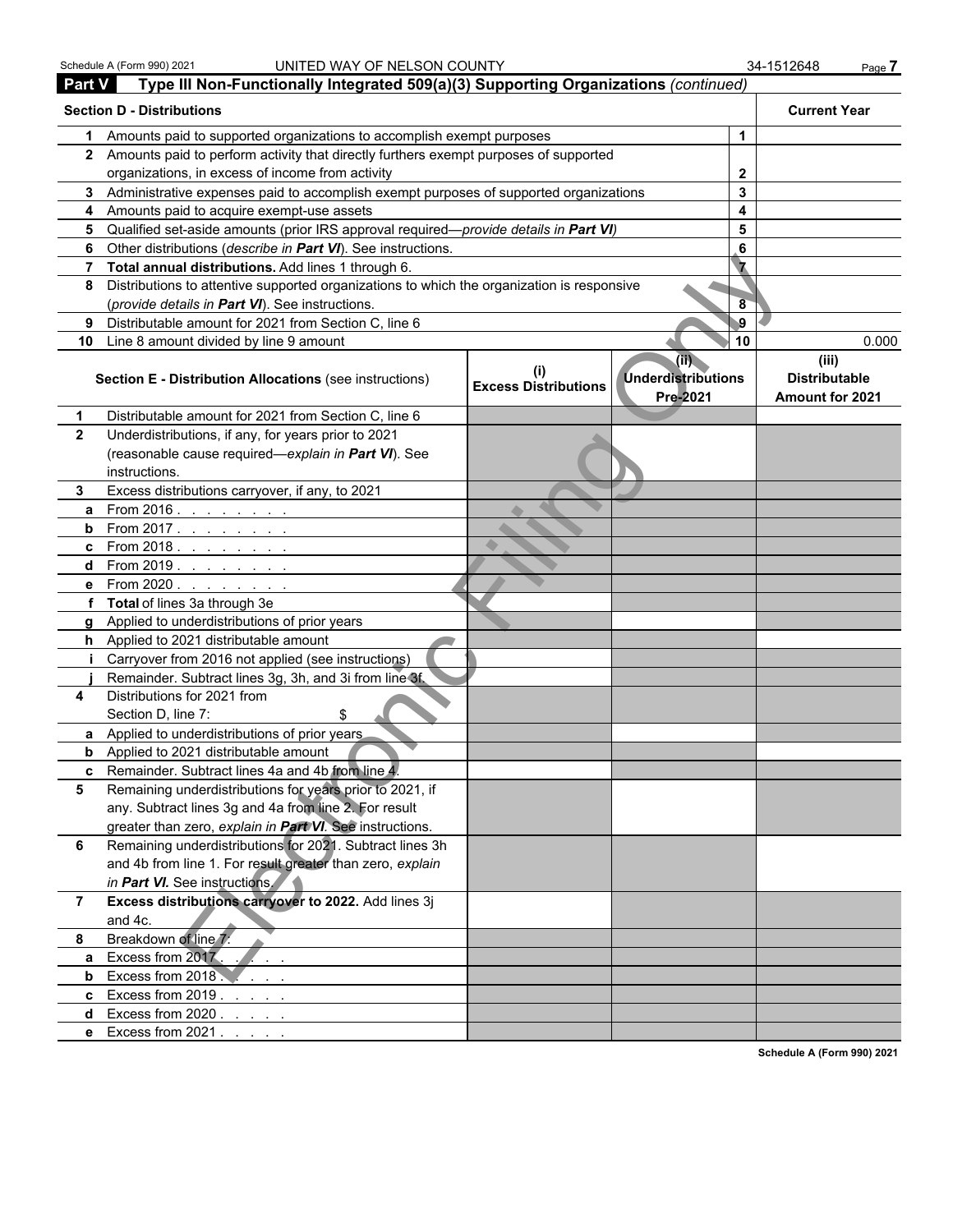| <b>Part V</b>  | Type III Non-Functionally Integrated 509(a)(3) Supporting Organizations (continued)        |                             |                                                          |          |                                                  |
|----------------|--------------------------------------------------------------------------------------------|-----------------------------|----------------------------------------------------------|----------|--------------------------------------------------|
|                | <b>Section D - Distributions</b>                                                           |                             |                                                          |          | <b>Current Year</b>                              |
| 1              | Amounts paid to supported organizations to accomplish exempt purposes                      |                             |                                                          | 1        |                                                  |
|                | 2 Amounts paid to perform activity that directly furthers exempt purposes of supported     |                             |                                                          |          |                                                  |
|                | organizations, in excess of income from activity                                           |                             |                                                          | 2        |                                                  |
|                | 3 Administrative expenses paid to accomplish exempt purposes of supported organizations    |                             |                                                          | 3        |                                                  |
|                | 4 Amounts paid to acquire exempt-use assets                                                |                             |                                                          | 4        |                                                  |
|                | 5 Qualified set-aside amounts (prior IRS approval required—provide details in Part VI)     |                             |                                                          | 5        |                                                  |
|                | 6 Other distributions (describe in Part VI). See instructions.                             |                             |                                                          | 6        |                                                  |
|                | 7 Total annual distributions. Add lines 1 through 6.                                       |                             |                                                          |          |                                                  |
| 8              | Distributions to attentive supported organizations to which the organization is responsive |                             |                                                          |          |                                                  |
|                | (provide details in Part VI). See instructions.                                            |                             |                                                          | 8        |                                                  |
| 9              | Distributable amount for 2021 from Section C, line 6                                       |                             |                                                          | $\bf{9}$ |                                                  |
|                | 10 Line 8 amount divided by line 9 amount                                                  |                             |                                                          | 10       | 0.000                                            |
|                | Section E - Distribution Allocations (see instructions)                                    | <b>Excess Distributions</b> | $(\mathbb{ii})$<br><b>Underdistributions</b><br>Pre-2021 |          | (iii)<br><b>Distributable</b><br>Amount for 2021 |
| 1              | Distributable amount for 2021 from Section C, line 6                                       |                             |                                                          |          |                                                  |
| $\mathbf{2}$   | Underdistributions, if any, for years prior to 2021                                        |                             |                                                          |          |                                                  |
|                | (reasonable cause required-explain in Part VI). See                                        |                             |                                                          |          |                                                  |
|                | instructions.                                                                              |                             |                                                          |          |                                                  |
| 3.             | Excess distributions carryover, if any, to 2021                                            |                             |                                                          |          |                                                  |
| a              | From $2016.$ $\ldots$ $\ldots$ $\ldots$                                                    |                             |                                                          |          |                                                  |
|                | <b>b</b> From 2017.                                                                        |                             |                                                          |          |                                                  |
|                | <b>c</b> From 2018. $\frac{1}{1}$                                                          |                             |                                                          |          |                                                  |
|                | d From 2019.                                                                               |                             |                                                          |          |                                                  |
|                | e From 2020.                                                                               |                             |                                                          |          |                                                  |
|                | f Total of lines 3a through 3e                                                             |                             |                                                          |          |                                                  |
|                | g Applied to underdistributions of prior years                                             |                             |                                                          |          |                                                  |
|                | h Applied to 2021 distributable amount                                                     |                             |                                                          |          |                                                  |
|                | Carryover from 2016 not applied (see instructions)                                         |                             |                                                          |          |                                                  |
|                | Remainder. Subtract lines 3g, 3h, and 3i from line 3f.                                     |                             |                                                          |          |                                                  |
| 4              | Distributions for 2021 from<br>Section D, line 7:                                          |                             |                                                          |          |                                                  |
|                | a Applied to underdistributions of prior years                                             |                             |                                                          |          |                                                  |
|                | <b>b</b> Applied to 2021 distributable amount                                              |                             |                                                          |          |                                                  |
|                | c Remainder. Subtract lines 4a and 4b from line 4.                                         |                             |                                                          |          |                                                  |
| 5              | Remaining underdistributions for years prior to 2021, if                                   |                             |                                                          |          |                                                  |
|                | any. Subtract lines 3g and 4a from line 2. For result                                      |                             |                                                          |          |                                                  |
|                | greater than zero, explain in Part VI. See instructions.                                   |                             |                                                          |          |                                                  |
| 6              | Remaining underdistributions for 2021. Subtract lines 3h                                   |                             |                                                          |          |                                                  |
|                | and 4b from line 1. For result greater than zero, explain                                  |                             |                                                          |          |                                                  |
|                | in Part VI. See instructions.                                                              |                             |                                                          |          |                                                  |
| $\overline{7}$ | Excess distributions carryover to 2022. Add lines 3j                                       |                             |                                                          |          |                                                  |
|                | and 4c.                                                                                    |                             |                                                          |          |                                                  |
| 8              | Breakdown of line 7:                                                                       |                             |                                                          |          |                                                  |
| a              | Excess from 2017.                                                                          |                             |                                                          |          |                                                  |
| b              | Excess from 2018.                                                                          |                             |                                                          |          |                                                  |
|                | c Excess from $2019$ .                                                                     |                             |                                                          |          |                                                  |
| d              | Excess from $2020.7.7.7.7$                                                                 |                             |                                                          |          |                                                  |
|                | e Excess from 2021                                                                         |                             |                                                          |          |                                                  |

**Schedule A (Form 990) 2021**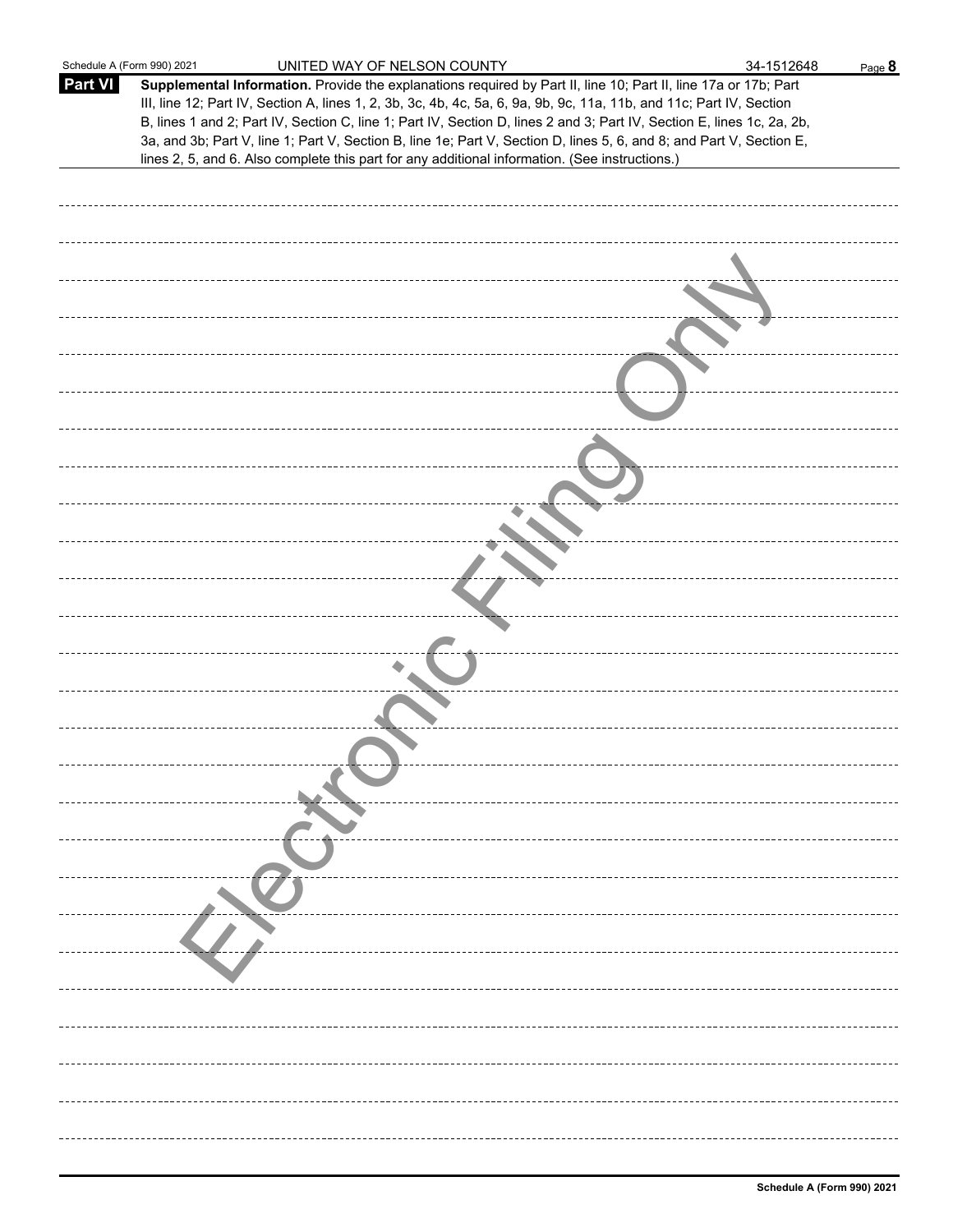| Schedule A (Form 990) 2021 | UNITED WAY OF NELSON COUNTY                                                                                                                                                                                                                                                                                                                                                                                                                                                               | 34-1512648 | Page 8 |
|----------------------------|-------------------------------------------------------------------------------------------------------------------------------------------------------------------------------------------------------------------------------------------------------------------------------------------------------------------------------------------------------------------------------------------------------------------------------------------------------------------------------------------|------------|--------|
| <b>Part VI</b>             | Supplemental Information. Provide the explanations required by Part II, line 10; Part II, line 17a or 17b; Part<br>III, line 12; Part IV, Section A, lines 1, 2, 3b, 3c, 4b, 4c, 5a, 6, 9a, 9b, 9c, 11a, 11b, and 11c; Part IV, Section<br>B, lines 1 and 2; Part IV, Section C, line 1; Part IV, Section D, lines 2 and 3; Part IV, Section E, lines 1c, 2a, 2b,<br>3a, and 3b; Part V, line 1; Part V, Section B, line 1e; Part V, Section D, lines 5, 6, and 8; and Part V, Section E, |            |        |
|                            | lines 2, 5, and 6. Also complete this part for any additional information. (See instructions.)                                                                                                                                                                                                                                                                                                                                                                                            |            |        |
|                            |                                                                                                                                                                                                                                                                                                                                                                                                                                                                                           |            |        |
|                            |                                                                                                                                                                                                                                                                                                                                                                                                                                                                                           |            |        |
|                            |                                                                                                                                                                                                                                                                                                                                                                                                                                                                                           |            |        |
|                            |                                                                                                                                                                                                                                                                                                                                                                                                                                                                                           |            |        |
|                            |                                                                                                                                                                                                                                                                                                                                                                                                                                                                                           |            |        |
|                            |                                                                                                                                                                                                                                                                                                                                                                                                                                                                                           |            |        |
|                            |                                                                                                                                                                                                                                                                                                                                                                                                                                                                                           |            |        |
|                            |                                                                                                                                                                                                                                                                                                                                                                                                                                                                                           |            |        |
|                            |                                                                                                                                                                                                                                                                                                                                                                                                                                                                                           |            |        |
|                            |                                                                                                                                                                                                                                                                                                                                                                                                                                                                                           |            |        |
|                            |                                                                                                                                                                                                                                                                                                                                                                                                                                                                                           |            |        |
|                            |                                                                                                                                                                                                                                                                                                                                                                                                                                                                                           |            |        |
|                            |                                                                                                                                                                                                                                                                                                                                                                                                                                                                                           |            |        |
|                            |                                                                                                                                                                                                                                                                                                                                                                                                                                                                                           |            |        |
|                            |                                                                                                                                                                                                                                                                                                                                                                                                                                                                                           |            |        |
|                            |                                                                                                                                                                                                                                                                                                                                                                                                                                                                                           |            |        |
|                            |                                                                                                                                                                                                                                                                                                                                                                                                                                                                                           |            |        |
|                            |                                                                                                                                                                                                                                                                                                                                                                                                                                                                                           |            |        |
|                            |                                                                                                                                                                                                                                                                                                                                                                                                                                                                                           |            |        |
|                            |                                                                                                                                                                                                                                                                                                                                                                                                                                                                                           |            |        |
|                            |                                                                                                                                                                                                                                                                                                                                                                                                                                                                                           |            |        |
|                            |                                                                                                                                                                                                                                                                                                                                                                                                                                                                                           |            |        |
|                            |                                                                                                                                                                                                                                                                                                                                                                                                                                                                                           |            |        |
|                            |                                                                                                                                                                                                                                                                                                                                                                                                                                                                                           |            |        |
|                            |                                                                                                                                                                                                                                                                                                                                                                                                                                                                                           |            |        |
|                            |                                                                                                                                                                                                                                                                                                                                                                                                                                                                                           |            |        |
|                            |                                                                                                                                                                                                                                                                                                                                                                                                                                                                                           |            |        |
|                            |                                                                                                                                                                                                                                                                                                                                                                                                                                                                                           |            |        |
|                            |                                                                                                                                                                                                                                                                                                                                                                                                                                                                                           |            |        |
|                            |                                                                                                                                                                                                                                                                                                                                                                                                                                                                                           |            |        |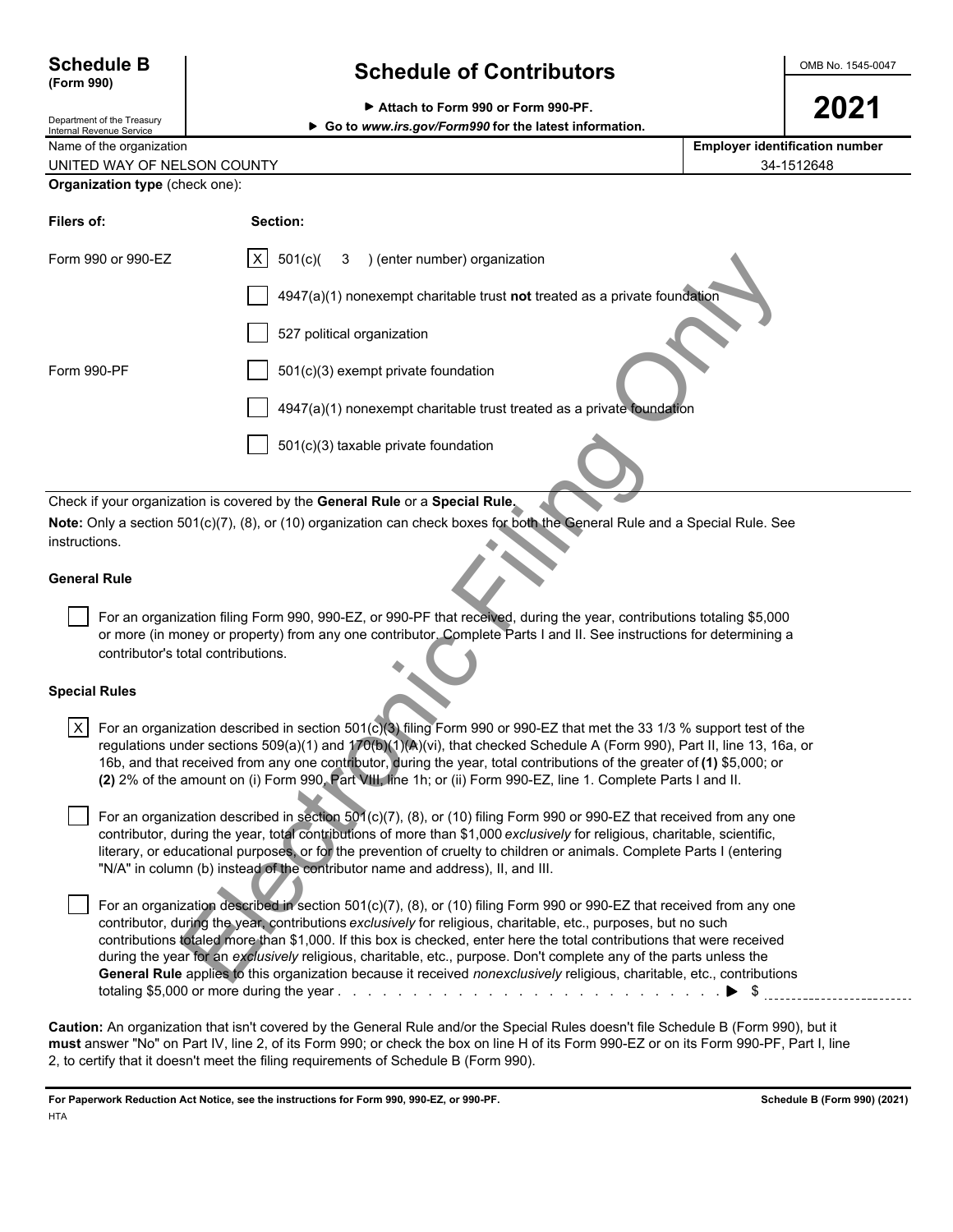### **(Form 990)**

Department of the Treasury

### **Schedule B Schedule of Contributors CONDING 1545-0047**

| Attach to Form 990 or Form 990-PF. | 2021 |
|------------------------------------|------|
|------------------------------------|------|

Internal Revenue Service **Go to** *www.irs.gov/Form990* **for the latest information.**

| Name of the organization    | <b>Employer identification number</b> |
|-----------------------------|---------------------------------------|
| UNITED WAY OF NELSON COUNTY | 34-1512648                            |

| <b>Organization type</b> (check one): |  |  |
|---------------------------------------|--|--|
|                                       |  |  |

| Filers of:           |                                    | Section:                                                                                                                                                                                                                                                                                                                                                                                                                                                                                                                                                                                                            |
|----------------------|------------------------------------|---------------------------------------------------------------------------------------------------------------------------------------------------------------------------------------------------------------------------------------------------------------------------------------------------------------------------------------------------------------------------------------------------------------------------------------------------------------------------------------------------------------------------------------------------------------------------------------------------------------------|
|                      | Form 990 or 990-EZ                 | $\vert$ X<br>501(c)<br>) (enter number) organization<br>3                                                                                                                                                                                                                                                                                                                                                                                                                                                                                                                                                           |
|                      |                                    | 4947(a)(1) nonexempt charitable trust not treated as a private foundation                                                                                                                                                                                                                                                                                                                                                                                                                                                                                                                                           |
|                      |                                    | 527 political organization                                                                                                                                                                                                                                                                                                                                                                                                                                                                                                                                                                                          |
| Form 990-PF          |                                    | 501(c)(3) exempt private foundation                                                                                                                                                                                                                                                                                                                                                                                                                                                                                                                                                                                 |
|                      |                                    | 4947(a)(1) nonexempt charitable trust treated as a private foundation                                                                                                                                                                                                                                                                                                                                                                                                                                                                                                                                               |
|                      |                                    | 501(c)(3) taxable private foundation                                                                                                                                                                                                                                                                                                                                                                                                                                                                                                                                                                                |
|                      |                                    | Check if your organization is covered by the General Rule or a Special Rule.                                                                                                                                                                                                                                                                                                                                                                                                                                                                                                                                        |
|                      |                                    | Note: Only a section 501(c)(7), (8), or (10) organization can check boxes for both the General Rule and a Special Rule. See                                                                                                                                                                                                                                                                                                                                                                                                                                                                                         |
| instructions.        |                                    |                                                                                                                                                                                                                                                                                                                                                                                                                                                                                                                                                                                                                     |
| <b>General Rule</b>  |                                    |                                                                                                                                                                                                                                                                                                                                                                                                                                                                                                                                                                                                                     |
|                      | contributor's total contributions. | For an organization filing Form 990, 990-EZ, or 990-PF that received, during the year, contributions totaling \$5,000<br>or more (in money or property) from any one contributor. Complete Parts I and II. See instructions for determining a                                                                                                                                                                                                                                                                                                                                                                       |
| <b>Special Rules</b> |                                    |                                                                                                                                                                                                                                                                                                                                                                                                                                                                                                                                                                                                                     |
| $\vert x \vert$      |                                    | For an organization described in section 501(c)(3) filing Form 990 or 990-EZ that met the 33 1/3 % support test of the<br>regulations under sections 509(a)(1) and 170(b)(1)(A)(vi), that checked Schedule A (Form 990), Part II, line 13, 16a, or<br>16b, and that received from any one contributor, during the year, total contributions of the greater of (1) \$5,000; or<br>(2) 2% of the amount on (i) Form 990, Part VIII, line 1h; or (ii) Form 990-EZ, line 1. Complete Parts I and II.                                                                                                                    |
|                      |                                    | For an organization described in section 501(c)(7), (8), or (10) filing Form 990 or 990-EZ that received from any one<br>contributor, during the year, total contributions of more than \$1,000 exclusively for religious, charitable, scientific,<br>literary, or educational purposes, or for the prevention of cruelty to children or animals. Complete Parts I (entering<br>"N/A" in column (b) instead of the contributor name and address), II, and III.                                                                                                                                                      |
|                      |                                    | For an organization described in section 501(c)(7), (8), or (10) filing Form 990 or 990-EZ that received from any one<br>contributor, during the year, contributions exclusively for religious, charitable, etc., purposes, but no such<br>contributions totaled more than \$1,000. If this box is checked, enter here the total contributions that were received<br>during the year for an exclusively religious, charitable, etc., purpose. Don't complete any of the parts unless the<br>General Rule applies to this organization because it received nonexclusively religious, charitable, etc., contributions |

#### **General Rule**

#### **Special Rules**

 For an organization described in section 501(c)(7), (8), or (10) filing Form 990 or 990-EZ that received from any one contributor, during the year, contributions *exclusively* for religious, charitable, etc., purposes, but no such contributions totaled more than \$1,000. If this box is checked, enter here the total contributions that were received during the year for an *exclusively* religious, charitable, etc., purpose. Don't complete any of the parts unless the **General Rule** applies to this organization because it received *nonexclusively* religious, charitable, etc., contributions totaling \$5,000 or more during the year . . . . . . . . . . . . . . . . . . . . . . . . . . . . . . . . . . . . . . . . . . . . . . . . . . . \$

**Caution:** An organization that isn't covered by the General Rule and/or the Special Rules doesn't file Schedule B (Form 990), but it **must** answer "No" on Part IV, line 2, of its Form 990; or check the box on line H of its Form 990-EZ or on its Form 990-PF, Part I, line 2, to certify that it doesn't meet the filing requirements of Schedule B (Form 990).

**For Paperwork Reduction Act Notice, see the instructions for Form 990, 990-EZ, or 990-PF. Schedule B (Form 990) (2021) HTA**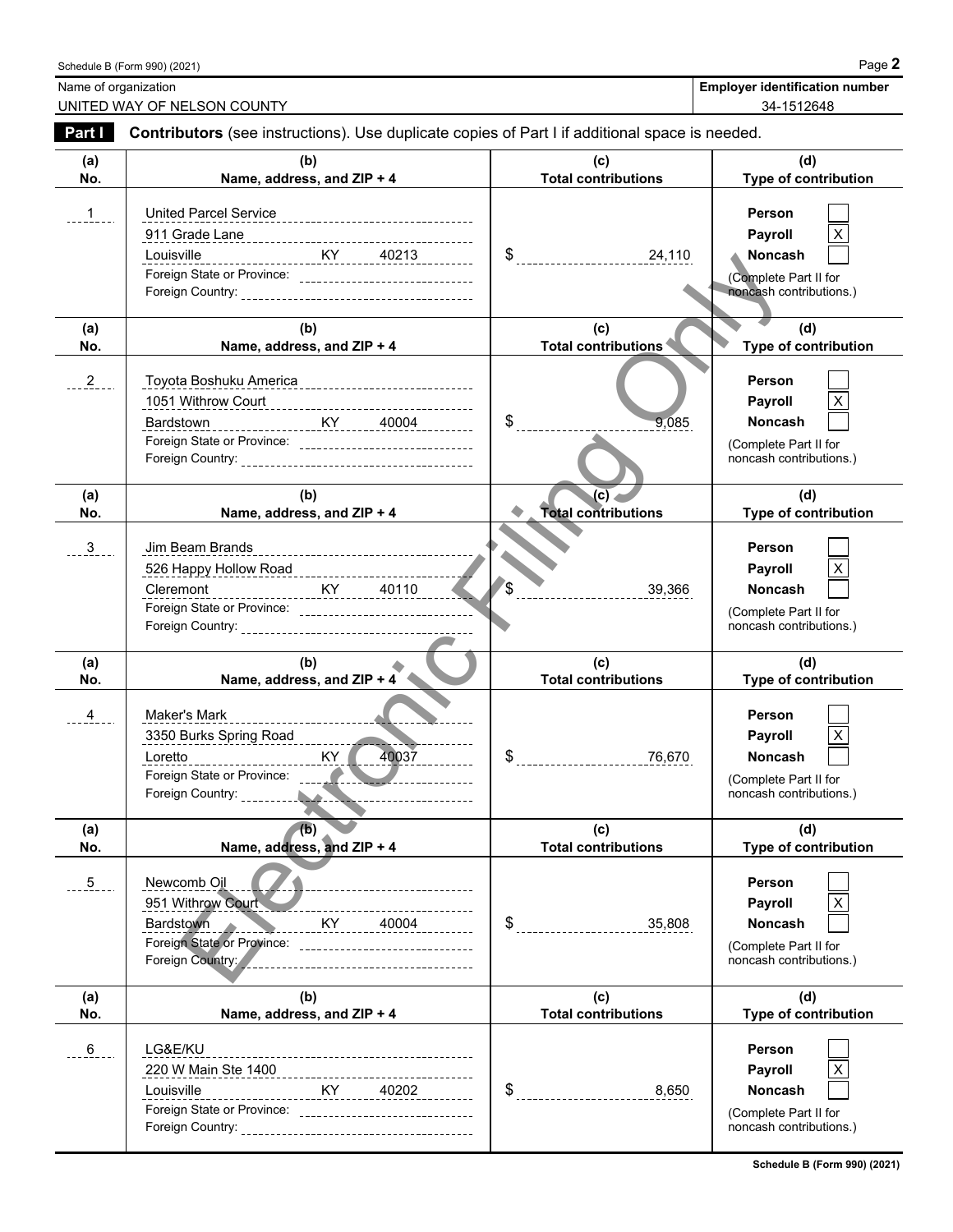| Schedule B (Form 990) (2021) | Page.                                 |
|------------------------------|---------------------------------------|
| Name of organization         | <b>Employer identification number</b> |

UNITED WAY OF NELSON COUNTY **1999 120 AU 2018 12:34-1512648** 

| Part I         | Contributors (see instructions). Use duplicate copies of Part I if additional space is needed.                                                                       |                                         |                                                                                                |
|----------------|----------------------------------------------------------------------------------------------------------------------------------------------------------------------|-----------------------------------------|------------------------------------------------------------------------------------------------|
| (a)<br>No.     | (b)<br>Name, address, and ZIP + 4                                                                                                                                    | (c)<br><b>Total contributions</b>       | (d)<br>Type of contribution                                                                    |
| 1              | Louisville ___________________KY ______ 40213 ________<br>Foreign State or Province: ________________________________                                                | $\frac{1}{24,110}$                      | <b>Person</b><br>Payroll<br><b>Noncash</b><br>(Complete Part II for<br>noncash contributions.) |
| (a)<br>No.     | (b)<br>Name, address, and ZIP + 4                                                                                                                                    | (c)<br>Total contributions              | (d)<br>Type of contribution                                                                    |
| $2 - 2$        | <u> KY 40004</u><br>Bardstown<br>Foreign State or Province: ________________________________                                                                         | $\frac{1}{2}$<br>9,085                  | <b>Person</b><br>Payroll<br><b>Noncash</b><br>(Complete Part II for<br>noncash contributions.) |
| (a)<br>No.     | (b)<br>Name, address, and ZIP + 4                                                                                                                                    | (c)<br><b>Total contributions</b>       | (d)<br>Type of contribution                                                                    |
| $3 - -$        | Jim Beam Brands<br><u>KY 40110</u><br>Cleremont                                                                                                                      | $\sqrt{\$}$<br>39,366                   | Person<br>Payroll<br>Noncash<br>(Complete Part II for<br>noncash contributions.)               |
| (a)<br>No.     | (b)<br>Name, address, and $ZIP + 4$                                                                                                                                  | (c)<br><b>Total contributions</b>       | (d)<br>Type of contribution                                                                    |
| $\overline{4}$ | Maker's Mark<br>________________ <b>_</b><br>3350 Burks Spring Road<br>40037<br>Loretto                                                                              |                                         | <b>Person</b><br>Payroll<br>Noncash<br>(Complete Part II for<br>noncash contributions.)        |
| (a)<br>No.     | (b)<br>Name, address, and ZIP + 4                                                                                                                                    | (c)<br><b>Total contributions</b>       | (d)<br>Type of contribution                                                                    |
| $\overline{5}$ | Newcomb Oil<br>951 Withrow Court<br><b>KY</b><br>Bardstown<br>$40004$ $12222222$<br>Foreign State or Province: _________________________________<br>Foreign Country: | $\frac{1}{2}$ ---------------<br>35,808 | Person<br>Payroll<br><b>Noncash</b><br>(Complete Part II for<br>noncash contributions.)        |
| (a)<br>No.     | (b)<br>Name, address, and ZIP + 4                                                                                                                                    | (c)<br><b>Total contributions</b>       | (d)<br>Type of contribution                                                                    |
| 6              | LG&E/KU<br>--------------------------------------<br>220 W Main Ste 1400<br>.<br>Louisville<br>Foreign State or Province: _________________________________          | \$<br>8,650                             | Person<br>Payroll<br>Noncash<br>(Complete Part II for<br>noncash contributions.)               |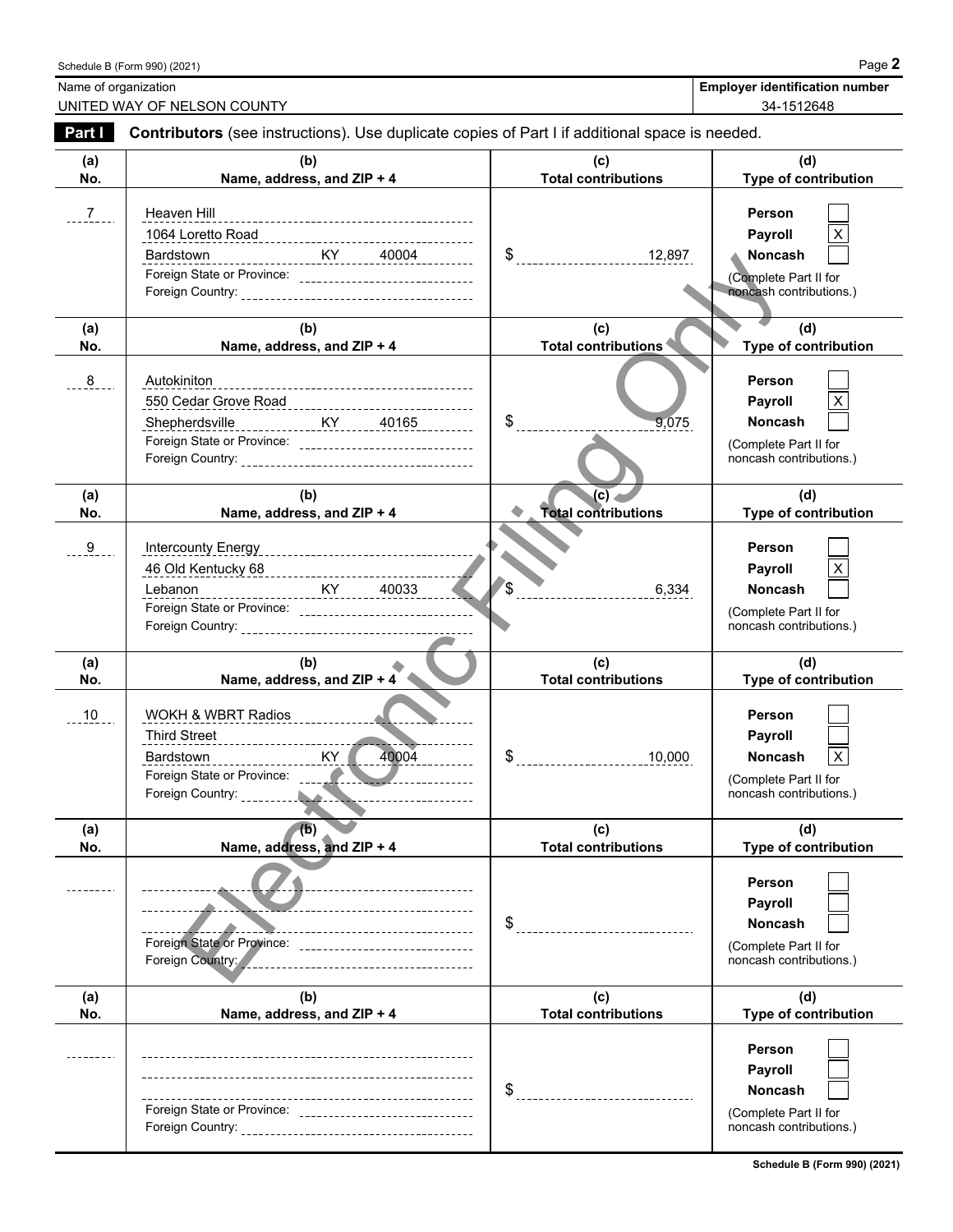|                             | Schedule B (Form 990) (2021)                                                                          |                                   | Page 2                                |
|-----------------------------|-------------------------------------------------------------------------------------------------------|-----------------------------------|---------------------------------------|
| Name of organization        |                                                                                                       |                                   | <b>Employer identification number</b> |
|                             | UNITED WAY OF NELSON COUNTY                                                                           |                                   | 34-1512648                            |
| <b>Part I</b>               | <b>Contributors</b> (see instructions). Use duplicate copies of Part I if additional space is needed. |                                   |                                       |
| (a)<br><b>N<sub>o</sub></b> | (b)<br>Name address and $71D + A$                                                                     | (c)<br><b>Total contributions</b> | (d)<br>Tuno of contribution           |

 $\sim$   $\sim$ 

 $\sim$   $\sim$ 

| <u>ಲ್</u> | $m$ ercourity $m$ riergy                                                                                                                                                                                                                                                                                                  |                                                                  | <b>FUISUII</b>                                                                                 |
|-----------|---------------------------------------------------------------------------------------------------------------------------------------------------------------------------------------------------------------------------------------------------------------------------------------------------------------------------|------------------------------------------------------------------|------------------------------------------------------------------------------------------------|
|           | 46 Old Kentucky 68<br>----------------------------                                                                                                                                                                                                                                                                        |                                                                  | Payroll                                                                                        |
|           | Lebanon                                                                                                                                                                                                                                                                                                                   | $\sqrt{s}$<br>6,334                                              | <b>Noncash</b>                                                                                 |
|           |                                                                                                                                                                                                                                                                                                                           |                                                                  | (Complete Part II for                                                                          |
|           |                                                                                                                                                                                                                                                                                                                           |                                                                  | noncash contributions.)                                                                        |
|           |                                                                                                                                                                                                                                                                                                                           |                                                                  |                                                                                                |
| (a)       | (b)                                                                                                                                                                                                                                                                                                                       | (c)                                                              | (d)                                                                                            |
| No.       | Name, address, and $ZIP + 4$                                                                                                                                                                                                                                                                                              | <b>Total contributions</b>                                       | Type of contribution                                                                           |
| $10$      | <b>WOKH &amp; WBRT Radios</b><br>Third Street<br>Third Street<br>Third Street<br>Third Street<br>Third Street<br>Third Street<br>Third Street<br>Third Street<br>Third Street<br>Third Street<br>Third Street<br>Third Street<br>Third Street<br>Third Street<br>Third Street<br>Third Street<br>KY<br>40004<br>Bardstown | \$<br>10,000                                                     | Person<br>Payroll<br>Noncash<br>X<br>(Complete Part II for<br>noncash contributions.)          |
|           |                                                                                                                                                                                                                                                                                                                           |                                                                  |                                                                                                |
| (a)       | (b)                                                                                                                                                                                                                                                                                                                       | (c)                                                              | (d)                                                                                            |
| No.       | Name, address, and ZIP + 4                                                                                                                                                                                                                                                                                                | <b>Total contributions</b>                                       | <b>Type of contribution</b>                                                                    |
|           | ________________________<br>-----------------------------<br>-----------------------------------<br>Foreign State or Province: ______________________________                                                                                                                                                             | $\$\ldots\ldots\ldots\ldots\ldots\ldots\ldots\ldots\ldots\ldots$ | Person<br><b>Payroll</b><br><b>Noncash</b><br>(Complete Part II for<br>noncash contributions.) |
| (a)       | (b)                                                                                                                                                                                                                                                                                                                       | (c)                                                              | (d)                                                                                            |
| No.       | Name, address, and ZIP + 4                                                                                                                                                                                                                                                                                                | <b>Total contributions</b>                                       | Type of contribution                                                                           |
|           |                                                                                                                                                                                                                                                                                                                           | $\frac{1}{2}$                                                    | Person<br><b>Payroll</b><br><b>Noncash</b><br>(Complete Part II for<br>noncash contributions.) |

| Part I         | <b>Contributors</b> (see instructions). Use duplicate copies of Part I if additional space is needed.                |                                     |                                                                                                         |
|----------------|----------------------------------------------------------------------------------------------------------------------|-------------------------------------|---------------------------------------------------------------------------------------------------------|
| (a)<br>No.     | (b)<br>Name, address, and ZIP + 4                                                                                    | (c)<br><b>Total contributions</b>   | (d)<br>Type of contribution                                                                             |
| 7 <sup>7</sup> | Heaven Hill<br>Bardstown<br>Foreign State or Province: ________________________________                              | $\frac{12,897}{1}$                  | <b>Person</b><br>Payroll<br><b>Noncash</b><br>(Complete Part II for<br>noncash contributions.)          |
| (a)<br>No.     | (b)<br>Name, address, and ZIP + 4                                                                                    | (c)<br><b>Total contributions</b>   | (d)<br>Type of contribution                                                                             |
| 8              | Autokiniton<br>______________________________________<br>Foreign State or Province: ________________________________ | $\frac{1}{2}$<br>9,075              | <b>Person</b><br>Payroll<br><b>Noncash</b><br>(Complete Part II for<br>noncash contributions.)          |
| (a)<br>No.     | (b)<br>Name, address, and ZIP + 4                                                                                    | (c) .<br><b>Total contributions</b> | (d)<br>Type of contribution                                                                             |
| 9              | ----------------------KY______40033<br>Lebanon                                                                       | $\int$<br>6,334                     | Person<br>Payroll<br><b>Noncash</b><br>(Complete Part II for<br>noncash contributions.)                 |
| (a)<br>No.     | (b)<br>Name, address, and $ZIP + 4$                                                                                  | (c)<br><b>Total contributions</b>   | (d)<br>Type of contribution                                                                             |
| 10             | WOKH & WBRT Radios<br>Third Street<br><u> </u><br>KY<br>40004<br>Bardstown                                           | 10,000                              | Person<br>Payroll<br>$\mathsf{X}$<br><b>Noncash</b><br>(Complete Part II for<br>noncash contributions.) |
| (a)<br>No.     | (b)<br>Name, address, and ZIP + 4                                                                                    | (c)<br><b>Total contributions</b>   | (d)<br>Type of contribution                                                                             |
|                | Foreign State or Province:<br>Foreign Country:                                                                       | \$                                  | Person<br>Payroll<br>Noncash<br>(Complete Part II for<br>noncash contributions.)                        |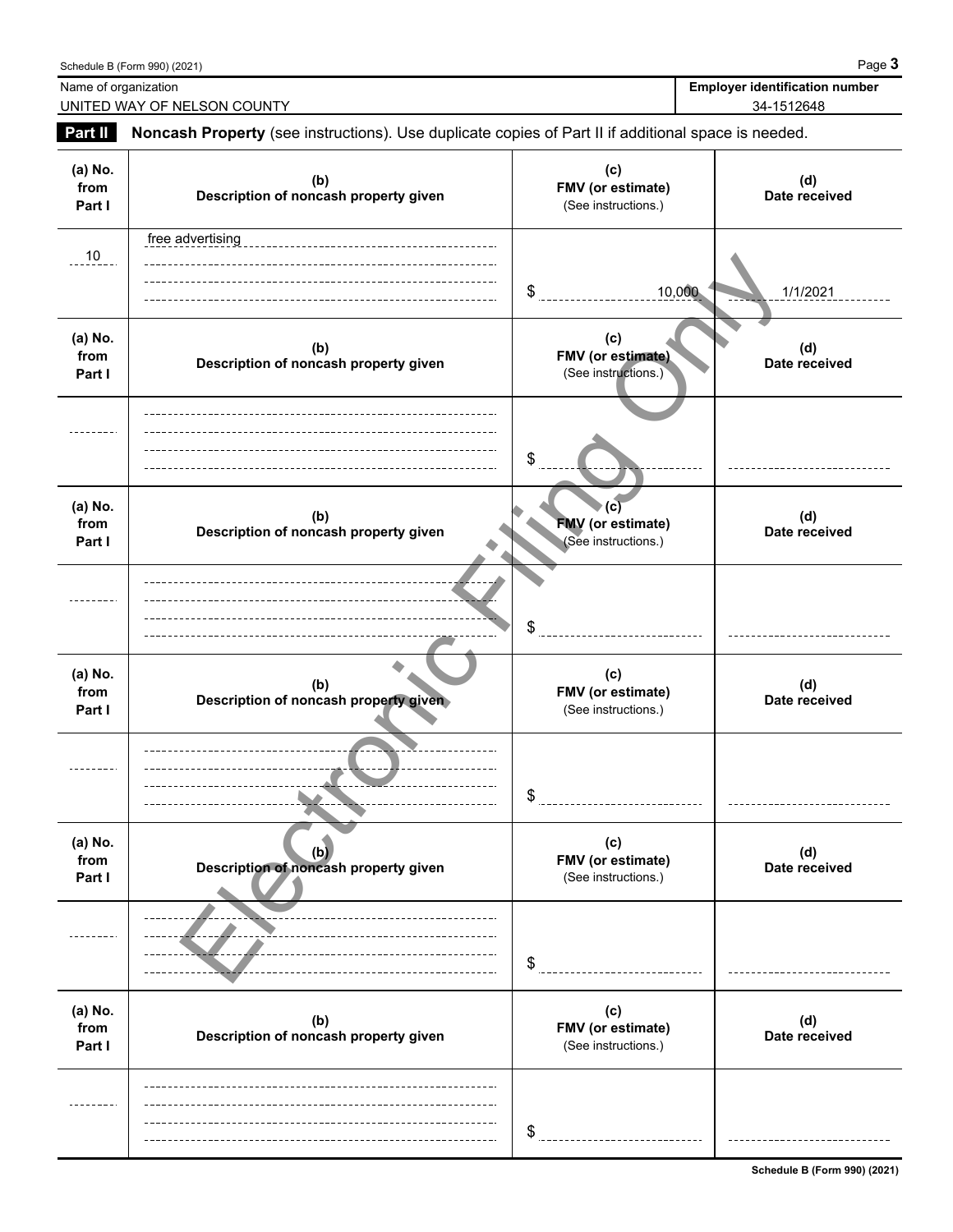|                           | Schedule B (Form 990) (2021)                                                                        |                                                        | Page 3                                              |
|---------------------------|-----------------------------------------------------------------------------------------------------|--------------------------------------------------------|-----------------------------------------------------|
| Name of organization      | UNITED WAY OF NELSON COUNTY                                                                         |                                                        | <b>Employer identification number</b><br>34-1512648 |
| Part II                   | Noncash Property (see instructions). Use duplicate copies of Part II if additional space is needed. |                                                        |                                                     |
| (a) No.<br>from<br>Part I | (b)<br>Description of noncash property given                                                        | (c)<br>FMV (or estimate)<br>(See instructions.)        | (d)<br>Date received                                |
| 10                        | free advertising                                                                                    | \$<br>10,000                                           | 1/1/2021                                            |
| (a) No.<br>from<br>Part I | (b)<br>Description of noncash property given                                                        | (c)<br>FMV (or estimate)<br>(See instructions.)        | (d)<br>Date received                                |
|                           |                                                                                                     | \$                                                     |                                                     |
| (a) No.<br>from<br>Part I | (b)<br>Description of noncash property given                                                        | (C)<br><b>FMV</b> (or estimate)<br>(See instructions.) | (d)<br>Date received                                |
|                           |                                                                                                     | \$                                                     |                                                     |
| (a) No.<br>from<br>Part I | (b)<br>Description of noncash property given                                                        | (c)<br>FMV (or estimate)<br>(See instructions.)        | (d)<br>Date received                                |
|                           |                                                                                                     | \$                                                     |                                                     |
| (a) No.<br>from<br>Part I | (b)<br>Description of noncash property given                                                        | (c)<br>FMV (or estimate)<br>(See instructions.)        | (d)<br>Date received                                |
|                           |                                                                                                     | \$                                                     |                                                     |
| (a) No.<br>from<br>Part I | (b)<br>Description of noncash property given                                                        | (c)<br>FMV (or estimate)<br>(See instructions.)        | (d)<br>Date received                                |
|                           |                                                                                                     | \$                                                     |                                                     |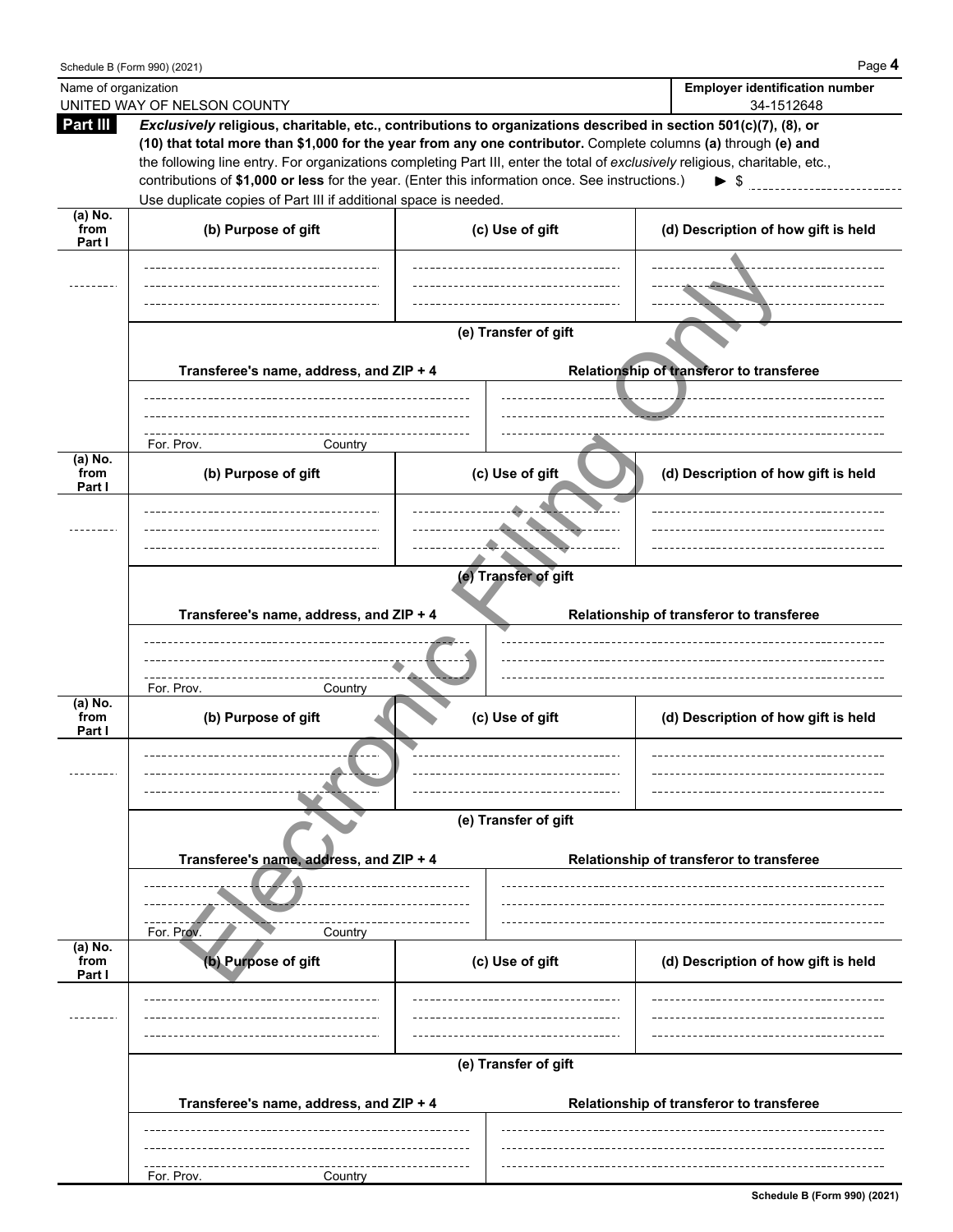|                           | Schedule B (Form 990) (2021)                                                                                                                                                                                                                                                                                                                                                                                                                                                                                                           |                      |                                          | Page 4                                              |
|---------------------------|----------------------------------------------------------------------------------------------------------------------------------------------------------------------------------------------------------------------------------------------------------------------------------------------------------------------------------------------------------------------------------------------------------------------------------------------------------------------------------------------------------------------------------------|----------------------|------------------------------------------|-----------------------------------------------------|
| Name of organization      | UNITED WAY OF NELSON COUNTY                                                                                                                                                                                                                                                                                                                                                                                                                                                                                                            |                      |                                          | <b>Employer identification number</b><br>34-1512648 |
| Part III                  | Exclusively religious, charitable, etc., contributions to organizations described in section 501(c)(7), (8), or<br>(10) that total more than \$1,000 for the year from any one contributor. Complete columns (a) through (e) and<br>the following line entry. For organizations completing Part III, enter the total of exclusively religious, charitable, etc.,<br>contributions of \$1,000 or less for the year. (Enter this information once. See instructions.)<br>Use duplicate copies of Part III if additional space is needed. |                      |                                          | $\triangleright$ \$ $\qquad \qquad$                 |
| (a) No.<br>from<br>Part I | (b) Purpose of gift                                                                                                                                                                                                                                                                                                                                                                                                                                                                                                                    | (c) Use of gift      |                                          | (d) Description of how gift is held                 |
|                           |                                                                                                                                                                                                                                                                                                                                                                                                                                                                                                                                        |                      |                                          |                                                     |
|                           | Transferee's name, address, and ZIP + 4                                                                                                                                                                                                                                                                                                                                                                                                                                                                                                | (e) Transfer of gift | Relationship of transferor to transferee |                                                     |
|                           |                                                                                                                                                                                                                                                                                                                                                                                                                                                                                                                                        |                      |                                          |                                                     |
|                           | For. Prov.<br>Country                                                                                                                                                                                                                                                                                                                                                                                                                                                                                                                  |                      |                                          |                                                     |
| (a) No.<br>from<br>Part I | (b) Purpose of gift                                                                                                                                                                                                                                                                                                                                                                                                                                                                                                                    | (c) Use of gift      |                                          | (d) Description of how gift is held                 |
|                           |                                                                                                                                                                                                                                                                                                                                                                                                                                                                                                                                        |                      |                                          |                                                     |
|                           | Transferee's name, address, and ZIP + 4                                                                                                                                                                                                                                                                                                                                                                                                                                                                                                | (e) Transfer of gift | Relationship of transferor to transferee |                                                     |
|                           | For. Prov.<br>Country                                                                                                                                                                                                                                                                                                                                                                                                                                                                                                                  |                      |                                          |                                                     |
| (a) No.<br>from<br>Part I | (b) Purpose of gift                                                                                                                                                                                                                                                                                                                                                                                                                                                                                                                    | (c) Use of gift      |                                          | (d) Description of how gift is held                 |
|                           |                                                                                                                                                                                                                                                                                                                                                                                                                                                                                                                                        |                      |                                          |                                                     |
|                           |                                                                                                                                                                                                                                                                                                                                                                                                                                                                                                                                        | (e) Transfer of gift |                                          |                                                     |
|                           | Transferee's name, address, and ZIP + 4                                                                                                                                                                                                                                                                                                                                                                                                                                                                                                |                      | Relationship of transferor to transferee |                                                     |
| $(a)$ No.                 | For. Prov.<br>Country                                                                                                                                                                                                                                                                                                                                                                                                                                                                                                                  |                      |                                          |                                                     |
| from<br>Part I            | (b) Purpose of gift                                                                                                                                                                                                                                                                                                                                                                                                                                                                                                                    | (c) Use of gift      |                                          | (d) Description of how gift is held                 |
|                           |                                                                                                                                                                                                                                                                                                                                                                                                                                                                                                                                        |                      |                                          |                                                     |
|                           |                                                                                                                                                                                                                                                                                                                                                                                                                                                                                                                                        | (e) Transfer of gift |                                          |                                                     |
|                           | Transferee's name, address, and ZIP + 4                                                                                                                                                                                                                                                                                                                                                                                                                                                                                                |                      | Relationship of transferor to transferee |                                                     |
|                           |                                                                                                                                                                                                                                                                                                                                                                                                                                                                                                                                        |                      |                                          |                                                     |
|                           | For. Prov.<br>Country                                                                                                                                                                                                                                                                                                                                                                                                                                                                                                                  |                      |                                          | Schedule B (Form 990) (2021)                        |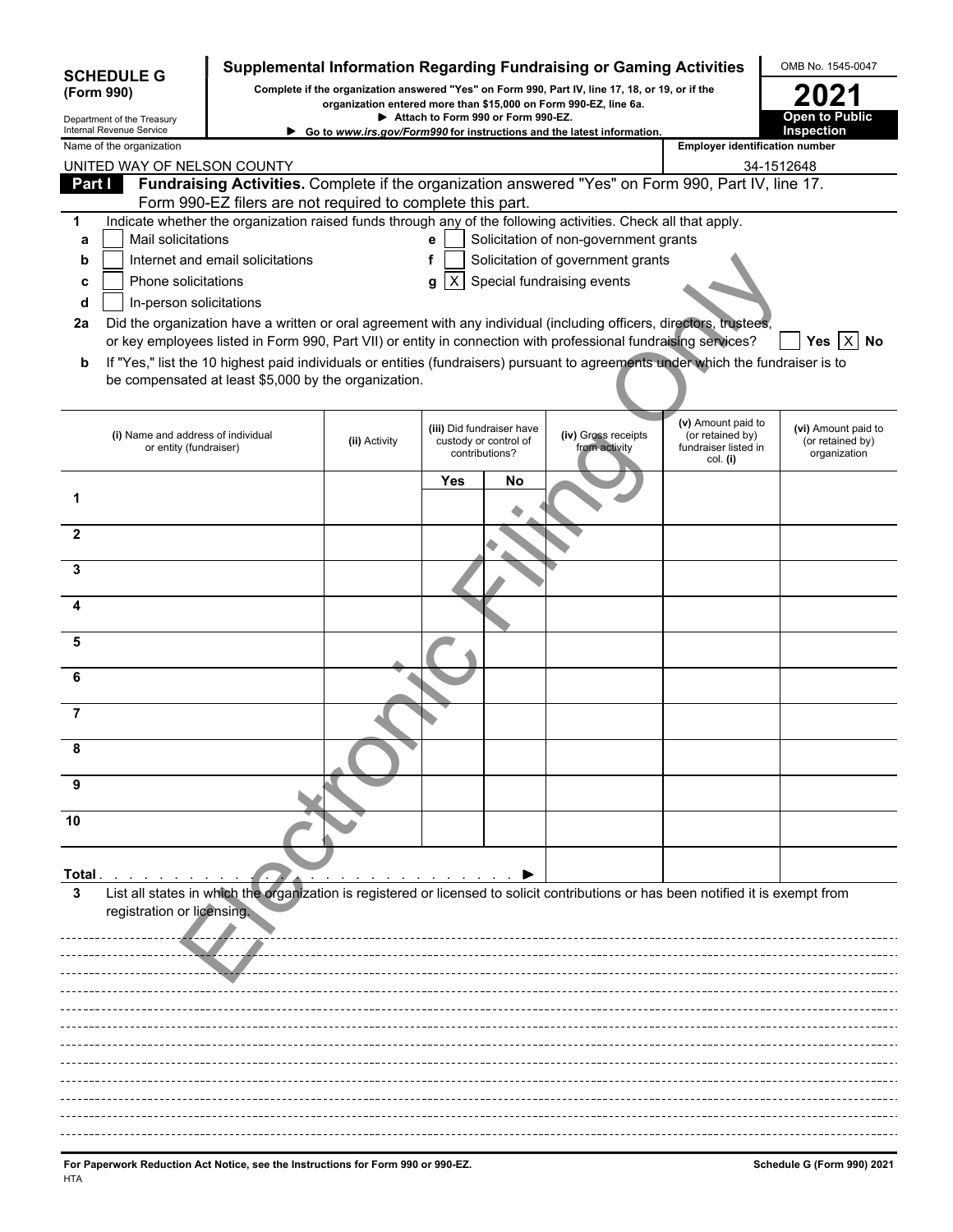| <b>SCHEDULE G</b><br>(Form 990)                      |                                                                                                                                                                                                                                       |               |                                    |                                                                      | Supplemental Information Regarding Fundraising or Gaming Activities<br>Complete if the organization answered "Yes" on Form 990, Part IV, line 17, 18, or 19, or if the |                                                                            | OMB No. 1545-0047                                       |
|------------------------------------------------------|---------------------------------------------------------------------------------------------------------------------------------------------------------------------------------------------------------------------------------------|---------------|------------------------------------|----------------------------------------------------------------------|------------------------------------------------------------------------------------------------------------------------------------------------------------------------|----------------------------------------------------------------------------|---------------------------------------------------------|
| Department of the Treasury                           |                                                                                                                                                                                                                                       |               | Attach to Form 990 or Form 990-EZ. |                                                                      | organization entered more than \$15,000 on Form 990-EZ, line 6a.                                                                                                       |                                                                            | <b>Open to Public</b>                                   |
| Internal Revenue Service<br>Name of the organization |                                                                                                                                                                                                                                       |               |                                    |                                                                      | Go to www.irs.gov/Form990 for instructions and the latest information.                                                                                                 | <b>Employer identification number</b>                                      | Inspection                                              |
|                                                      | UNITED WAY OF NELSON COUNTY                                                                                                                                                                                                           |               |                                    |                                                                      |                                                                                                                                                                        |                                                                            | 34-1512648                                              |
| Part I                                               | Fundraising Activities. Complete if the organization answered "Yes" on Form 990, Part IV, line 17.<br>Form 990-EZ filers are not required to complete this part.                                                                      |               |                                    |                                                                      |                                                                                                                                                                        |                                                                            |                                                         |
| 1                                                    | Indicate whether the organization raised funds through any of the following activities. Check all that apply.                                                                                                                         |               |                                    |                                                                      |                                                                                                                                                                        |                                                                            |                                                         |
| a                                                    | Mail solicitations                                                                                                                                                                                                                    |               | e                                  |                                                                      | Solicitation of non-government grants                                                                                                                                  |                                                                            |                                                         |
| b                                                    | Internet and email solicitations                                                                                                                                                                                                      |               |                                    |                                                                      | Solicitation of government grants                                                                                                                                      |                                                                            |                                                         |
| c                                                    | Phone solicitations                                                                                                                                                                                                                   |               | $\times$<br>g                      |                                                                      | Special fundraising events                                                                                                                                             |                                                                            |                                                         |
| d                                                    | In-person solicitations                                                                                                                                                                                                               |               |                                    |                                                                      |                                                                                                                                                                        |                                                                            |                                                         |
| 2a                                                   | Did the organization have a written or oral agreement with any individual (including officers, directors, trustees,<br>or key employees listed in Form 990, Part VII) or entity in connection with professional fundraising services? |               |                                    |                                                                      |                                                                                                                                                                        |                                                                            | Yes<br><b>IXINo</b>                                     |
| b                                                    | If "Yes," list the 10 highest paid individuals or entities (fundraisers) pursuant to agreements under which the fundraiser is to<br>be compensated at least \$5,000 by the organization.                                              |               |                                    |                                                                      |                                                                                                                                                                        |                                                                            |                                                         |
|                                                      | (i) Name and address of individual<br>or entity (fundraiser)                                                                                                                                                                          | (ii) Activity |                                    | (iii) Did fundraiser have<br>custody or control of<br>contributions? | (iv) Gross receipts<br>from activity                                                                                                                                   | (v) Amount paid to<br>(or retained by)<br>fundraiser listed in<br>col. (i) | (vi) Amount paid to<br>(or retained by)<br>organization |
| 1                                                    |                                                                                                                                                                                                                                       |               | <b>Yes</b>                         | No                                                                   |                                                                                                                                                                        |                                                                            |                                                         |
| 2                                                    |                                                                                                                                                                                                                                       |               |                                    |                                                                      |                                                                                                                                                                        |                                                                            |                                                         |
| 3                                                    |                                                                                                                                                                                                                                       |               |                                    |                                                                      |                                                                                                                                                                        |                                                                            |                                                         |
| 4                                                    |                                                                                                                                                                                                                                       |               |                                    |                                                                      |                                                                                                                                                                        |                                                                            |                                                         |
| 5                                                    |                                                                                                                                                                                                                                       |               |                                    |                                                                      |                                                                                                                                                                        |                                                                            |                                                         |
|                                                      |                                                                                                                                                                                                                                       |               |                                    |                                                                      |                                                                                                                                                                        |                                                                            |                                                         |
| 6                                                    |                                                                                                                                                                                                                                       |               |                                    |                                                                      |                                                                                                                                                                        |                                                                            |                                                         |
| $\overline{7}$                                       |                                                                                                                                                                                                                                       |               |                                    |                                                                      |                                                                                                                                                                        |                                                                            |                                                         |
| 8                                                    |                                                                                                                                                                                                                                       |               |                                    |                                                                      |                                                                                                                                                                        |                                                                            |                                                         |
| 9                                                    |                                                                                                                                                                                                                                       |               |                                    |                                                                      |                                                                                                                                                                        |                                                                            |                                                         |
| 10                                                   |                                                                                                                                                                                                                                       |               |                                    |                                                                      |                                                                                                                                                                        |                                                                            |                                                         |
| Total                                                |                                                                                                                                                                                                                                       |               |                                    |                                                                      |                                                                                                                                                                        |                                                                            |                                                         |
| 3                                                    | List all states in which the organization is registered or licensed to solicit contributions or has been notified it is exempt from<br>registration or licensing.                                                                     |               |                                    |                                                                      |                                                                                                                                                                        |                                                                            |                                                         |
|                                                      |                                                                                                                                                                                                                                       |               |                                    |                                                                      |                                                                                                                                                                        |                                                                            |                                                         |
|                                                      |                                                                                                                                                                                                                                       |               |                                    |                                                                      |                                                                                                                                                                        |                                                                            |                                                         |
|                                                      |                                                                                                                                                                                                                                       |               |                                    |                                                                      |                                                                                                                                                                        |                                                                            |                                                         |
|                                                      |                                                                                                                                                                                                                                       |               |                                    |                                                                      |                                                                                                                                                                        |                                                                            |                                                         |
|                                                      |                                                                                                                                                                                                                                       |               |                                    |                                                                      |                                                                                                                                                                        |                                                                            |                                                         |
|                                                      |                                                                                                                                                                                                                                       |               |                                    |                                                                      |                                                                                                                                                                        |                                                                            |                                                         |
|                                                      |                                                                                                                                                                                                                                       |               |                                    |                                                                      |                                                                                                                                                                        |                                                                            |                                                         |
|                                                      |                                                                                                                                                                                                                                       |               |                                    |                                                                      |                                                                                                                                                                        |                                                                            |                                                         |
|                                                      |                                                                                                                                                                                                                                       |               |                                    |                                                                      |                                                                                                                                                                        |                                                                            |                                                         |
|                                                      |                                                                                                                                                                                                                                       |               |                                    |                                                                      |                                                                                                                                                                        |                                                                            |                                                         |
|                                                      |                                                                                                                                                                                                                                       |               |                                    |                                                                      |                                                                                                                                                                        |                                                                            |                                                         |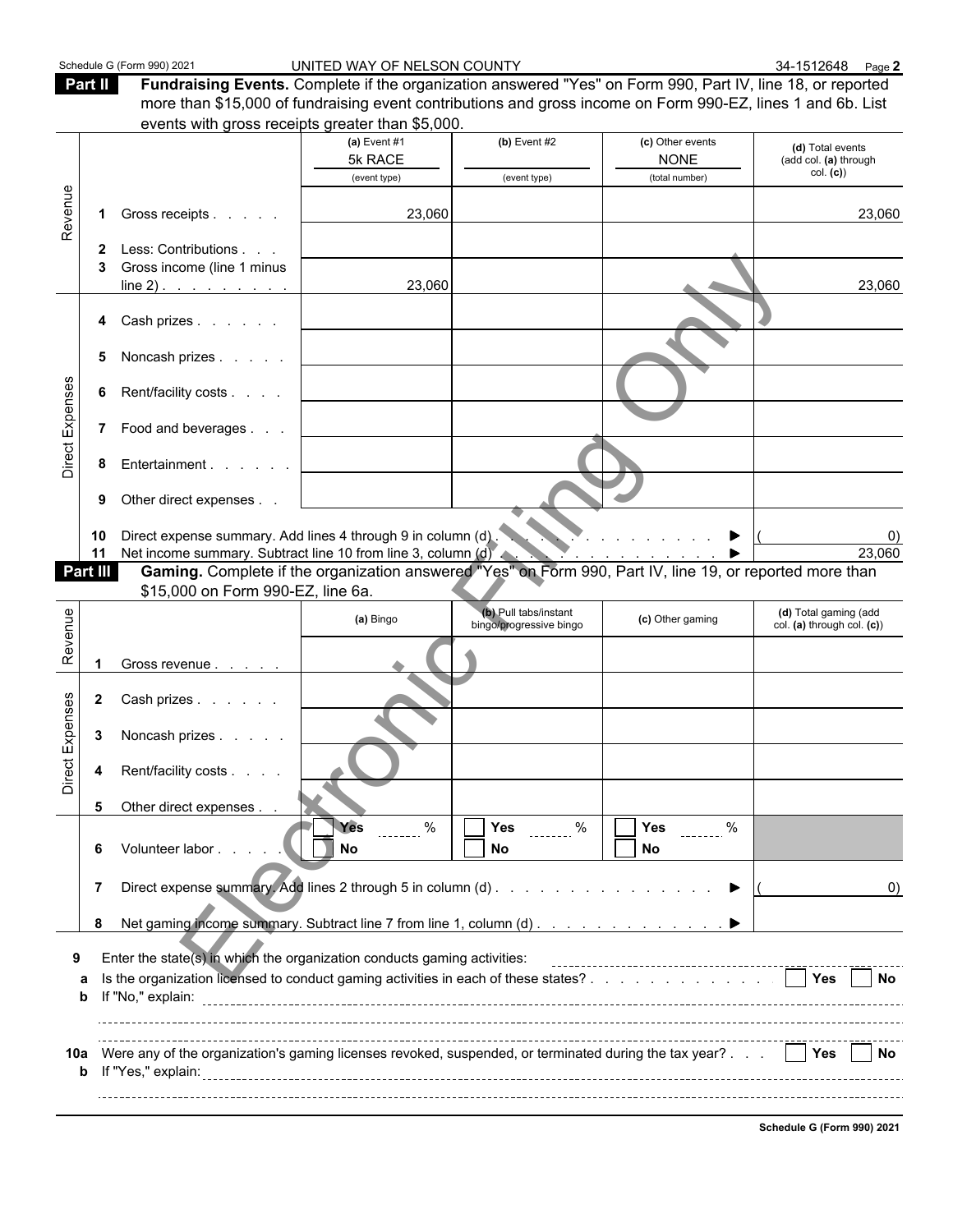| Schedule G (Form 990) 202 |  |  |  |
|---------------------------|--|--|--|
|---------------------------|--|--|--|

T

Schedule G (Form 990) 2021 **Canada Countries UNITED WAY OF NELSON COUNTY** SALE Assets that the same **2** state and the same **2** state and the same **2** state and the same **2** state and the same **2** state and the same **2** sta

**Part II Fundraising Events.** Complete if the organization answered "Yes" on Form 990, Part IV, line 18, or reported more than \$15,000 of fundraising event contributions and gross income on Form 990-EZ, lines 1 and 6b. List events with gross receipts greater than \$5,000. **(a)** Event #1 **(b)** Event #2 **(c)** Other events **(d)** Total events

|                 |              |                                                                                                                                                                                                               | $(a)$ cvent $H$ i<br>5k RACE | $(D)$ cvent $HZ$                                 | <b>(c)</b> Other events<br><b>NONE</b> | (d) Total events<br>(add col. (a) through           |
|-----------------|--------------|---------------------------------------------------------------------------------------------------------------------------------------------------------------------------------------------------------------|------------------------------|--------------------------------------------------|----------------------------------------|-----------------------------------------------------|
|                 |              |                                                                                                                                                                                                               | (event type)                 | (event type)                                     | (total number)                         | col. (c)                                            |
| Revenue         |              | Gross receipts                                                                                                                                                                                                | 23,060                       |                                                  |                                        | 23,060                                              |
|                 | 3            | 2 Less: Contributions<br>Gross income (line 1 minus<br>line 2) $\ldots$ $\ldots$ $\ldots$                                                                                                                     | 23,060                       |                                                  |                                        | 23,060                                              |
|                 |              | 4 Cash prizes                                                                                                                                                                                                 |                              |                                                  |                                        |                                                     |
|                 | 5            | Noncash prizes                                                                                                                                                                                                |                              |                                                  |                                        |                                                     |
|                 | 6            | Rent/facility costs                                                                                                                                                                                           |                              |                                                  |                                        |                                                     |
| Direct Expenses |              | 7 Food and beverages                                                                                                                                                                                          |                              |                                                  |                                        |                                                     |
|                 | 8            | Entertainment                                                                                                                                                                                                 |                              |                                                  |                                        |                                                     |
|                 | 9            | Other direct expenses                                                                                                                                                                                         |                              |                                                  |                                        |                                                     |
|                 | 10<br>11     | Direct expense summary. Add lines 4 through 9 in column (d).                                                                                                                                                  |                              |                                                  | and a straight and a straight          | 23,060                                              |
|                 | Part III     | Net income summary. Subtract line 10 from line 3, column (d)<br>Gaming. Complete if the organization answered "Yes" on Form 990, Part IV, line 19, or reported more than<br>\$15,000 on Form 990-EZ, line 6a. |                              |                                                  |                                        |                                                     |
|                 |              |                                                                                                                                                                                                               | (a) Bingo                    | (b) Pull tabs/instant<br>bingo/progressive bingo | (c) Other gaming                       | (d) Total gaming (add<br>col. (a) through col. (c)) |
| Revenue         |              |                                                                                                                                                                                                               |                              |                                                  |                                        |                                                     |
|                 |              | Gross revenue                                                                                                                                                                                                 |                              |                                                  |                                        |                                                     |
|                 | $\mathbf{2}$ | Cash prizes                                                                                                                                                                                                   |                              |                                                  |                                        |                                                     |
| Direct Expenses | 3            | Noncash prizes                                                                                                                                                                                                |                              |                                                  |                                        |                                                     |
|                 | 4            | Rent/facility costs                                                                                                                                                                                           |                              |                                                  |                                        |                                                     |
|                 | 5            | Other direct expenses                                                                                                                                                                                         |                              |                                                  |                                        |                                                     |
|                 | 6            | Volunteer labor                                                                                                                                                                                               | Yes<br>$\%$<br>n<br>No       | Yes<br>$rac{9}{1}$<br><b>No</b>                  | Yes<br>$\%$<br>$- - - - - -$<br>No     |                                                     |
|                 | 7            |                                                                                                                                                                                                               |                              |                                                  |                                        | $\left( 0\right)$                                   |
|                 | 8            | Net gaming income summary. Subtract line 7 from line 1, column (d)                                                                                                                                            |                              |                                                  |                                        |                                                     |
|                 |              | Enter the state(s) in which the organization conducts gaming activities:                                                                                                                                      |                              |                                                  |                                        |                                                     |
|                 | a<br>b       |                                                                                                                                                                                                               |                              |                                                  |                                        |                                                     |
|                 |              |                                                                                                                                                                                                               |                              |                                                  |                                        |                                                     |
|                 |              | 10a Were any of the organization's gaming licenses revoked, suspended, or terminated during the tax year?     Yes     No                                                                                      |                              |                                                  |                                        |                                                     |
|                 |              |                                                                                                                                                                                                               |                              |                                                  |                                        |                                                     |

**Schedule G (Form 990) 2021**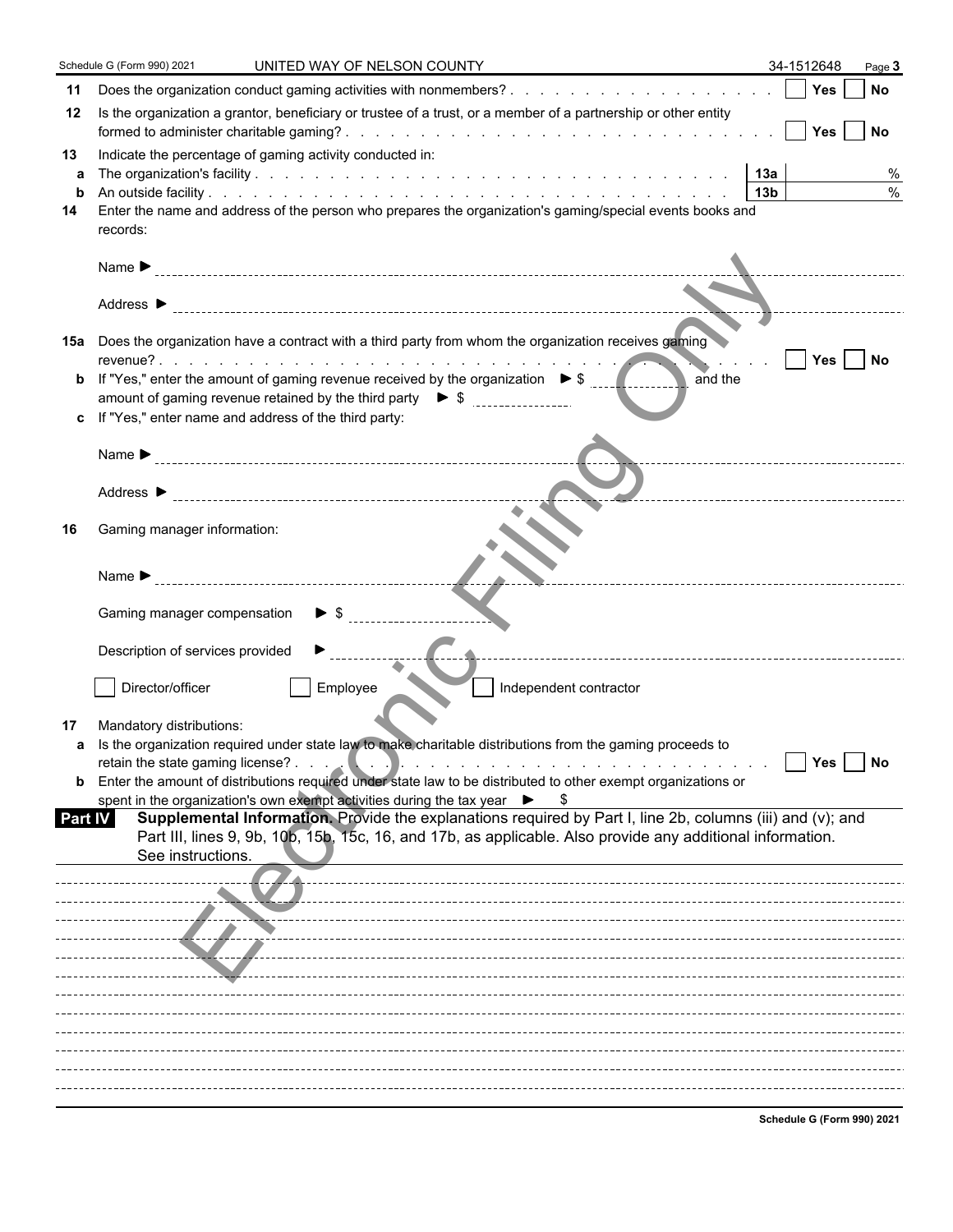|                    | Schedule G (Form 990) 2021<br>UNITED WAY OF NELSON COUNTY                                                                                                                                                                                                                                                                                                                                                                                                         | 34-1512648      |          | Page 3    |
|--------------------|-------------------------------------------------------------------------------------------------------------------------------------------------------------------------------------------------------------------------------------------------------------------------------------------------------------------------------------------------------------------------------------------------------------------------------------------------------------------|-----------------|----------|-----------|
| 11                 |                                                                                                                                                                                                                                                                                                                                                                                                                                                                   |                 |          | <b>No</b> |
| 12                 | Is the organization a grantor, beneficiary or trustee of a trust, or a member of a partnership or other entity                                                                                                                                                                                                                                                                                                                                                    |                 |          |           |
| 13<br>a<br>b<br>14 | Indicate the percentage of gaming activity conducted in:<br> 13a <br>Enter the name and address of the person who prepares the organization's gaming/special events books and<br>records:                                                                                                                                                                                                                                                                         | 13 <sub>b</sub> |          | %         |
|                    | Name $\blacktriangleright$                                                                                                                                                                                                                                                                                                                                                                                                                                        |                 |          |           |
|                    |                                                                                                                                                                                                                                                                                                                                                                                                                                                                   |                 |          |           |
| 15а                | Does the organization have a contract with a third party from whom the organization receives gaming                                                                                                                                                                                                                                                                                                                                                               |                 |          |           |
| b                  | If "Yes," enter the amount of gaming revenue received by the organization $\triangleright$ \$<br>and the<br>amount of gaming revenue retained by the third party $\bullet$ \$ $\frac{1}{2}$ = $\frac{1}{2}$ = $\frac{1}{2}$ = $\frac{1}{2}$ = $\frac{1}{2}$ = $\frac{1}{2}$ = $\frac{1}{2}$ = $\frac{1}{2}$ = $\frac{1}{2}$ = $\frac{1}{2}$ = $\frac{1}{2}$ = $\frac{1}{2}$ = $\frac{1}{2}$ = $\frac{1$<br>c If "Yes," enter name and address of the third party: |                 | Yes   No |           |
|                    |                                                                                                                                                                                                                                                                                                                                                                                                                                                                   |                 |          |           |
|                    | Name $\blacktriangleright$<br>Address $\blacktriangleright$                                                                                                                                                                                                                                                                                                                                                                                                       |                 |          |           |
| 16                 | Gaming manager information:                                                                                                                                                                                                                                                                                                                                                                                                                                       |                 |          |           |
|                    | Name $\blacktriangleright$                                                                                                                                                                                                                                                                                                                                                                                                                                        |                 |          |           |
|                    | Gaming manager compensation<br>$\blacktriangleright$ \$                                                                                                                                                                                                                                                                                                                                                                                                           |                 |          |           |
|                    | Description of services provided                                                                                                                                                                                                                                                                                                                                                                                                                                  |                 |          |           |
|                    | Director/officer<br>Employee<br>Independent contractor                                                                                                                                                                                                                                                                                                                                                                                                            |                 |          |           |
| 17                 | Mandatory distributions:<br>Is the organization required under state law to make charitable distributions from the gaming proceeds to                                                                                                                                                                                                                                                                                                                             |                 |          |           |
|                    | retain the state gaming license?                                                                                                                                                                                                                                                                                                                                                                                                                                  |                 | Yes      | $ $ No    |
| $\mathbf b$        | Enter the amount of distributions required under state law to be distributed to other exempt organizations or<br>spent in the organization's own exempt activities during the tax year $\blacktriangleright$                                                                                                                                                                                                                                                      |                 |          |           |
| Part IV            | Supplemental Information. Provide the explanations required by Part I, line 2b, columns (iii) and (v); and<br>Part III, lines 9, 9b, 10b, 15b, 15c, 16, and 17b, as applicable. Also provide any additional information.<br>See instructions.                                                                                                                                                                                                                     |                 |          |           |
|                    |                                                                                                                                                                                                                                                                                                                                                                                                                                                                   |                 |          |           |
|                    |                                                                                                                                                                                                                                                                                                                                                                                                                                                                   |                 |          |           |
|                    |                                                                                                                                                                                                                                                                                                                                                                                                                                                                   |                 |          |           |
|                    |                                                                                                                                                                                                                                                                                                                                                                                                                                                                   |                 |          |           |
|                    |                                                                                                                                                                                                                                                                                                                                                                                                                                                                   |                 |          |           |
|                    |                                                                                                                                                                                                                                                                                                                                                                                                                                                                   |                 |          |           |
|                    |                                                                                                                                                                                                                                                                                                                                                                                                                                                                   |                 |          |           |
|                    |                                                                                                                                                                                                                                                                                                                                                                                                                                                                   |                 |          |           |

**Schedule G (Form 990) 2021**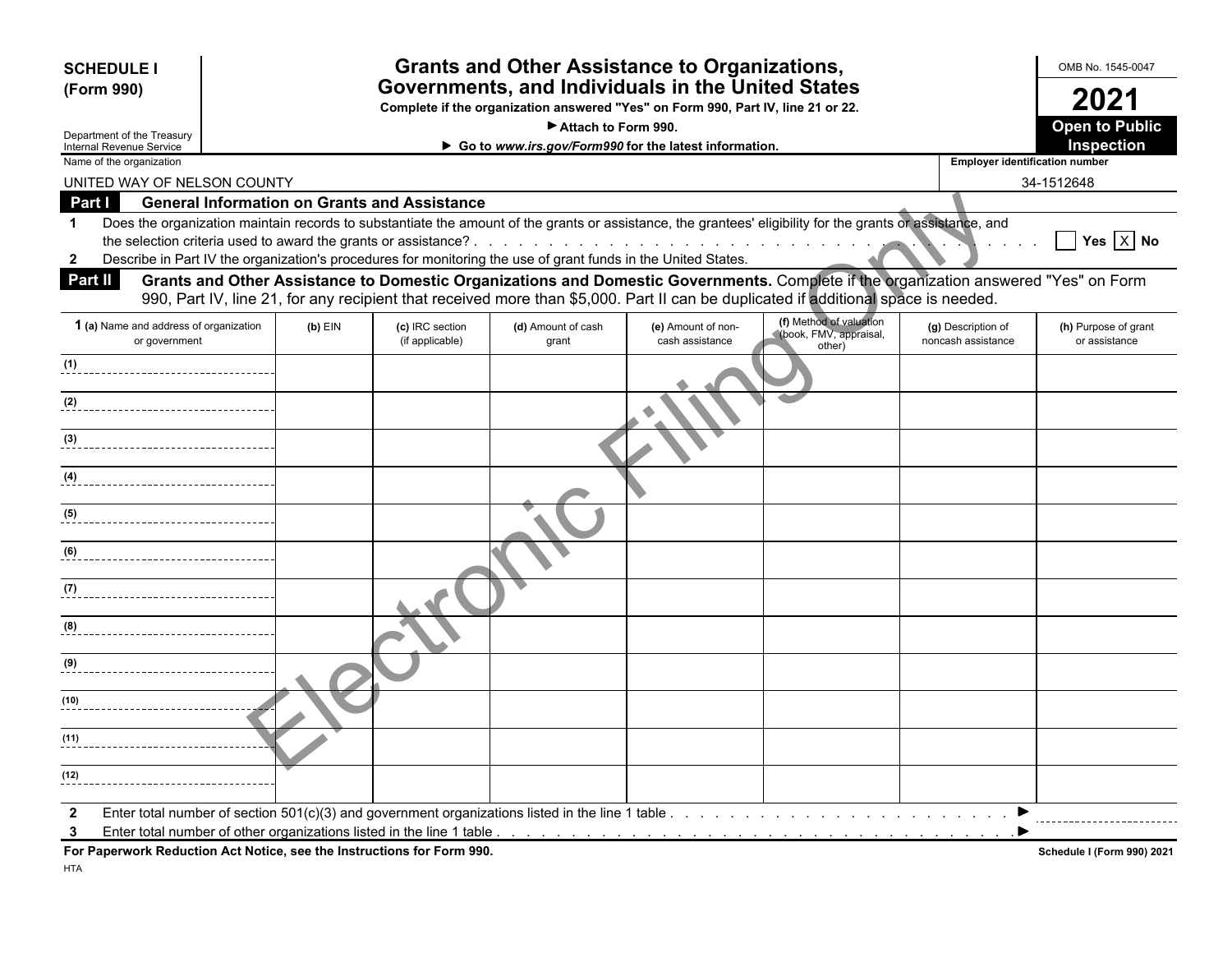| <b>SCHEDULE I</b><br>(Form 990)                        |                                                         |                                                                        |                                    | Attach to Form 990.                                                                                           | <b>Grants and Other Assistance to Organizations,</b><br>Governments, and Individuals in the United States<br>Complete if the organization answered "Yes" on Form 990, Part IV, line 21 or 22. |                                                                                                                                                                                                                                                                           |                                          | OMB No. 1545-0047<br>2021<br><b>Open to Public</b> |
|--------------------------------------------------------|---------------------------------------------------------|------------------------------------------------------------------------|------------------------------------|---------------------------------------------------------------------------------------------------------------|-----------------------------------------------------------------------------------------------------------------------------------------------------------------------------------------------|---------------------------------------------------------------------------------------------------------------------------------------------------------------------------------------------------------------------------------------------------------------------------|------------------------------------------|----------------------------------------------------|
| Department of the Treasury<br>Internal Revenue Service |                                                         |                                                                        |                                    |                                                                                                               | Go to www.irs.gov/Form990 for the latest information.                                                                                                                                         |                                                                                                                                                                                                                                                                           |                                          | Inspection                                         |
| Name of the organization                               |                                                         |                                                                        |                                    |                                                                                                               |                                                                                                                                                                                               |                                                                                                                                                                                                                                                                           | <b>Employer identification number</b>    |                                                    |
|                                                        | UNITED WAY OF NELSON COUNTY                             |                                                                        |                                    |                                                                                                               |                                                                                                                                                                                               |                                                                                                                                                                                                                                                                           |                                          | 34-1512648                                         |
| Part I                                                 |                                                         | <b>General Information on Grants and Assistance</b>                    |                                    |                                                                                                               |                                                                                                                                                                                               |                                                                                                                                                                                                                                                                           |                                          |                                                    |
| $\mathbf 1$                                            |                                                         |                                                                        |                                    |                                                                                                               |                                                                                                                                                                                               | Does the organization maintain records to substantiate the amount of the grants or assistance, the grantees' eligibility for the grants or assistance, and                                                                                                                |                                          |                                                    |
|                                                        |                                                         | the selection criteria used to award the grants or assistance?.        |                                    |                                                                                                               | de la casa de la casa de la casa de la casa de la casa de la casa de la casa de la casa de la casa de la casa de                                                                              |                                                                                                                                                                                                                                                                           |                                          | Yes $\overline{X}$ No                              |
| $\mathbf{2}$                                           |                                                         |                                                                        |                                    | Describe in Part IV the organization's procedures for monitoring the use of grant funds in the United States. |                                                                                                                                                                                               |                                                                                                                                                                                                                                                                           |                                          |                                                    |
| Part II                                                |                                                         |                                                                        |                                    |                                                                                                               |                                                                                                                                                                                               | Grants and Other Assistance to Domestic Organizations and Domestic Governments. Complete if the organization answered "Yes" on Form<br>990, Part IV, line 21, for any recipient that received more than \$5,000. Part II can be duplicated if additional space is needed. |                                          |                                                    |
|                                                        | 1 (a) Name and address of organization<br>or government | $(b)$ EIN                                                              | (c) IRC section<br>(if applicable) | (d) Amount of cash<br>grant                                                                                   | (e) Amount of non-<br>cash assistance                                                                                                                                                         | (f) Method of valuation<br>(book, FMV, appraisal,<br>other)                                                                                                                                                                                                               | (g) Description of<br>noncash assistance | (h) Purpose of grant<br>or assistance              |
| (1)                                                    |                                                         |                                                                        |                                    |                                                                                                               |                                                                                                                                                                                               |                                                                                                                                                                                                                                                                           |                                          |                                                    |
| (2)                                                    |                                                         |                                                                        |                                    |                                                                                                               |                                                                                                                                                                                               |                                                                                                                                                                                                                                                                           |                                          |                                                    |
| (3)                                                    |                                                         |                                                                        |                                    |                                                                                                               |                                                                                                                                                                                               |                                                                                                                                                                                                                                                                           |                                          |                                                    |
| (4)                                                    |                                                         |                                                                        |                                    |                                                                                                               |                                                                                                                                                                                               |                                                                                                                                                                                                                                                                           |                                          |                                                    |
| (5)                                                    |                                                         |                                                                        |                                    |                                                                                                               |                                                                                                                                                                                               |                                                                                                                                                                                                                                                                           |                                          |                                                    |
| (6)                                                    |                                                         |                                                                        |                                    |                                                                                                               |                                                                                                                                                                                               |                                                                                                                                                                                                                                                                           |                                          |                                                    |
| (7)                                                    |                                                         |                                                                        |                                    |                                                                                                               |                                                                                                                                                                                               |                                                                                                                                                                                                                                                                           |                                          |                                                    |
| (8)                                                    |                                                         |                                                                        |                                    |                                                                                                               |                                                                                                                                                                                               |                                                                                                                                                                                                                                                                           |                                          |                                                    |
|                                                        |                                                         |                                                                        |                                    |                                                                                                               |                                                                                                                                                                                               |                                                                                                                                                                                                                                                                           |                                          |                                                    |
| (9)                                                    |                                                         |                                                                        |                                    |                                                                                                               |                                                                                                                                                                                               |                                                                                                                                                                                                                                                                           |                                          |                                                    |
| (10)                                                   |                                                         |                                                                        |                                    |                                                                                                               |                                                                                                                                                                                               |                                                                                                                                                                                                                                                                           |                                          |                                                    |
| (11)                                                   |                                                         |                                                                        |                                    |                                                                                                               |                                                                                                                                                                                               |                                                                                                                                                                                                                                                                           |                                          |                                                    |
| (12)                                                   |                                                         |                                                                        |                                    |                                                                                                               |                                                                                                                                                                                               |                                                                                                                                                                                                                                                                           |                                          |                                                    |
| $\mathbf{2}$                                           |                                                         |                                                                        |                                    |                                                                                                               | Enter total number of section $501(c)(3)$ and government organizations listed in the line 1 table                                                                                             |                                                                                                                                                                                                                                                                           |                                          |                                                    |
| 3                                                      |                                                         |                                                                        |                                    |                                                                                                               |                                                                                                                                                                                               |                                                                                                                                                                                                                                                                           |                                          |                                                    |
|                                                        |                                                         | For Paperwork Reduction Act Notice, see the Instructions for Form 990. |                                    |                                                                                                               |                                                                                                                                                                                               |                                                                                                                                                                                                                                                                           |                                          | Schedule I (Form 990) 2021                         |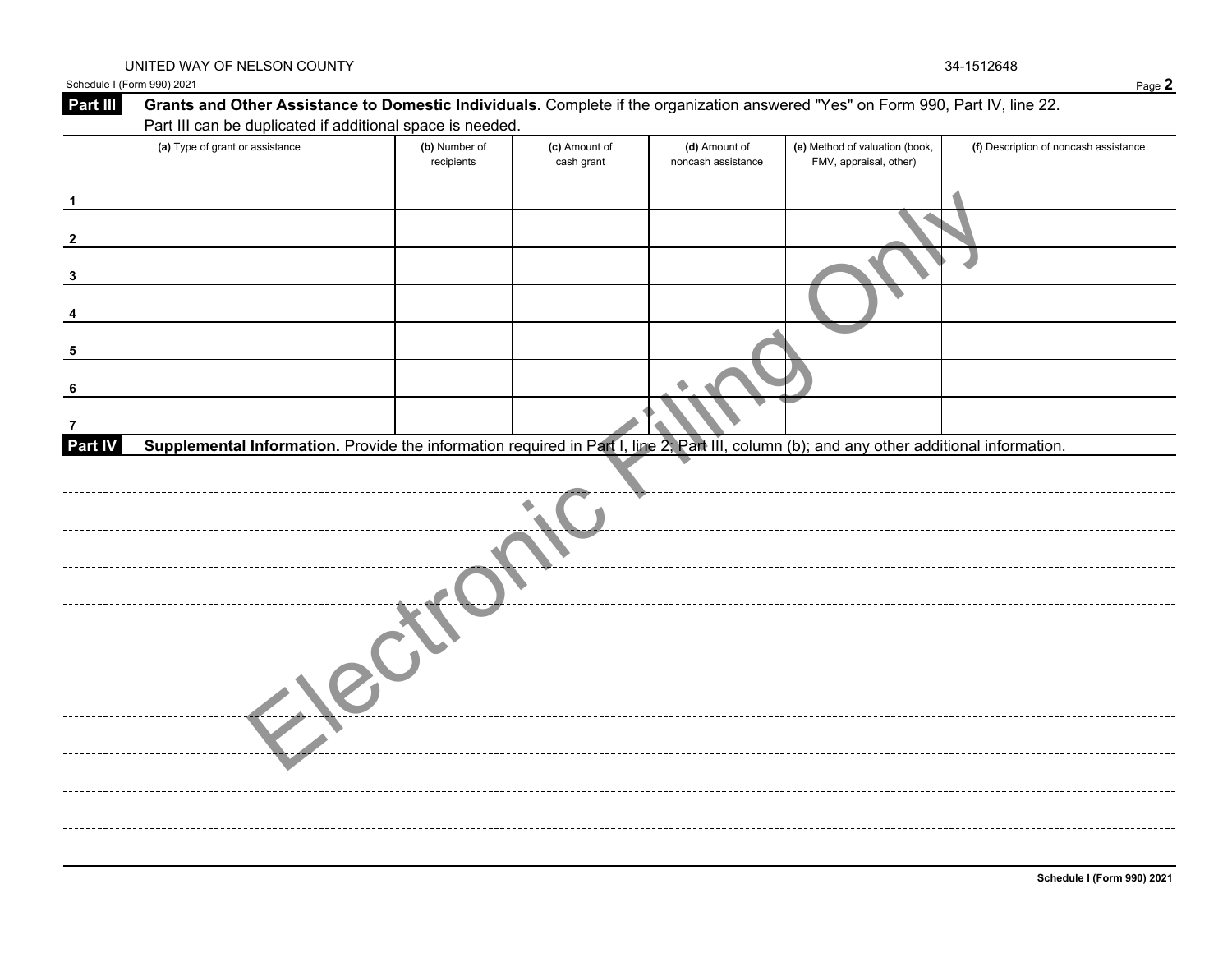Schedule I (Form 990) 2021 Page **2**

| Part III       | Grants and Other Assistance to Domestic Individuals. Complete if the organization answered "Yes" on Form 990, Part IV, line 22.           |                             |                             |                                     |                                                          |                                       |
|----------------|-------------------------------------------------------------------------------------------------------------------------------------------|-----------------------------|-----------------------------|-------------------------------------|----------------------------------------------------------|---------------------------------------|
|                | Part III can be duplicated if additional space is needed.                                                                                 |                             |                             |                                     |                                                          |                                       |
|                | (a) Type of grant or assistance                                                                                                           | (b) Number of<br>recipients | (c) Amount of<br>cash grant | (d) Amount of<br>noncash assistance | (e) Method of valuation (book,<br>FMV, appraisal, other) | (f) Description of noncash assistance |
|                |                                                                                                                                           |                             |                             |                                     |                                                          |                                       |
|                |                                                                                                                                           |                             |                             |                                     |                                                          |                                       |
|                |                                                                                                                                           |                             |                             |                                     |                                                          |                                       |
|                |                                                                                                                                           |                             |                             |                                     |                                                          |                                       |
|                |                                                                                                                                           |                             |                             |                                     |                                                          |                                       |
|                |                                                                                                                                           |                             |                             |                                     |                                                          |                                       |
| 7              |                                                                                                                                           |                             |                             |                                     |                                                          |                                       |
| <b>Part IV</b> | Supplemental Information. Provide the information required in Part I, line 2; Part III, column (b); and any other additional information. |                             |                             |                                     |                                                          |                                       |
|                |                                                                                                                                           |                             |                             |                                     |                                                          |                                       |
|                |                                                                                                                                           |                             |                             |                                     |                                                          |                                       |
|                |                                                                                                                                           |                             |                             |                                     |                                                          |                                       |
|                |                                                                                                                                           |                             |                             |                                     |                                                          |                                       |
|                |                                                                                                                                           |                             |                             |                                     |                                                          |                                       |
|                |                                                                                                                                           |                             |                             |                                     |                                                          |                                       |
|                |                                                                                                                                           |                             |                             |                                     |                                                          |                                       |
|                |                                                                                                                                           |                             |                             |                                     |                                                          |                                       |
|                |                                                                                                                                           |                             |                             |                                     |                                                          |                                       |
|                |                                                                                                                                           |                             |                             |                                     |                                                          |                                       |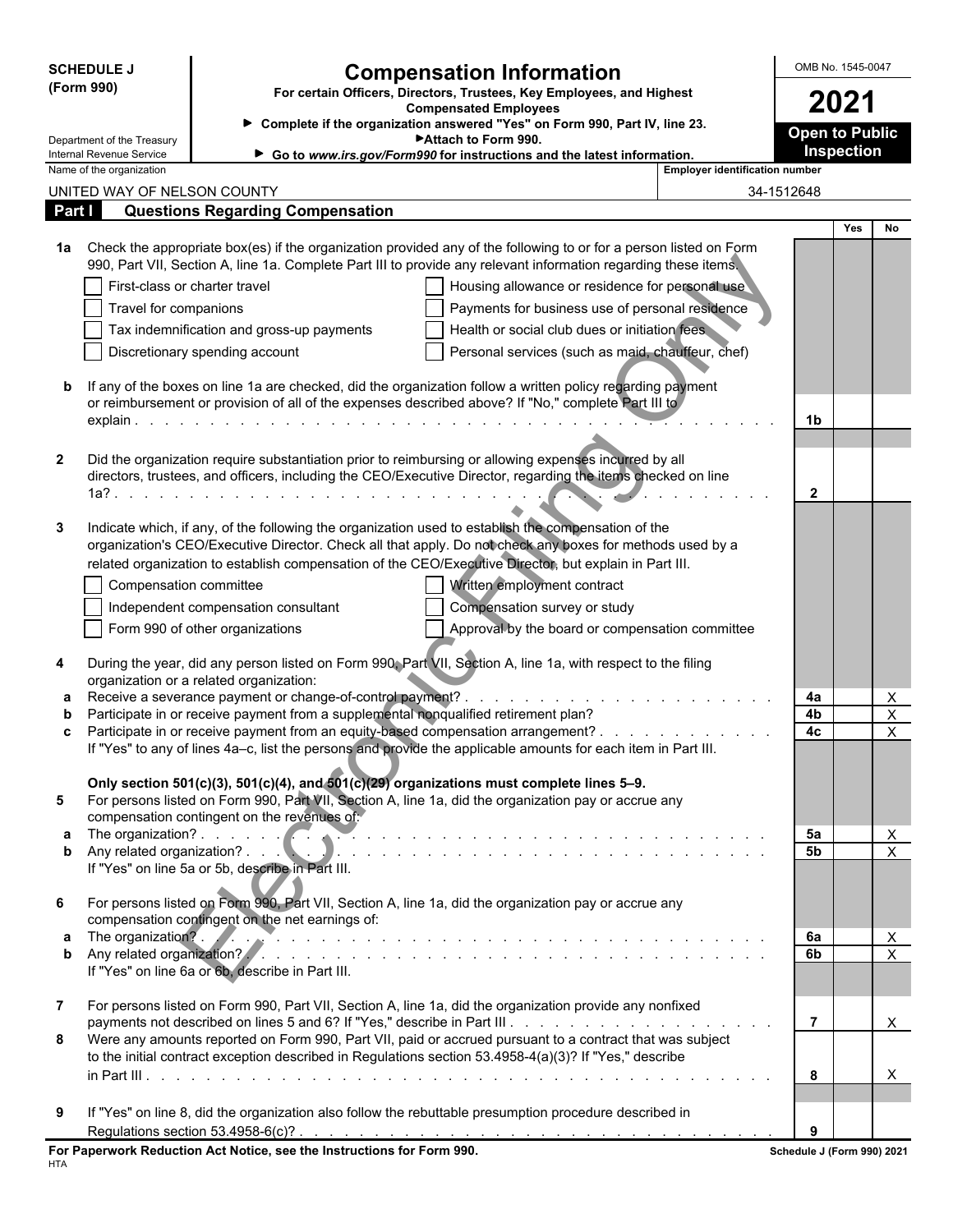| <b>Compensation Information</b><br>(Form 990)<br>For certain Officers, Directors, Trustees, Key Employees, and Highest<br>2021<br><b>Compensated Employees</b><br>> Complete if the organization answered "Yes" on Form 990, Part IV, line 23.<br><b>Open to Public</b><br>Attach to Form 990.<br>Department of the Treasury<br>Inspection<br>Internal Revenue Service<br>Go to www.irs.gov/Form990 for instructions and the latest information.<br><b>Employer identification number</b><br>Name of the organization<br>UNITED WAY OF NELSON COUNTY<br>34-1512648<br>Part I<br><b>Questions Regarding Compensation</b><br><b>Yes</b><br>No<br>Check the appropriate box(es) if the organization provided any of the following to or for a person listed on Form<br>1a<br>990, Part VII, Section A, line 1a. Complete Part III to provide any relevant information regarding these items.<br>First-class or charter travel<br>Housing allowance or residence for personal use<br>Payments for business use of personal residence<br>Travel for companions<br>Health or social club dues or initiation fees<br>Tax indemnification and gross-up payments<br>Personal services (such as maid, chauffeur, chef)<br>Discretionary spending account<br>If any of the boxes on line 1a are checked, did the organization follow a written policy regarding payment<br>b<br>or reimbursement or provision of all of the expenses described above? If "No," complete Part III to<br>1b<br>Did the organization require substantiation prior to reimbursing or allowing expenses incurred by all<br>$\mathbf{2}$<br>directors, trustees, and officers, including the CEO/Executive Director, regarding the items checked on line<br>$\mathbf{2}$<br>Indicate which, if any, of the following the organization used to establish the compensation of the<br>3<br>organization's CEO/Executive Director. Check all that apply. Do not check any boxes for methods used by a<br>related organization to establish compensation of the CEO/Executive Director, but explain in Part III.<br>Compensation committee<br>Written employment contract<br>Independent compensation consultant<br>Compensation survey or study<br>Form 990 of other organizations<br>Approval by the board or compensation committee<br>During the year, did any person listed on Form 990, Part VII, Section A, line 1a, with respect to the filing<br>4<br>organization or a related organization:<br>$\mathsf{X}$<br>4a<br>a<br>X<br>Participate in or receive payment from a supplemental nonqualified retirement plan?<br>4b<br>b<br>X<br>Participate in or receive payment from an equity-based compensation arrangement?<br>4c<br>c<br>If "Yes" to any of lines 4a-c, list the persons and provide the applicable amounts for each item in Part III.<br>Only section 501(c)(3), 501(c)(4), and $501(c)(29)$ organizations must complete lines 5-9.<br>For persons listed on Form 990, Part VII, Section A, line 1a, did the organization pay or accrue any<br>5<br>compensation contingent on the revenues of:<br>The organization?<br>X<br>5a<br>$\mathsf{X}$<br>5b<br>If "Yes" on line 5a or 5b, describe in Part III.<br>For persons listed on Form 990, Part VII, Section A, line 1a, did the organization pay or accrue any<br>6<br>compensation contingent on the net earnings of:<br>The organization?. And the contract of the contract of the contract of the contract of the contract of the contract of the contract of the contract of the contract of the contract of the contract of the contract of the con<br>X<br>6а<br>$\overline{\mathsf{x}}$<br>6b<br>If "Yes" on line 6a or 6b, describe in Part III.<br>For persons listed on Form 990, Part VII, Section A, line 1a, did the organization provide any nonfixed<br>$\overline{7}$<br>$\overline{7}$<br>$\mathsf{X}$<br>Were any amounts reported on Form 990, Part VII, paid or accrued pursuant to a contract that was subject<br>8<br>to the initial contract exception described in Regulations section 53.4958-4(a)(3)? If "Yes," describe<br>8<br>X<br>If "Yes" on line 8, did the organization also follow the rebuttable presumption procedure described in<br>9<br>9<br>For Paperwork Reduction Act Notice, see the Instructions for Form 990.<br>Schedule J (Form 990) 2021 |  | <b>SCHEDULE J</b> |  | OMB No. 1545-0047 |  |  |  |
|-------------------------------------------------------------------------------------------------------------------------------------------------------------------------------------------------------------------------------------------------------------------------------------------------------------------------------------------------------------------------------------------------------------------------------------------------------------------------------------------------------------------------------------------------------------------------------------------------------------------------------------------------------------------------------------------------------------------------------------------------------------------------------------------------------------------------------------------------------------------------------------------------------------------------------------------------------------------------------------------------------------------------------------------------------------------------------------------------------------------------------------------------------------------------------------------------------------------------------------------------------------------------------------------------------------------------------------------------------------------------------------------------------------------------------------------------------------------------------------------------------------------------------------------------------------------------------------------------------------------------------------------------------------------------------------------------------------------------------------------------------------------------------------------------------------------------------------------------------------------------------------------------------------------------------------------------------------------------------------------------------------------------------------------------------------------------------------------------------------------------------------------------------------------------------------------------------------------------------------------------------------------------------------------------------------------------------------------------------------------------------------------------------------------------------------------------------------------------------------------------------------------------------------------------------------------------------------------------------------------------------------------------------------------------------------------------------------------------------------------------------------------------------------------------------------------------------------------------------------------------------------------------------------------------------------------------------------------------------------------------------------------------------------------------------------------------------------------------------------------------------------------------------------------------------------------------------------------------------------------------------------------------------------------------------------------------------------------------------------------------------------------------------------------------------------------------------------------------------------------------------------------------------------------------------------------------------------------------------------------------------------------------------------------------------------------------------------------------------------------------------------------------------------------------------------------------------------------------------------------------------------------------------------------------------------------------------------------------------------------------------------------------------------------------------------------------------------------------------------------------------------------------------------------------------------------------------------------------------------------------------------------------------------------------------------------------------|--|-------------------|--|-------------------|--|--|--|
|                                                                                                                                                                                                                                                                                                                                                                                                                                                                                                                                                                                                                                                                                                                                                                                                                                                                                                                                                                                                                                                                                                                                                                                                                                                                                                                                                                                                                                                                                                                                                                                                                                                                                                                                                                                                                                                                                                                                                                                                                                                                                                                                                                                                                                                                                                                                                                                                                                                                                                                                                                                                                                                                                                                                                                                                                                                                                                                                                                                                                                                                                                                                                                                                                                                                                                                                                                                                                                                                                                                                                                                                                                                                                                                                                                                                                                                                                                                                                                                                                                                                                                                                                                                                                                                                                                                               |  |                   |  |                   |  |  |  |
|                                                                                                                                                                                                                                                                                                                                                                                                                                                                                                                                                                                                                                                                                                                                                                                                                                                                                                                                                                                                                                                                                                                                                                                                                                                                                                                                                                                                                                                                                                                                                                                                                                                                                                                                                                                                                                                                                                                                                                                                                                                                                                                                                                                                                                                                                                                                                                                                                                                                                                                                                                                                                                                                                                                                                                                                                                                                                                                                                                                                                                                                                                                                                                                                                                                                                                                                                                                                                                                                                                                                                                                                                                                                                                                                                                                                                                                                                                                                                                                                                                                                                                                                                                                                                                                                                                                               |  |                   |  |                   |  |  |  |
|                                                                                                                                                                                                                                                                                                                                                                                                                                                                                                                                                                                                                                                                                                                                                                                                                                                                                                                                                                                                                                                                                                                                                                                                                                                                                                                                                                                                                                                                                                                                                                                                                                                                                                                                                                                                                                                                                                                                                                                                                                                                                                                                                                                                                                                                                                                                                                                                                                                                                                                                                                                                                                                                                                                                                                                                                                                                                                                                                                                                                                                                                                                                                                                                                                                                                                                                                                                                                                                                                                                                                                                                                                                                                                                                                                                                                                                                                                                                                                                                                                                                                                                                                                                                                                                                                                                               |  |                   |  |                   |  |  |  |
|                                                                                                                                                                                                                                                                                                                                                                                                                                                                                                                                                                                                                                                                                                                                                                                                                                                                                                                                                                                                                                                                                                                                                                                                                                                                                                                                                                                                                                                                                                                                                                                                                                                                                                                                                                                                                                                                                                                                                                                                                                                                                                                                                                                                                                                                                                                                                                                                                                                                                                                                                                                                                                                                                                                                                                                                                                                                                                                                                                                                                                                                                                                                                                                                                                                                                                                                                                                                                                                                                                                                                                                                                                                                                                                                                                                                                                                                                                                                                                                                                                                                                                                                                                                                                                                                                                                               |  |                   |  |                   |  |  |  |
|                                                                                                                                                                                                                                                                                                                                                                                                                                                                                                                                                                                                                                                                                                                                                                                                                                                                                                                                                                                                                                                                                                                                                                                                                                                                                                                                                                                                                                                                                                                                                                                                                                                                                                                                                                                                                                                                                                                                                                                                                                                                                                                                                                                                                                                                                                                                                                                                                                                                                                                                                                                                                                                                                                                                                                                                                                                                                                                                                                                                                                                                                                                                                                                                                                                                                                                                                                                                                                                                                                                                                                                                                                                                                                                                                                                                                                                                                                                                                                                                                                                                                                                                                                                                                                                                                                                               |  |                   |  |                   |  |  |  |
|                                                                                                                                                                                                                                                                                                                                                                                                                                                                                                                                                                                                                                                                                                                                                                                                                                                                                                                                                                                                                                                                                                                                                                                                                                                                                                                                                                                                                                                                                                                                                                                                                                                                                                                                                                                                                                                                                                                                                                                                                                                                                                                                                                                                                                                                                                                                                                                                                                                                                                                                                                                                                                                                                                                                                                                                                                                                                                                                                                                                                                                                                                                                                                                                                                                                                                                                                                                                                                                                                                                                                                                                                                                                                                                                                                                                                                                                                                                                                                                                                                                                                                                                                                                                                                                                                                                               |  |                   |  |                   |  |  |  |
|                                                                                                                                                                                                                                                                                                                                                                                                                                                                                                                                                                                                                                                                                                                                                                                                                                                                                                                                                                                                                                                                                                                                                                                                                                                                                                                                                                                                                                                                                                                                                                                                                                                                                                                                                                                                                                                                                                                                                                                                                                                                                                                                                                                                                                                                                                                                                                                                                                                                                                                                                                                                                                                                                                                                                                                                                                                                                                                                                                                                                                                                                                                                                                                                                                                                                                                                                                                                                                                                                                                                                                                                                                                                                                                                                                                                                                                                                                                                                                                                                                                                                                                                                                                                                                                                                                                               |  |                   |  |                   |  |  |  |
|                                                                                                                                                                                                                                                                                                                                                                                                                                                                                                                                                                                                                                                                                                                                                                                                                                                                                                                                                                                                                                                                                                                                                                                                                                                                                                                                                                                                                                                                                                                                                                                                                                                                                                                                                                                                                                                                                                                                                                                                                                                                                                                                                                                                                                                                                                                                                                                                                                                                                                                                                                                                                                                                                                                                                                                                                                                                                                                                                                                                                                                                                                                                                                                                                                                                                                                                                                                                                                                                                                                                                                                                                                                                                                                                                                                                                                                                                                                                                                                                                                                                                                                                                                                                                                                                                                                               |  |                   |  |                   |  |  |  |
|                                                                                                                                                                                                                                                                                                                                                                                                                                                                                                                                                                                                                                                                                                                                                                                                                                                                                                                                                                                                                                                                                                                                                                                                                                                                                                                                                                                                                                                                                                                                                                                                                                                                                                                                                                                                                                                                                                                                                                                                                                                                                                                                                                                                                                                                                                                                                                                                                                                                                                                                                                                                                                                                                                                                                                                                                                                                                                                                                                                                                                                                                                                                                                                                                                                                                                                                                                                                                                                                                                                                                                                                                                                                                                                                                                                                                                                                                                                                                                                                                                                                                                                                                                                                                                                                                                                               |  |                   |  |                   |  |  |  |
|                                                                                                                                                                                                                                                                                                                                                                                                                                                                                                                                                                                                                                                                                                                                                                                                                                                                                                                                                                                                                                                                                                                                                                                                                                                                                                                                                                                                                                                                                                                                                                                                                                                                                                                                                                                                                                                                                                                                                                                                                                                                                                                                                                                                                                                                                                                                                                                                                                                                                                                                                                                                                                                                                                                                                                                                                                                                                                                                                                                                                                                                                                                                                                                                                                                                                                                                                                                                                                                                                                                                                                                                                                                                                                                                                                                                                                                                                                                                                                                                                                                                                                                                                                                                                                                                                                                               |  |                   |  |                   |  |  |  |
|                                                                                                                                                                                                                                                                                                                                                                                                                                                                                                                                                                                                                                                                                                                                                                                                                                                                                                                                                                                                                                                                                                                                                                                                                                                                                                                                                                                                                                                                                                                                                                                                                                                                                                                                                                                                                                                                                                                                                                                                                                                                                                                                                                                                                                                                                                                                                                                                                                                                                                                                                                                                                                                                                                                                                                                                                                                                                                                                                                                                                                                                                                                                                                                                                                                                                                                                                                                                                                                                                                                                                                                                                                                                                                                                                                                                                                                                                                                                                                                                                                                                                                                                                                                                                                                                                                                               |  |                   |  |                   |  |  |  |
|                                                                                                                                                                                                                                                                                                                                                                                                                                                                                                                                                                                                                                                                                                                                                                                                                                                                                                                                                                                                                                                                                                                                                                                                                                                                                                                                                                                                                                                                                                                                                                                                                                                                                                                                                                                                                                                                                                                                                                                                                                                                                                                                                                                                                                                                                                                                                                                                                                                                                                                                                                                                                                                                                                                                                                                                                                                                                                                                                                                                                                                                                                                                                                                                                                                                                                                                                                                                                                                                                                                                                                                                                                                                                                                                                                                                                                                                                                                                                                                                                                                                                                                                                                                                                                                                                                                               |  |                   |  |                   |  |  |  |
|                                                                                                                                                                                                                                                                                                                                                                                                                                                                                                                                                                                                                                                                                                                                                                                                                                                                                                                                                                                                                                                                                                                                                                                                                                                                                                                                                                                                                                                                                                                                                                                                                                                                                                                                                                                                                                                                                                                                                                                                                                                                                                                                                                                                                                                                                                                                                                                                                                                                                                                                                                                                                                                                                                                                                                                                                                                                                                                                                                                                                                                                                                                                                                                                                                                                                                                                                                                                                                                                                                                                                                                                                                                                                                                                                                                                                                                                                                                                                                                                                                                                                                                                                                                                                                                                                                                               |  |                   |  |                   |  |  |  |
|                                                                                                                                                                                                                                                                                                                                                                                                                                                                                                                                                                                                                                                                                                                                                                                                                                                                                                                                                                                                                                                                                                                                                                                                                                                                                                                                                                                                                                                                                                                                                                                                                                                                                                                                                                                                                                                                                                                                                                                                                                                                                                                                                                                                                                                                                                                                                                                                                                                                                                                                                                                                                                                                                                                                                                                                                                                                                                                                                                                                                                                                                                                                                                                                                                                                                                                                                                                                                                                                                                                                                                                                                                                                                                                                                                                                                                                                                                                                                                                                                                                                                                                                                                                                                                                                                                                               |  |                   |  |                   |  |  |  |
|                                                                                                                                                                                                                                                                                                                                                                                                                                                                                                                                                                                                                                                                                                                                                                                                                                                                                                                                                                                                                                                                                                                                                                                                                                                                                                                                                                                                                                                                                                                                                                                                                                                                                                                                                                                                                                                                                                                                                                                                                                                                                                                                                                                                                                                                                                                                                                                                                                                                                                                                                                                                                                                                                                                                                                                                                                                                                                                                                                                                                                                                                                                                                                                                                                                                                                                                                                                                                                                                                                                                                                                                                                                                                                                                                                                                                                                                                                                                                                                                                                                                                                                                                                                                                                                                                                                               |  |                   |  |                   |  |  |  |
|                                                                                                                                                                                                                                                                                                                                                                                                                                                                                                                                                                                                                                                                                                                                                                                                                                                                                                                                                                                                                                                                                                                                                                                                                                                                                                                                                                                                                                                                                                                                                                                                                                                                                                                                                                                                                                                                                                                                                                                                                                                                                                                                                                                                                                                                                                                                                                                                                                                                                                                                                                                                                                                                                                                                                                                                                                                                                                                                                                                                                                                                                                                                                                                                                                                                                                                                                                                                                                                                                                                                                                                                                                                                                                                                                                                                                                                                                                                                                                                                                                                                                                                                                                                                                                                                                                                               |  |                   |  |                   |  |  |  |
|                                                                                                                                                                                                                                                                                                                                                                                                                                                                                                                                                                                                                                                                                                                                                                                                                                                                                                                                                                                                                                                                                                                                                                                                                                                                                                                                                                                                                                                                                                                                                                                                                                                                                                                                                                                                                                                                                                                                                                                                                                                                                                                                                                                                                                                                                                                                                                                                                                                                                                                                                                                                                                                                                                                                                                                                                                                                                                                                                                                                                                                                                                                                                                                                                                                                                                                                                                                                                                                                                                                                                                                                                                                                                                                                                                                                                                                                                                                                                                                                                                                                                                                                                                                                                                                                                                                               |  |                   |  |                   |  |  |  |
|                                                                                                                                                                                                                                                                                                                                                                                                                                                                                                                                                                                                                                                                                                                                                                                                                                                                                                                                                                                                                                                                                                                                                                                                                                                                                                                                                                                                                                                                                                                                                                                                                                                                                                                                                                                                                                                                                                                                                                                                                                                                                                                                                                                                                                                                                                                                                                                                                                                                                                                                                                                                                                                                                                                                                                                                                                                                                                                                                                                                                                                                                                                                                                                                                                                                                                                                                                                                                                                                                                                                                                                                                                                                                                                                                                                                                                                                                                                                                                                                                                                                                                                                                                                                                                                                                                                               |  |                   |  |                   |  |  |  |
|                                                                                                                                                                                                                                                                                                                                                                                                                                                                                                                                                                                                                                                                                                                                                                                                                                                                                                                                                                                                                                                                                                                                                                                                                                                                                                                                                                                                                                                                                                                                                                                                                                                                                                                                                                                                                                                                                                                                                                                                                                                                                                                                                                                                                                                                                                                                                                                                                                                                                                                                                                                                                                                                                                                                                                                                                                                                                                                                                                                                                                                                                                                                                                                                                                                                                                                                                                                                                                                                                                                                                                                                                                                                                                                                                                                                                                                                                                                                                                                                                                                                                                                                                                                                                                                                                                                               |  |                   |  |                   |  |  |  |
|                                                                                                                                                                                                                                                                                                                                                                                                                                                                                                                                                                                                                                                                                                                                                                                                                                                                                                                                                                                                                                                                                                                                                                                                                                                                                                                                                                                                                                                                                                                                                                                                                                                                                                                                                                                                                                                                                                                                                                                                                                                                                                                                                                                                                                                                                                                                                                                                                                                                                                                                                                                                                                                                                                                                                                                                                                                                                                                                                                                                                                                                                                                                                                                                                                                                                                                                                                                                                                                                                                                                                                                                                                                                                                                                                                                                                                                                                                                                                                                                                                                                                                                                                                                                                                                                                                                               |  |                   |  |                   |  |  |  |
|                                                                                                                                                                                                                                                                                                                                                                                                                                                                                                                                                                                                                                                                                                                                                                                                                                                                                                                                                                                                                                                                                                                                                                                                                                                                                                                                                                                                                                                                                                                                                                                                                                                                                                                                                                                                                                                                                                                                                                                                                                                                                                                                                                                                                                                                                                                                                                                                                                                                                                                                                                                                                                                                                                                                                                                                                                                                                                                                                                                                                                                                                                                                                                                                                                                                                                                                                                                                                                                                                                                                                                                                                                                                                                                                                                                                                                                                                                                                                                                                                                                                                                                                                                                                                                                                                                                               |  |                   |  |                   |  |  |  |
|                                                                                                                                                                                                                                                                                                                                                                                                                                                                                                                                                                                                                                                                                                                                                                                                                                                                                                                                                                                                                                                                                                                                                                                                                                                                                                                                                                                                                                                                                                                                                                                                                                                                                                                                                                                                                                                                                                                                                                                                                                                                                                                                                                                                                                                                                                                                                                                                                                                                                                                                                                                                                                                                                                                                                                                                                                                                                                                                                                                                                                                                                                                                                                                                                                                                                                                                                                                                                                                                                                                                                                                                                                                                                                                                                                                                                                                                                                                                                                                                                                                                                                                                                                                                                                                                                                                               |  |                   |  |                   |  |  |  |
|                                                                                                                                                                                                                                                                                                                                                                                                                                                                                                                                                                                                                                                                                                                                                                                                                                                                                                                                                                                                                                                                                                                                                                                                                                                                                                                                                                                                                                                                                                                                                                                                                                                                                                                                                                                                                                                                                                                                                                                                                                                                                                                                                                                                                                                                                                                                                                                                                                                                                                                                                                                                                                                                                                                                                                                                                                                                                                                                                                                                                                                                                                                                                                                                                                                                                                                                                                                                                                                                                                                                                                                                                                                                                                                                                                                                                                                                                                                                                                                                                                                                                                                                                                                                                                                                                                                               |  |                   |  |                   |  |  |  |
|                                                                                                                                                                                                                                                                                                                                                                                                                                                                                                                                                                                                                                                                                                                                                                                                                                                                                                                                                                                                                                                                                                                                                                                                                                                                                                                                                                                                                                                                                                                                                                                                                                                                                                                                                                                                                                                                                                                                                                                                                                                                                                                                                                                                                                                                                                                                                                                                                                                                                                                                                                                                                                                                                                                                                                                                                                                                                                                                                                                                                                                                                                                                                                                                                                                                                                                                                                                                                                                                                                                                                                                                                                                                                                                                                                                                                                                                                                                                                                                                                                                                                                                                                                                                                                                                                                                               |  |                   |  |                   |  |  |  |
|                                                                                                                                                                                                                                                                                                                                                                                                                                                                                                                                                                                                                                                                                                                                                                                                                                                                                                                                                                                                                                                                                                                                                                                                                                                                                                                                                                                                                                                                                                                                                                                                                                                                                                                                                                                                                                                                                                                                                                                                                                                                                                                                                                                                                                                                                                                                                                                                                                                                                                                                                                                                                                                                                                                                                                                                                                                                                                                                                                                                                                                                                                                                                                                                                                                                                                                                                                                                                                                                                                                                                                                                                                                                                                                                                                                                                                                                                                                                                                                                                                                                                                                                                                                                                                                                                                                               |  |                   |  |                   |  |  |  |
|                                                                                                                                                                                                                                                                                                                                                                                                                                                                                                                                                                                                                                                                                                                                                                                                                                                                                                                                                                                                                                                                                                                                                                                                                                                                                                                                                                                                                                                                                                                                                                                                                                                                                                                                                                                                                                                                                                                                                                                                                                                                                                                                                                                                                                                                                                                                                                                                                                                                                                                                                                                                                                                                                                                                                                                                                                                                                                                                                                                                                                                                                                                                                                                                                                                                                                                                                                                                                                                                                                                                                                                                                                                                                                                                                                                                                                                                                                                                                                                                                                                                                                                                                                                                                                                                                                                               |  |                   |  |                   |  |  |  |
|                                                                                                                                                                                                                                                                                                                                                                                                                                                                                                                                                                                                                                                                                                                                                                                                                                                                                                                                                                                                                                                                                                                                                                                                                                                                                                                                                                                                                                                                                                                                                                                                                                                                                                                                                                                                                                                                                                                                                                                                                                                                                                                                                                                                                                                                                                                                                                                                                                                                                                                                                                                                                                                                                                                                                                                                                                                                                                                                                                                                                                                                                                                                                                                                                                                                                                                                                                                                                                                                                                                                                                                                                                                                                                                                                                                                                                                                                                                                                                                                                                                                                                                                                                                                                                                                                                                               |  |                   |  |                   |  |  |  |
|                                                                                                                                                                                                                                                                                                                                                                                                                                                                                                                                                                                                                                                                                                                                                                                                                                                                                                                                                                                                                                                                                                                                                                                                                                                                                                                                                                                                                                                                                                                                                                                                                                                                                                                                                                                                                                                                                                                                                                                                                                                                                                                                                                                                                                                                                                                                                                                                                                                                                                                                                                                                                                                                                                                                                                                                                                                                                                                                                                                                                                                                                                                                                                                                                                                                                                                                                                                                                                                                                                                                                                                                                                                                                                                                                                                                                                                                                                                                                                                                                                                                                                                                                                                                                                                                                                                               |  |                   |  |                   |  |  |  |
|                                                                                                                                                                                                                                                                                                                                                                                                                                                                                                                                                                                                                                                                                                                                                                                                                                                                                                                                                                                                                                                                                                                                                                                                                                                                                                                                                                                                                                                                                                                                                                                                                                                                                                                                                                                                                                                                                                                                                                                                                                                                                                                                                                                                                                                                                                                                                                                                                                                                                                                                                                                                                                                                                                                                                                                                                                                                                                                                                                                                                                                                                                                                                                                                                                                                                                                                                                                                                                                                                                                                                                                                                                                                                                                                                                                                                                                                                                                                                                                                                                                                                                                                                                                                                                                                                                                               |  |                   |  |                   |  |  |  |
|                                                                                                                                                                                                                                                                                                                                                                                                                                                                                                                                                                                                                                                                                                                                                                                                                                                                                                                                                                                                                                                                                                                                                                                                                                                                                                                                                                                                                                                                                                                                                                                                                                                                                                                                                                                                                                                                                                                                                                                                                                                                                                                                                                                                                                                                                                                                                                                                                                                                                                                                                                                                                                                                                                                                                                                                                                                                                                                                                                                                                                                                                                                                                                                                                                                                                                                                                                                                                                                                                                                                                                                                                                                                                                                                                                                                                                                                                                                                                                                                                                                                                                                                                                                                                                                                                                                               |  |                   |  |                   |  |  |  |
|                                                                                                                                                                                                                                                                                                                                                                                                                                                                                                                                                                                                                                                                                                                                                                                                                                                                                                                                                                                                                                                                                                                                                                                                                                                                                                                                                                                                                                                                                                                                                                                                                                                                                                                                                                                                                                                                                                                                                                                                                                                                                                                                                                                                                                                                                                                                                                                                                                                                                                                                                                                                                                                                                                                                                                                                                                                                                                                                                                                                                                                                                                                                                                                                                                                                                                                                                                                                                                                                                                                                                                                                                                                                                                                                                                                                                                                                                                                                                                                                                                                                                                                                                                                                                                                                                                                               |  |                   |  |                   |  |  |  |
|                                                                                                                                                                                                                                                                                                                                                                                                                                                                                                                                                                                                                                                                                                                                                                                                                                                                                                                                                                                                                                                                                                                                                                                                                                                                                                                                                                                                                                                                                                                                                                                                                                                                                                                                                                                                                                                                                                                                                                                                                                                                                                                                                                                                                                                                                                                                                                                                                                                                                                                                                                                                                                                                                                                                                                                                                                                                                                                                                                                                                                                                                                                                                                                                                                                                                                                                                                                                                                                                                                                                                                                                                                                                                                                                                                                                                                                                                                                                                                                                                                                                                                                                                                                                                                                                                                                               |  |                   |  |                   |  |  |  |
|                                                                                                                                                                                                                                                                                                                                                                                                                                                                                                                                                                                                                                                                                                                                                                                                                                                                                                                                                                                                                                                                                                                                                                                                                                                                                                                                                                                                                                                                                                                                                                                                                                                                                                                                                                                                                                                                                                                                                                                                                                                                                                                                                                                                                                                                                                                                                                                                                                                                                                                                                                                                                                                                                                                                                                                                                                                                                                                                                                                                                                                                                                                                                                                                                                                                                                                                                                                                                                                                                                                                                                                                                                                                                                                                                                                                                                                                                                                                                                                                                                                                                                                                                                                                                                                                                                                               |  |                   |  |                   |  |  |  |
|                                                                                                                                                                                                                                                                                                                                                                                                                                                                                                                                                                                                                                                                                                                                                                                                                                                                                                                                                                                                                                                                                                                                                                                                                                                                                                                                                                                                                                                                                                                                                                                                                                                                                                                                                                                                                                                                                                                                                                                                                                                                                                                                                                                                                                                                                                                                                                                                                                                                                                                                                                                                                                                                                                                                                                                                                                                                                                                                                                                                                                                                                                                                                                                                                                                                                                                                                                                                                                                                                                                                                                                                                                                                                                                                                                                                                                                                                                                                                                                                                                                                                                                                                                                                                                                                                                                               |  |                   |  |                   |  |  |  |
|                                                                                                                                                                                                                                                                                                                                                                                                                                                                                                                                                                                                                                                                                                                                                                                                                                                                                                                                                                                                                                                                                                                                                                                                                                                                                                                                                                                                                                                                                                                                                                                                                                                                                                                                                                                                                                                                                                                                                                                                                                                                                                                                                                                                                                                                                                                                                                                                                                                                                                                                                                                                                                                                                                                                                                                                                                                                                                                                                                                                                                                                                                                                                                                                                                                                                                                                                                                                                                                                                                                                                                                                                                                                                                                                                                                                                                                                                                                                                                                                                                                                                                                                                                                                                                                                                                                               |  |                   |  |                   |  |  |  |
|                                                                                                                                                                                                                                                                                                                                                                                                                                                                                                                                                                                                                                                                                                                                                                                                                                                                                                                                                                                                                                                                                                                                                                                                                                                                                                                                                                                                                                                                                                                                                                                                                                                                                                                                                                                                                                                                                                                                                                                                                                                                                                                                                                                                                                                                                                                                                                                                                                                                                                                                                                                                                                                                                                                                                                                                                                                                                                                                                                                                                                                                                                                                                                                                                                                                                                                                                                                                                                                                                                                                                                                                                                                                                                                                                                                                                                                                                                                                                                                                                                                                                                                                                                                                                                                                                                                               |  |                   |  |                   |  |  |  |
|                                                                                                                                                                                                                                                                                                                                                                                                                                                                                                                                                                                                                                                                                                                                                                                                                                                                                                                                                                                                                                                                                                                                                                                                                                                                                                                                                                                                                                                                                                                                                                                                                                                                                                                                                                                                                                                                                                                                                                                                                                                                                                                                                                                                                                                                                                                                                                                                                                                                                                                                                                                                                                                                                                                                                                                                                                                                                                                                                                                                                                                                                                                                                                                                                                                                                                                                                                                                                                                                                                                                                                                                                                                                                                                                                                                                                                                                                                                                                                                                                                                                                                                                                                                                                                                                                                                               |  |                   |  |                   |  |  |  |
|                                                                                                                                                                                                                                                                                                                                                                                                                                                                                                                                                                                                                                                                                                                                                                                                                                                                                                                                                                                                                                                                                                                                                                                                                                                                                                                                                                                                                                                                                                                                                                                                                                                                                                                                                                                                                                                                                                                                                                                                                                                                                                                                                                                                                                                                                                                                                                                                                                                                                                                                                                                                                                                                                                                                                                                                                                                                                                                                                                                                                                                                                                                                                                                                                                                                                                                                                                                                                                                                                                                                                                                                                                                                                                                                                                                                                                                                                                                                                                                                                                                                                                                                                                                                                                                                                                                               |  |                   |  |                   |  |  |  |
|                                                                                                                                                                                                                                                                                                                                                                                                                                                                                                                                                                                                                                                                                                                                                                                                                                                                                                                                                                                                                                                                                                                                                                                                                                                                                                                                                                                                                                                                                                                                                                                                                                                                                                                                                                                                                                                                                                                                                                                                                                                                                                                                                                                                                                                                                                                                                                                                                                                                                                                                                                                                                                                                                                                                                                                                                                                                                                                                                                                                                                                                                                                                                                                                                                                                                                                                                                                                                                                                                                                                                                                                                                                                                                                                                                                                                                                                                                                                                                                                                                                                                                                                                                                                                                                                                                                               |  |                   |  |                   |  |  |  |
|                                                                                                                                                                                                                                                                                                                                                                                                                                                                                                                                                                                                                                                                                                                                                                                                                                                                                                                                                                                                                                                                                                                                                                                                                                                                                                                                                                                                                                                                                                                                                                                                                                                                                                                                                                                                                                                                                                                                                                                                                                                                                                                                                                                                                                                                                                                                                                                                                                                                                                                                                                                                                                                                                                                                                                                                                                                                                                                                                                                                                                                                                                                                                                                                                                                                                                                                                                                                                                                                                                                                                                                                                                                                                                                                                                                                                                                                                                                                                                                                                                                                                                                                                                                                                                                                                                                               |  |                   |  |                   |  |  |  |
|                                                                                                                                                                                                                                                                                                                                                                                                                                                                                                                                                                                                                                                                                                                                                                                                                                                                                                                                                                                                                                                                                                                                                                                                                                                                                                                                                                                                                                                                                                                                                                                                                                                                                                                                                                                                                                                                                                                                                                                                                                                                                                                                                                                                                                                                                                                                                                                                                                                                                                                                                                                                                                                                                                                                                                                                                                                                                                                                                                                                                                                                                                                                                                                                                                                                                                                                                                                                                                                                                                                                                                                                                                                                                                                                                                                                                                                                                                                                                                                                                                                                                                                                                                                                                                                                                                                               |  |                   |  |                   |  |  |  |
|                                                                                                                                                                                                                                                                                                                                                                                                                                                                                                                                                                                                                                                                                                                                                                                                                                                                                                                                                                                                                                                                                                                                                                                                                                                                                                                                                                                                                                                                                                                                                                                                                                                                                                                                                                                                                                                                                                                                                                                                                                                                                                                                                                                                                                                                                                                                                                                                                                                                                                                                                                                                                                                                                                                                                                                                                                                                                                                                                                                                                                                                                                                                                                                                                                                                                                                                                                                                                                                                                                                                                                                                                                                                                                                                                                                                                                                                                                                                                                                                                                                                                                                                                                                                                                                                                                                               |  |                   |  |                   |  |  |  |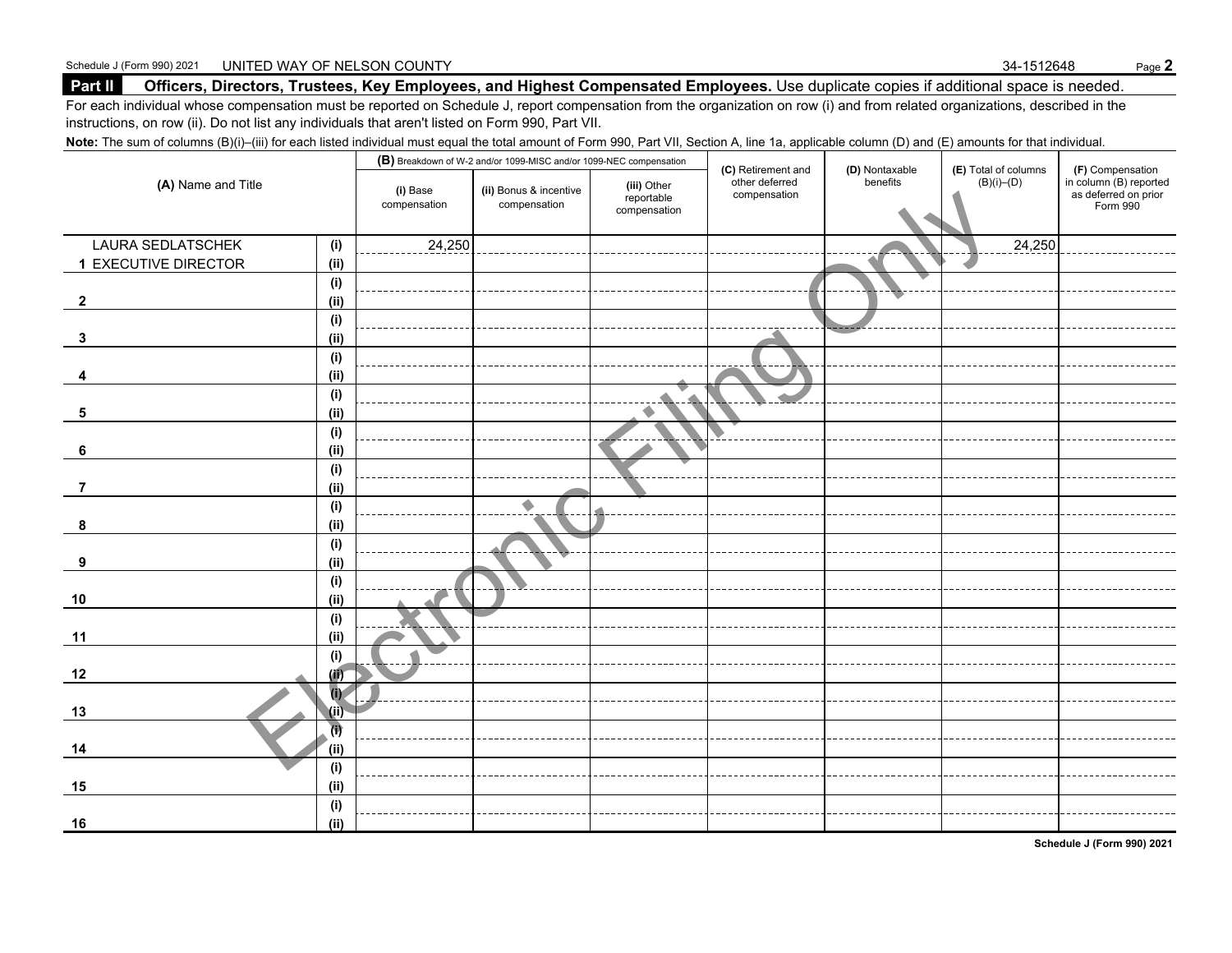#### **Part II Officers, Directors, Trustees, Key Employees, and Highest Compensated Employees.** Use duplicate copies if additional space is needed.

For each individual whose compensation must be reported on Schedule J, report compensation from the organization on row (i) and from related organizations, described in the instructions, on row (ii). Do not list any individuals that aren't listed on Form 990, Part VII.

Note: The sum of columns (B)(i)–(iii) for each listed individual must equal the total amount of Form 990, Part VII, Section A, line 1a, applicable column (D) and (E) amounts for that individual.

|                             |                              |                          | (B) Breakdown of W-2 and/or 1099-MISC and/or 1099-NEC compensation |                                           | (C) Retirement and             | (D) Nontaxable | (E) Total of columns | (F) Compensation                                           |
|-----------------------------|------------------------------|--------------------------|--------------------------------------------------------------------|-------------------------------------------|--------------------------------|----------------|----------------------|------------------------------------------------------------|
| (A) Name and Title          |                              | (i) Base<br>compensation | (ii) Bonus & incentive<br>compensation                             | (iii) Other<br>reportable<br>compensation | other deferred<br>compensation | benefits       | $(B)(i)$ – $(D)$     | in column (B) reported<br>as deferred on prior<br>Form 990 |
| LAURA SEDLATSCHEK           | (i)                          | 24,250                   |                                                                    |                                           |                                |                | 24,250               |                                                            |
| <b>1 EXECUTIVE DIRECTOR</b> | (ii)                         |                          |                                                                    |                                           |                                |                |                      |                                                            |
|                             | (i)                          |                          |                                                                    |                                           |                                |                |                      |                                                            |
| $\mathbf{2}$                | (ii)                         |                          |                                                                    |                                           |                                |                |                      |                                                            |
|                             | (i)                          |                          |                                                                    |                                           |                                |                |                      |                                                            |
| 3                           | (ii)                         |                          |                                                                    |                                           |                                |                |                      |                                                            |
|                             | (i)                          |                          |                                                                    |                                           |                                |                |                      |                                                            |
|                             | (ii)                         |                          |                                                                    |                                           |                                |                |                      |                                                            |
|                             | (i)                          |                          |                                                                    | $\blacktriangle$                          |                                |                |                      |                                                            |
| 5                           | (ii)                         |                          |                                                                    |                                           |                                |                |                      |                                                            |
|                             | (i)                          |                          |                                                                    |                                           |                                |                |                      |                                                            |
| 6                           | (iii)                        |                          |                                                                    |                                           |                                |                |                      |                                                            |
|                             | (i)                          |                          |                                                                    |                                           |                                |                |                      |                                                            |
| $\overline{7}$              | (ii)                         |                          |                                                                    |                                           |                                |                |                      |                                                            |
|                             | (i)                          |                          | $\blacktriangle$                                                   |                                           |                                |                |                      |                                                            |
| 8                           | (i)                          |                          |                                                                    |                                           |                                |                |                      |                                                            |
| 9                           | (i)<br>(i)                   |                          |                                                                    |                                           |                                |                |                      |                                                            |
|                             | (i)                          |                          |                                                                    |                                           |                                |                |                      |                                                            |
| 10                          | (ii)                         |                          |                                                                    |                                           |                                |                |                      |                                                            |
|                             | (i)                          |                          |                                                                    |                                           |                                |                |                      |                                                            |
| 11                          | (ii)                         |                          |                                                                    |                                           |                                |                |                      |                                                            |
|                             | (i)                          |                          |                                                                    |                                           |                                |                |                      |                                                            |
| 12                          | (ii)                         |                          |                                                                    |                                           |                                |                |                      |                                                            |
|                             | $\overline{(\cdot)}$         |                          |                                                                    |                                           |                                |                |                      |                                                            |
| 13                          | (ii)                         |                          |                                                                    |                                           |                                |                |                      |                                                            |
| 14                          | $\overline{\bf{u}}$<br>(iii) |                          |                                                                    |                                           |                                |                |                      |                                                            |
|                             | (i)                          |                          |                                                                    |                                           |                                |                |                      |                                                            |
| 15                          | (ii)                         |                          |                                                                    |                                           |                                |                |                      |                                                            |
|                             | (i)                          |                          |                                                                    |                                           |                                |                |                      |                                                            |
| 16                          | (ii)                         |                          |                                                                    |                                           |                                |                |                      |                                                            |

**Schedule J (Form 990) 2021**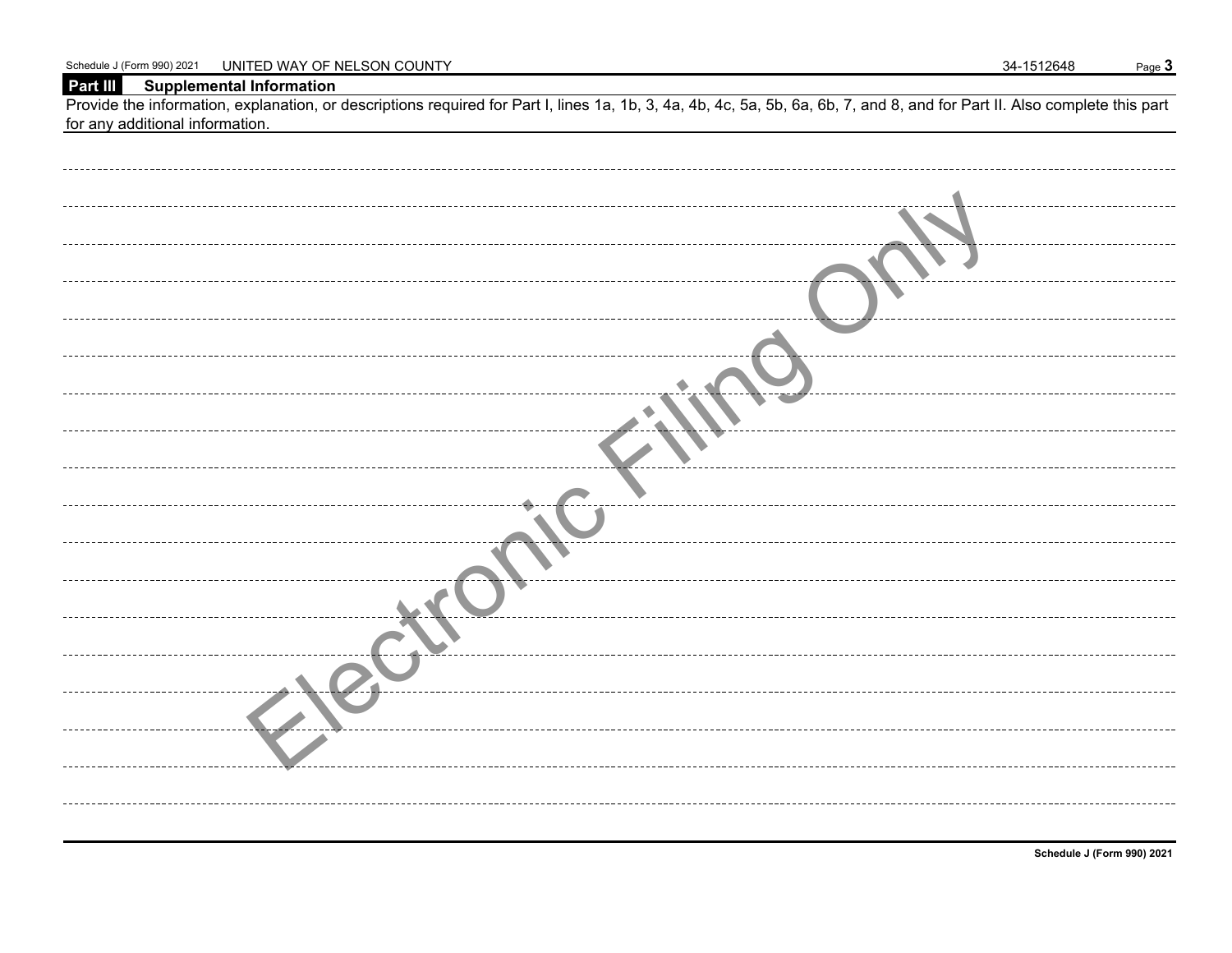#### **Part III Supplemental Information**

Provide the information, explanation, or descriptions required for Part I, lines 1a, 1b, 3, 4a, 4b, 4c, 5a, 5b, 6a, 6b, 7, and 8, and for Part II. Also complete this part for any additional information.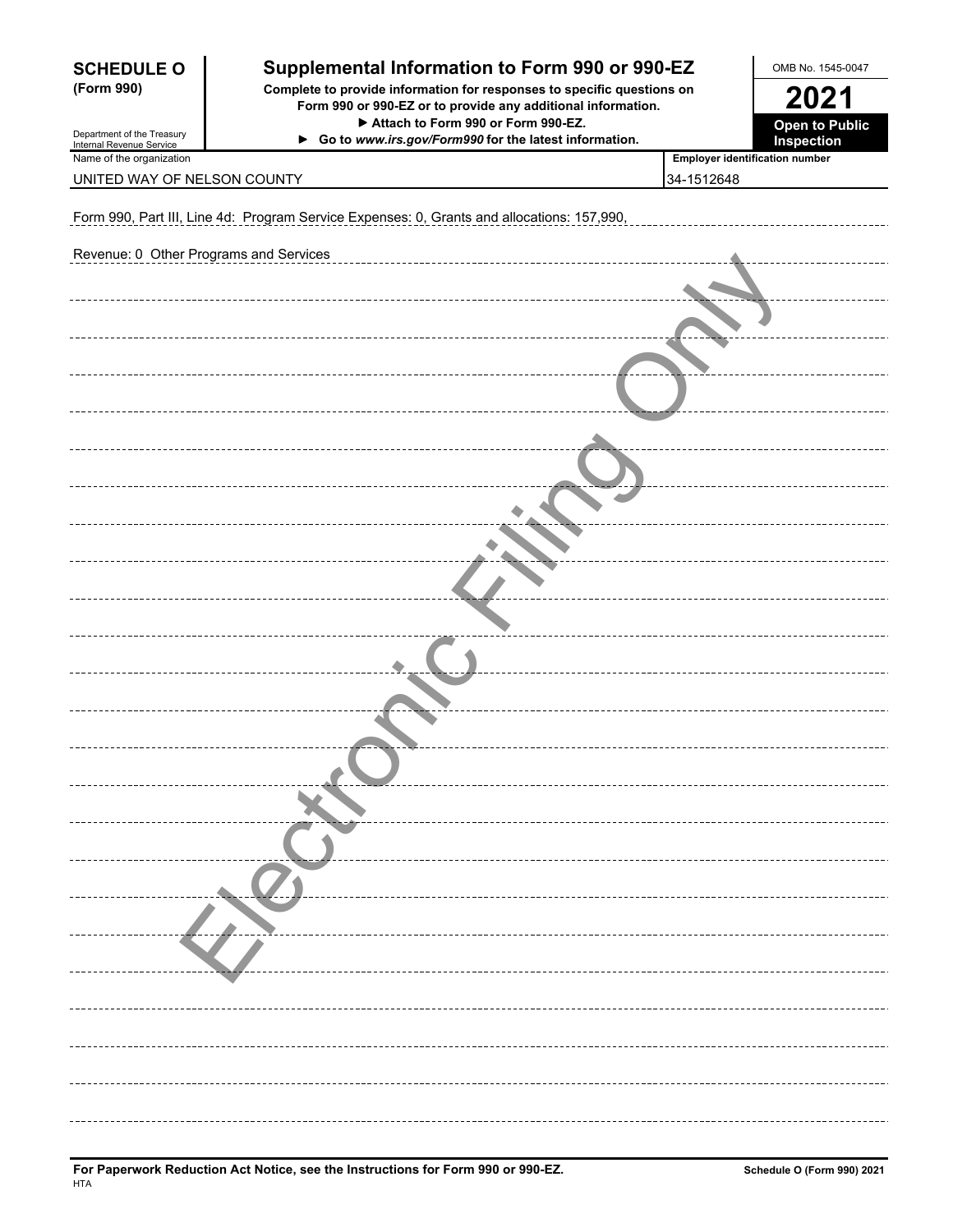| <b>SCHEDULE O</b>                                      | Supplemental Information to Form 990 or 990-EZ                                                                                         | OMB No. 1545-0047                   |  |
|--------------------------------------------------------|----------------------------------------------------------------------------------------------------------------------------------------|-------------------------------------|--|
| (Form 990)                                             | Complete to provide information for responses to specific questions on<br>Form 990 or 990-EZ or to provide any additional information. | 2021                                |  |
| Department of the Treasury<br>Internal Revenue Service | Attach to Form 990 or Form 990-EZ.<br>Go to www.irs.gov/Form990 for the latest information.                                            | <b>Open to Public</b><br>Inspection |  |
| Name of the organization                               |                                                                                                                                        | Employer identification number      |  |
| UNITED WAY OF NELSON COUNTY                            |                                                                                                                                        | 34-1512648                          |  |
|                                                        | Form 990, Part III, Line 4d: Program Service Expenses: 0, Grants and allocations: 157,990,                                             |                                     |  |
| Revenue: 0 Other Programs and Services                 |                                                                                                                                        |                                     |  |
|                                                        |                                                                                                                                        |                                     |  |
|                                                        |                                                                                                                                        |                                     |  |
|                                                        |                                                                                                                                        |                                     |  |
|                                                        |                                                                                                                                        |                                     |  |
|                                                        |                                                                                                                                        |                                     |  |
|                                                        |                                                                                                                                        |                                     |  |
|                                                        |                                                                                                                                        |                                     |  |
|                                                        |                                                                                                                                        |                                     |  |
|                                                        |                                                                                                                                        |                                     |  |
|                                                        |                                                                                                                                        |                                     |  |
|                                                        |                                                                                                                                        |                                     |  |
|                                                        |                                                                                                                                        |                                     |  |
|                                                        |                                                                                                                                        |                                     |  |
|                                                        |                                                                                                                                        |                                     |  |
|                                                        |                                                                                                                                        |                                     |  |
|                                                        |                                                                                                                                        |                                     |  |
|                                                        |                                                                                                                                        |                                     |  |
|                                                        |                                                                                                                                        |                                     |  |
|                                                        |                                                                                                                                        |                                     |  |
|                                                        |                                                                                                                                        |                                     |  |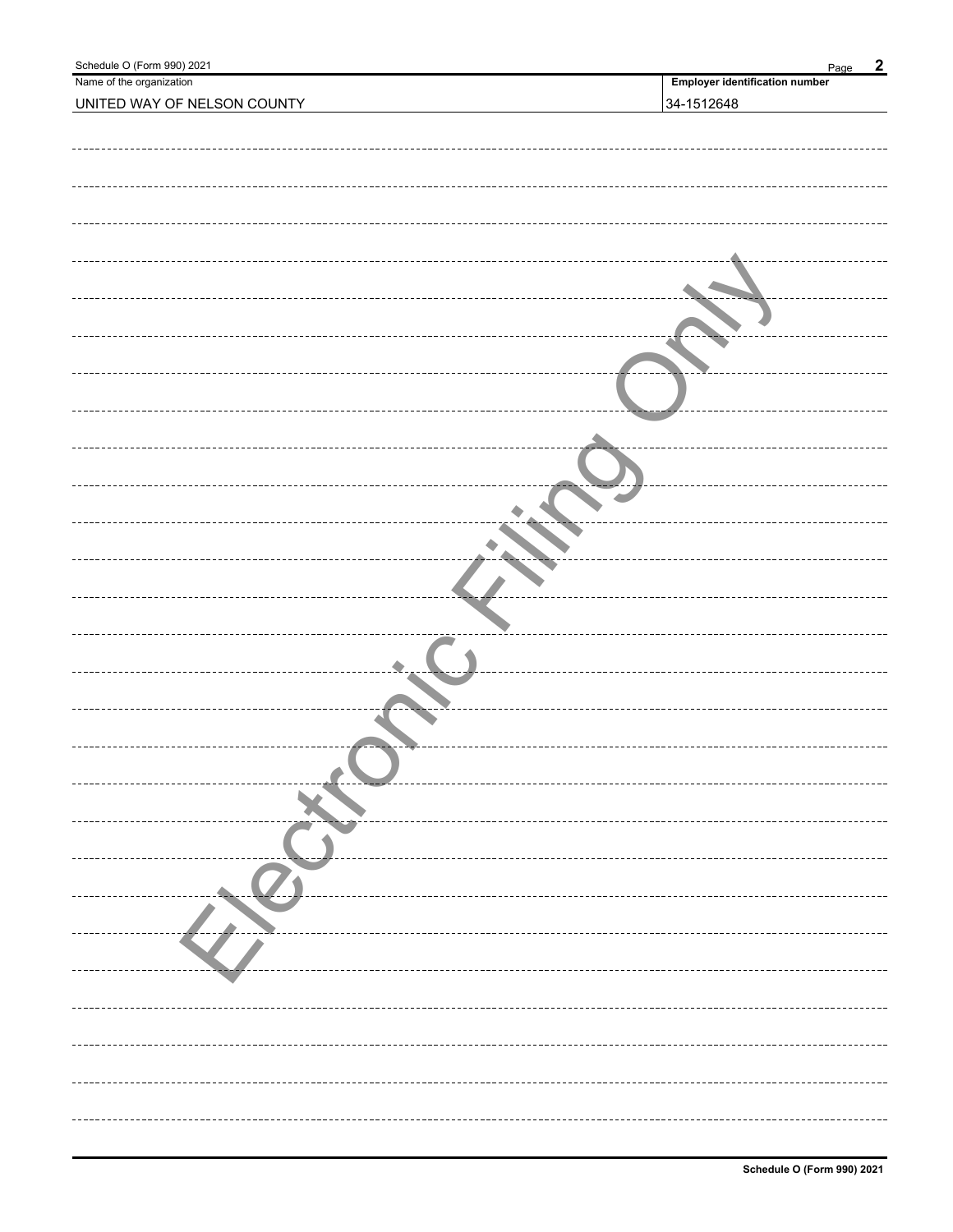| Schedule O (Form 990) 2021          | $\boldsymbol{2}$<br>Page              |
|-------------------------------------|---------------------------------------|
| Name of the organization            | <b>Employer identification number</b> |
| UNITED WAY OF NELSON COUNTY         | 34-1512648                            |
|                                     |                                       |
|                                     |                                       |
|                                     |                                       |
|                                     |                                       |
|                                     |                                       |
|                                     |                                       |
|                                     |                                       |
|                                     |                                       |
|                                     |                                       |
|                                     |                                       |
|                                     |                                       |
|                                     |                                       |
|                                     |                                       |
|                                     |                                       |
|                                     |                                       |
|                                     |                                       |
|                                     |                                       |
|                                     |                                       |
|                                     |                                       |
|                                     |                                       |
|                                     |                                       |
|                                     |                                       |
|                                     |                                       |
|                                     |                                       |
|                                     |                                       |
|                                     |                                       |
|                                     |                                       |
|                                     |                                       |
|                                     |                                       |
|                                     |                                       |
|                                     |                                       |
|                                     |                                       |
|                                     |                                       |
|                                     |                                       |
|                                     |                                       |
|                                     |                                       |
| ----------------------------------- |                                       |
|                                     |                                       |
|                                     |                                       |
|                                     |                                       |
|                                     |                                       |
|                                     |                                       |
|                                     |                                       |
|                                     |                                       |
|                                     |                                       |
|                                     |                                       |
|                                     |                                       |
|                                     |                                       |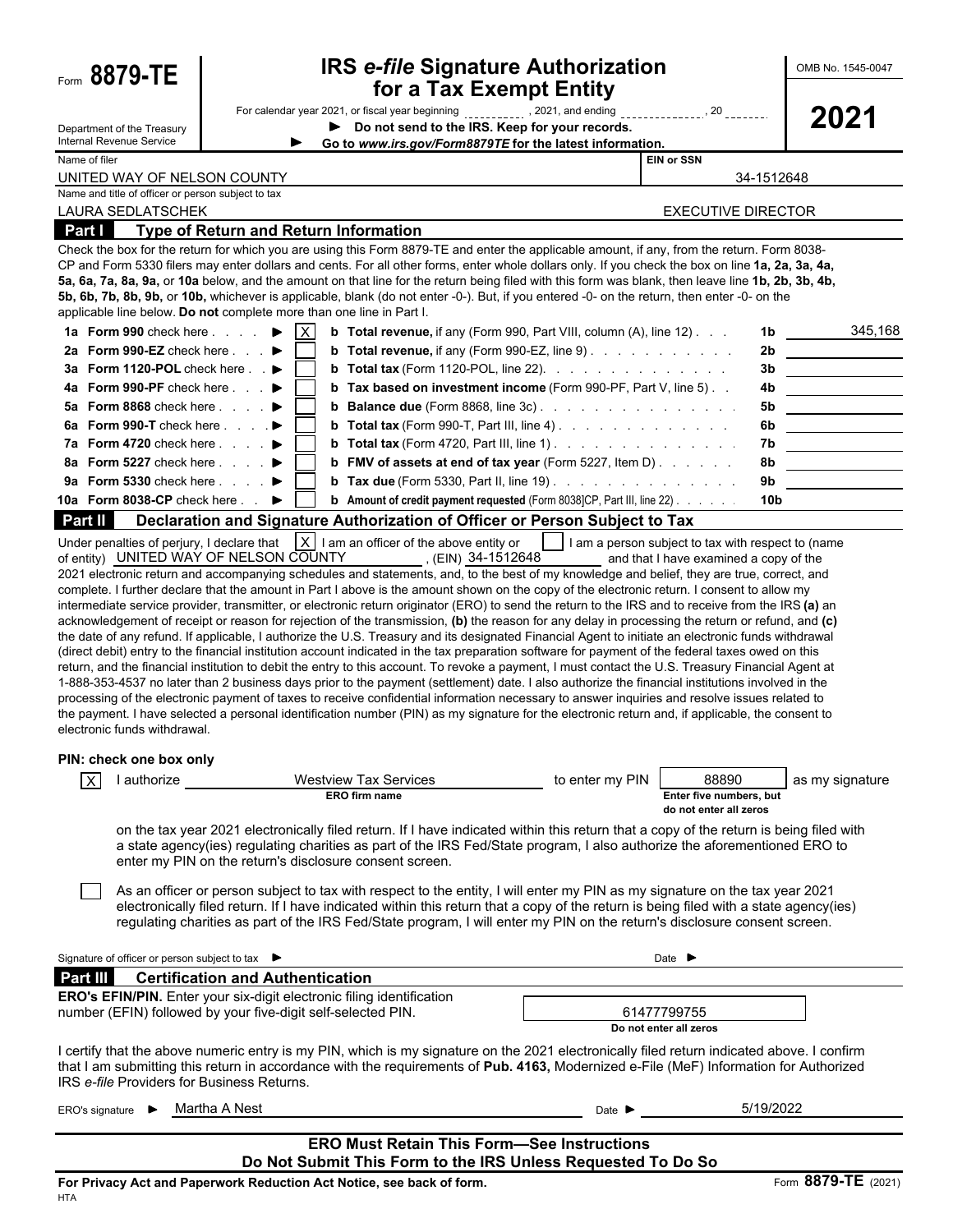| Form 8879-TE                                                                                                                          |                                              | <b>IRS e-file Signature Authorization</b><br>for a Tax Exempt Entity                                                                                                                                                                                                                                                                                                                                                                                                                                                                                                                                                                                                                                                                                                                                                                                                                                                                                                                                                                                                                                                                                                                                                                                                                                                                                                                                                                                                                                                                                                                                                                                                                                                                                                                                                                                                                                                                                                                                                                                                                                                                                                           |                     |                                                            |            | OMB No. 1545-0047 |
|---------------------------------------------------------------------------------------------------------------------------------------|----------------------------------------------|--------------------------------------------------------------------------------------------------------------------------------------------------------------------------------------------------------------------------------------------------------------------------------------------------------------------------------------------------------------------------------------------------------------------------------------------------------------------------------------------------------------------------------------------------------------------------------------------------------------------------------------------------------------------------------------------------------------------------------------------------------------------------------------------------------------------------------------------------------------------------------------------------------------------------------------------------------------------------------------------------------------------------------------------------------------------------------------------------------------------------------------------------------------------------------------------------------------------------------------------------------------------------------------------------------------------------------------------------------------------------------------------------------------------------------------------------------------------------------------------------------------------------------------------------------------------------------------------------------------------------------------------------------------------------------------------------------------------------------------------------------------------------------------------------------------------------------------------------------------------------------------------------------------------------------------------------------------------------------------------------------------------------------------------------------------------------------------------------------------------------------------------------------------------------------|---------------------|------------------------------------------------------------|------------|-------------------|
| Department of the Treasury<br><b>Internal Revenue Service</b>                                                                         |                                              | Do not send to the IRS. Keep for your records.<br>▶<br>Go to www.irs.gov/Form8879TE for the latest information.                                                                                                                                                                                                                                                                                                                                                                                                                                                                                                                                                                                                                                                                                                                                                                                                                                                                                                                                                                                                                                                                                                                                                                                                                                                                                                                                                                                                                                                                                                                                                                                                                                                                                                                                                                                                                                                                                                                                                                                                                                                                |                     |                                                            |            | 2021              |
| Name of filer                                                                                                                         |                                              |                                                                                                                                                                                                                                                                                                                                                                                                                                                                                                                                                                                                                                                                                                                                                                                                                                                                                                                                                                                                                                                                                                                                                                                                                                                                                                                                                                                                                                                                                                                                                                                                                                                                                                                                                                                                                                                                                                                                                                                                                                                                                                                                                                                |                     | <b>EIN or SSN</b>                                          |            |                   |
| UNITED WAY OF NELSON COUNTY                                                                                                           |                                              |                                                                                                                                                                                                                                                                                                                                                                                                                                                                                                                                                                                                                                                                                                                                                                                                                                                                                                                                                                                                                                                                                                                                                                                                                                                                                                                                                                                                                                                                                                                                                                                                                                                                                                                                                                                                                                                                                                                                                                                                                                                                                                                                                                                |                     |                                                            | 34-1512648 |                   |
| Name and title of officer or person subject to tax                                                                                    |                                              |                                                                                                                                                                                                                                                                                                                                                                                                                                                                                                                                                                                                                                                                                                                                                                                                                                                                                                                                                                                                                                                                                                                                                                                                                                                                                                                                                                                                                                                                                                                                                                                                                                                                                                                                                                                                                                                                                                                                                                                                                                                                                                                                                                                |                     |                                                            |            |                   |
| <b>LAURA SEDLATSCHEK</b>                                                                                                              |                                              |                                                                                                                                                                                                                                                                                                                                                                                                                                                                                                                                                                                                                                                                                                                                                                                                                                                                                                                                                                                                                                                                                                                                                                                                                                                                                                                                                                                                                                                                                                                                                                                                                                                                                                                                                                                                                                                                                                                                                                                                                                                                                                                                                                                |                     | <b>EXECUTIVE DIRECTOR</b>                                  |            |                   |
| Part I                                                                                                                                | <b>Type of Return and Return Information</b> |                                                                                                                                                                                                                                                                                                                                                                                                                                                                                                                                                                                                                                                                                                                                                                                                                                                                                                                                                                                                                                                                                                                                                                                                                                                                                                                                                                                                                                                                                                                                                                                                                                                                                                                                                                                                                                                                                                                                                                                                                                                                                                                                                                                |                     |                                                            |            |                   |
| applicable line below. Do not complete more than one line in Part I.                                                                  |                                              | Check the box for the return for which you are using this Form 8879-TE and enter the applicable amount, if any, from the return. Form 8038-<br>CP and Form 5330 filers may enter dollars and cents. For all other forms, enter whole dollars only. If you check the box on line 1a, 2a, 3a, 4a,<br>5a, 6a, 7a, 8a, 9a, or 10a below, and the amount on that line for the return being filed with this form was blank, then leave line 1b, 2b, 3b, 4b,<br>5b, 6b, 7b, 8b, 9b, or 10b, whichever is applicable, blank (do not enter -0-). But, if you entered -0- on the return, then enter -0- on the                                                                                                                                                                                                                                                                                                                                                                                                                                                                                                                                                                                                                                                                                                                                                                                                                                                                                                                                                                                                                                                                                                                                                                                                                                                                                                                                                                                                                                                                                                                                                                           |                     |                                                            |            |                   |
| 1a Form 990 check here                                                                                                                | $\mathsf{X}$                                 | <b>b</b> Total revenue, if any (Form 990, Part VIII, column (A), line 12)                                                                                                                                                                                                                                                                                                                                                                                                                                                                                                                                                                                                                                                                                                                                                                                                                                                                                                                                                                                                                                                                                                                                                                                                                                                                                                                                                                                                                                                                                                                                                                                                                                                                                                                                                                                                                                                                                                                                                                                                                                                                                                      |                     |                                                            |            | 345,168           |
| 2a Form 990-EZ check here $\blacksquare$                                                                                              |                                              | <b>b</b> Total revenue, if any (Form 990-EZ, line 9)                                                                                                                                                                                                                                                                                                                                                                                                                                                                                                                                                                                                                                                                                                                                                                                                                                                                                                                                                                                                                                                                                                                                                                                                                                                                                                                                                                                                                                                                                                                                                                                                                                                                                                                                                                                                                                                                                                                                                                                                                                                                                                                           |                     |                                                            | 2b         |                   |
| 3a Form 1120-POL check here . ▶                                                                                                       |                                              | <b>b</b> Total tax (Form 1120-POL, line 22). $\ldots$                                                                                                                                                                                                                                                                                                                                                                                                                                                                                                                                                                                                                                                                                                                                                                                                                                                                                                                                                                                                                                                                                                                                                                                                                                                                                                                                                                                                                                                                                                                                                                                                                                                                                                                                                                                                                                                                                                                                                                                                                                                                                                                          |                     |                                                            | 3b         |                   |
| <b>4a</b> Form 990-PF check here                                                                                                      |                                              | <b>b</b> Tax based on investment income (Form 990-PF, Part V, line 5).                                                                                                                                                                                                                                                                                                                                                                                                                                                                                                                                                                                                                                                                                                                                                                                                                                                                                                                                                                                                                                                                                                                                                                                                                                                                                                                                                                                                                                                                                                                                                                                                                                                                                                                                                                                                                                                                                                                                                                                                                                                                                                         |                     |                                                            | 4b.        |                   |
| 5a Form 8868 check here                                                                                                               |                                              |                                                                                                                                                                                                                                                                                                                                                                                                                                                                                                                                                                                                                                                                                                                                                                                                                                                                                                                                                                                                                                                                                                                                                                                                                                                                                                                                                                                                                                                                                                                                                                                                                                                                                                                                                                                                                                                                                                                                                                                                                                                                                                                                                                                |                     |                                                            | 5b         |                   |
| 6a Form 990-T check here $\blacksquare$                                                                                               |                                              | <b>b</b> Total tax (Form 990-T, Part III, line 4). $\ldots$                                                                                                                                                                                                                                                                                                                                                                                                                                                                                                                                                                                                                                                                                                                                                                                                                                                                                                                                                                                                                                                                                                                                                                                                                                                                                                                                                                                                                                                                                                                                                                                                                                                                                                                                                                                                                                                                                                                                                                                                                                                                                                                    |                     |                                                            | 6b.        |                   |
| 7a Form 4720 check here                                                                                                               |                                              | <b>b</b> Total tax (Form 4720, Part III, line 1) $\ldots$ $\ldots$ $\ldots$ $\ldots$                                                                                                                                                                                                                                                                                                                                                                                                                                                                                                                                                                                                                                                                                                                                                                                                                                                                                                                                                                                                                                                                                                                                                                                                                                                                                                                                                                                                                                                                                                                                                                                                                                                                                                                                                                                                                                                                                                                                                                                                                                                                                           |                     |                                                            | 7b.        |                   |
| 8a Form 5227 check here                                                                                                               |                                              | <b>b</b> FMV of assets at end of tax year (Form 5227, Item D) $\ldots$                                                                                                                                                                                                                                                                                                                                                                                                                                                                                                                                                                                                                                                                                                                                                                                                                                                                                                                                                                                                                                                                                                                                                                                                                                                                                                                                                                                                                                                                                                                                                                                                                                                                                                                                                                                                                                                                                                                                                                                                                                                                                                         |                     |                                                            | 8b         |                   |
| 9a Form 5330 check here                                                                                                               |                                              | <b>b</b> Tax due (Form 5330, Part II, line 19) $\ldots$ $\ldots$ $\ldots$ $\ldots$                                                                                                                                                                                                                                                                                                                                                                                                                                                                                                                                                                                                                                                                                                                                                                                                                                                                                                                                                                                                                                                                                                                                                                                                                                                                                                                                                                                                                                                                                                                                                                                                                                                                                                                                                                                                                                                                                                                                                                                                                                                                                             |                     |                                                            | 9b         |                   |
| 10a Form 8038-CP check here                                                                                                           |                                              | <b>b</b> Amount of credit payment requested (Form 8038]CP, Part III, line 22)                                                                                                                                                                                                                                                                                                                                                                                                                                                                                                                                                                                                                                                                                                                                                                                                                                                                                                                                                                                                                                                                                                                                                                                                                                                                                                                                                                                                                                                                                                                                                                                                                                                                                                                                                                                                                                                                                                                                                                                                                                                                                                  |                     |                                                            | 10b        |                   |
| Part II                                                                                                                               |                                              | Declaration and Signature Authorization of Officer or Person Subject to Tax                                                                                                                                                                                                                                                                                                                                                                                                                                                                                                                                                                                                                                                                                                                                                                                                                                                                                                                                                                                                                                                                                                                                                                                                                                                                                                                                                                                                                                                                                                                                                                                                                                                                                                                                                                                                                                                                                                                                                                                                                                                                                                    |                     |                                                            |            |                   |
| electronic funds withdrawal.<br>PIN: check one box only<br>I authorize<br>$\mathsf{X}$                                                |                                              | complete. I further declare that the amount in Part I above is the amount shown on the copy of the electronic return. I consent to allow my<br>intermediate service provider, transmitter, or electronic return originator (ERO) to send the return to the IRS and to receive from the IRS (a) an<br>acknowledgement of receipt or reason for rejection of the transmission, (b) the reason for any delay in processing the return or refund, and (c)<br>the date of any refund. If applicable, I authorize the U.S. Treasury and its designated Financial Agent to initiate an electronic funds withdrawal<br>(direct debit) entry to the financial institution account indicated in the tax preparation software for payment of the federal taxes owed on this<br>return, and the financial institution to debit the entry to this account. To revoke a payment, I must contact the U.S. Treasury Financial Agent at<br>1-888-353-4537 no later than 2 business days prior to the payment (settlement) date. I also authorize the financial institutions involved in the<br>processing of the electronic payment of taxes to receive confidential information necessary to answer inquiries and resolve issues related to<br>the payment. I have selected a personal identification number (PIN) as my signature for the electronic return and, if applicable, the consent to<br><b>Westview Tax Services</b><br><b>ERO firm name</b><br>on the tax year 2021 electronically filed return. If I have indicated within this return that a copy of the return is being filed with<br>a state agency(ies) regulating charities as part of the IRS Fed/State program, I also authorize the aforementioned ERO to<br>enter my PIN on the return's disclosure consent screen.<br>As an officer or person subject to tax with respect to the entity, I will enter my PIN as my signature on the tax year 2021<br>electronically filed return. If I have indicated within this return that a copy of the return is being filed with a state agency(ies)<br>regulating charities as part of the IRS Fed/State program, I will enter my PIN on the return's disclosure consent screen. | to enter my PIN     | 88890<br>Enter five numbers, but<br>do not enter all zeros |            | as my signature   |
| Signature of officer or person subject to tax ▶                                                                                       |                                              |                                                                                                                                                                                                                                                                                                                                                                                                                                                                                                                                                                                                                                                                                                                                                                                                                                                                                                                                                                                                                                                                                                                                                                                                                                                                                                                                                                                                                                                                                                                                                                                                                                                                                                                                                                                                                                                                                                                                                                                                                                                                                                                                                                                |                     | Date $\blacktriangleright$                                 |            |                   |
| Part III                                                                                                                              | <b>Certification and Authentication</b>      |                                                                                                                                                                                                                                                                                                                                                                                                                                                                                                                                                                                                                                                                                                                                                                                                                                                                                                                                                                                                                                                                                                                                                                                                                                                                                                                                                                                                                                                                                                                                                                                                                                                                                                                                                                                                                                                                                                                                                                                                                                                                                                                                                                                |                     |                                                            |            |                   |
| ERO's EFIN/PIN. Enter your six-digit electronic filing identification<br>number (EFIN) followed by your five-digit self-selected PIN. |                                              |                                                                                                                                                                                                                                                                                                                                                                                                                                                                                                                                                                                                                                                                                                                                                                                                                                                                                                                                                                                                                                                                                                                                                                                                                                                                                                                                                                                                                                                                                                                                                                                                                                                                                                                                                                                                                                                                                                                                                                                                                                                                                                                                                                                |                     | 61477799755<br>Do not enter all zeros                      |            |                   |
| IRS e-file Providers for Business Returns.                                                                                            |                                              | I certify that the above numeric entry is my PIN, which is my signature on the 2021 electronically filed return indicated above. I confirm<br>that I am submitting this return in accordance with the requirements of Pub. 4163, Modernized e-File (MeF) Information for Authorized                                                                                                                                                                                                                                                                                                                                                                                                                                                                                                                                                                                                                                                                                                                                                                                                                                                                                                                                                                                                                                                                                                                                                                                                                                                                                                                                                                                                                                                                                                                                                                                                                                                                                                                                                                                                                                                                                            |                     |                                                            |            |                   |
| ERO's signature $\blacktriangleright$                                                                                                 | Martha A Nest                                |                                                                                                                                                                                                                                                                                                                                                                                                                                                                                                                                                                                                                                                                                                                                                                                                                                                                                                                                                                                                                                                                                                                                                                                                                                                                                                                                                                                                                                                                                                                                                                                                                                                                                                                                                                                                                                                                                                                                                                                                                                                                                                                                                                                | Date $\blacksquare$ |                                                            | 5/19/2022  |                   |
|                                                                                                                                       |                                              | <b>ERO Must Retain This Form-See Instructions</b><br>Do Not Submit This Form to the IRS Unless Requested To Do So                                                                                                                                                                                                                                                                                                                                                                                                                                                                                                                                                                                                                                                                                                                                                                                                                                                                                                                                                                                                                                                                                                                                                                                                                                                                                                                                                                                                                                                                                                                                                                                                                                                                                                                                                                                                                                                                                                                                                                                                                                                              |                     |                                                            |            |                   |